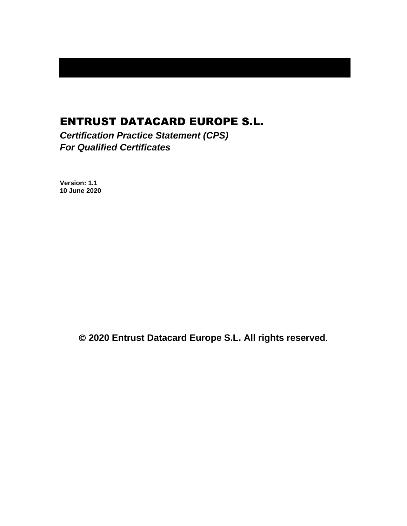# ENTRUST DATACARD EUROPE S.L.

*Certification Practice Statement (CPS) For Qualified Certificates*

**Version: 1.1 10 June 2020**

© **2020 Entrust Datacard Europe S.L. All rights reserved**.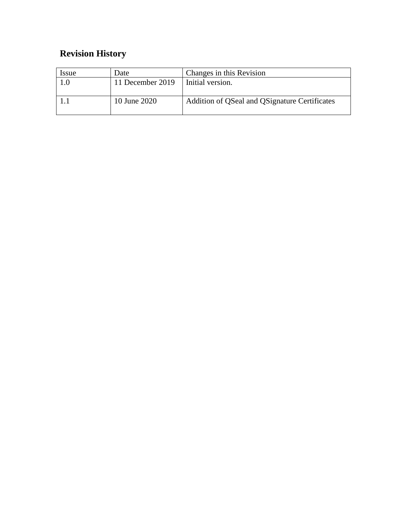# **Revision History**

| <i>ssue</i> | Date             | Changes in this Revision                      |
|-------------|------------------|-----------------------------------------------|
| 0.1         | 11 December 2019 | Initial version.                              |
|             | 10 June 2020     | Addition of QSeal and QSignature Certificates |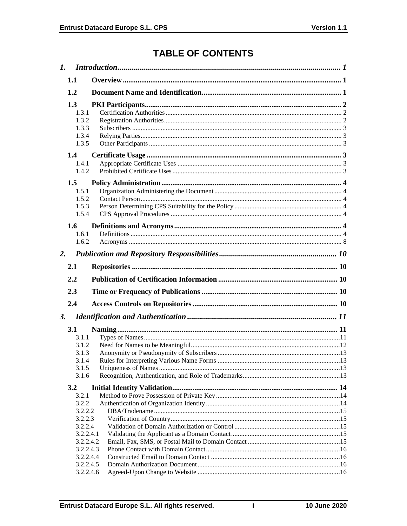# **TABLE OF CONTENTS**

|    | $\mathbf{I}$ .                                                                                                   |  |
|----|------------------------------------------------------------------------------------------------------------------|--|
|    | 1.1                                                                                                              |  |
|    | 1.2                                                                                                              |  |
|    | 1.3<br>1.3.1<br>1.3.2<br>1.3.3<br>1.3.4<br>1.3.5                                                                 |  |
|    | 1.4<br>1.4.1<br>1.4.2                                                                                            |  |
|    | 1.5<br>1.5.1<br>1.5.2<br>1.5.3<br>1.5.4                                                                          |  |
|    | 1.6<br>1.6.1<br>1.6.2                                                                                            |  |
| 2. |                                                                                                                  |  |
|    | 2.1                                                                                                              |  |
|    | 2.2                                                                                                              |  |
|    | 2.3                                                                                                              |  |
|    |                                                                                                                  |  |
|    |                                                                                                                  |  |
|    | 2.4                                                                                                              |  |
| 3. | <b>3.1</b><br>3.1.1<br>3.1.2<br>3.1.3<br>3.1.4<br>3.1.5<br>3.1.6                                                 |  |
|    | 3.2                                                                                                              |  |
|    | 3.2.1<br>3.2.2<br>3.2.2.2<br>3.2.2.3<br>3.2.2.4<br>3.2.2.4.1<br>3.2.2.4.2<br>3.2.2.4.3<br>3.2.2.4.4<br>3.2.2.4.5 |  |

 $\mathbf i$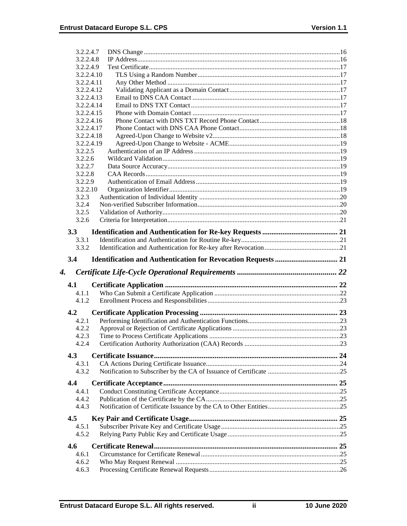|    | 3.2.2.4.7          |                                                                      |  |
|----|--------------------|----------------------------------------------------------------------|--|
|    | 3.2.2.4.8          |                                                                      |  |
|    | 3.2.2.4.9          |                                                                      |  |
|    | 3.2.2.4.10         |                                                                      |  |
|    | 3.2.2.4.11         |                                                                      |  |
|    | 3.2.2.4.12         |                                                                      |  |
|    | 3.2.2.4.13         |                                                                      |  |
|    | 3.2.2.4.14         |                                                                      |  |
|    | 3.2.2.4.15         |                                                                      |  |
|    | 3.2.2.4.16         |                                                                      |  |
|    | 3.2.2.4.17         |                                                                      |  |
|    | 3.2.2.4.18         |                                                                      |  |
|    | 3.2.2.4.19         |                                                                      |  |
|    | 3.2.2.5            |                                                                      |  |
|    | 3.2.2.6<br>3.2.2.7 |                                                                      |  |
|    | 3.2.2.8            |                                                                      |  |
|    | 3.2.2.9            |                                                                      |  |
|    | 3.2.2.10           |                                                                      |  |
|    | 3.2.3              |                                                                      |  |
|    | 3.2.4              |                                                                      |  |
|    | 3.2.5              |                                                                      |  |
|    | 3.2.6              |                                                                      |  |
|    |                    |                                                                      |  |
|    | 3.3                |                                                                      |  |
|    | 3.3.1              |                                                                      |  |
|    | 3.3.2              |                                                                      |  |
|    | 3.4                | <b>Identification and Authentication for Revocation Requests  21</b> |  |
|    |                    |                                                                      |  |
| 4. |                    |                                                                      |  |
|    | 4.1                |                                                                      |  |
|    | 4.1.1              |                                                                      |  |
|    | 4.1.2              |                                                                      |  |
|    |                    |                                                                      |  |
|    | 4.2                |                                                                      |  |
|    | 4.2.1              |                                                                      |  |
|    | 4.2.2              |                                                                      |  |
|    | 4.2.3              |                                                                      |  |
|    | 4.2.4              |                                                                      |  |
|    | 4.3                |                                                                      |  |
|    | 4.3.1              |                                                                      |  |
|    | 4.3.2              |                                                                      |  |
|    |                    |                                                                      |  |
|    | 4.4                |                                                                      |  |
|    | 4.4.1              |                                                                      |  |
|    | 4.4.2              |                                                                      |  |
|    | 4.4.3              |                                                                      |  |
|    | 4.5                |                                                                      |  |
|    | 4.5.1              |                                                                      |  |
|    | 4.5.2              |                                                                      |  |
|    | 4.6                |                                                                      |  |
|    | 4.6.1              |                                                                      |  |
|    | 4.6.2              |                                                                      |  |
|    | 4.6.3              |                                                                      |  |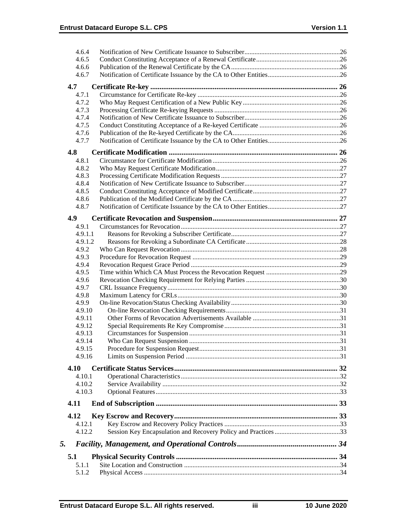|    | 4.6.4   |  |
|----|---------|--|
|    | 4.6.5   |  |
|    | 4.6.6   |  |
|    | 4.6.7   |  |
|    | 4.7     |  |
|    | 4.7.1   |  |
|    | 4.7.2   |  |
|    | 4.7.3   |  |
|    | 4.7.4   |  |
|    | 4.7.5   |  |
|    | 4.7.6   |  |
|    | 4.7.7   |  |
|    |         |  |
|    | 4.8     |  |
|    | 4.8.1   |  |
|    | 4.8.2   |  |
|    | 4.8.3   |  |
|    | 4.8.4   |  |
|    | 4.8.5   |  |
|    | 4.8.6   |  |
|    | 4.8.7   |  |
|    | 4.9     |  |
|    | 4.9.1   |  |
|    | 4.9.1.1 |  |
|    | 4.9.1.2 |  |
|    | 4.9.2   |  |
|    | 4.9.3   |  |
|    | 4.9.4   |  |
|    | 4.9.5   |  |
|    | 4.9.6   |  |
|    | 4.9.7   |  |
|    | 4.9.8   |  |
|    | 4.9.9   |  |
|    | 4.9.10  |  |
|    | 4.9.11  |  |
|    | 4.9.12  |  |
|    | 4.9.13  |  |
|    | 4.9.14  |  |
|    | 4.9.15  |  |
|    | 4.9.16  |  |
|    |         |  |
|    | 4.10    |  |
|    | 4.10.1  |  |
|    | 4.10.2  |  |
|    | 4.10.3  |  |
|    | 4.11    |  |
|    | 4.12    |  |
|    | 4.12.1  |  |
|    | 4.12.2  |  |
|    |         |  |
| 5. |         |  |
|    | 5.1     |  |
|    | 5.1.1   |  |
|    | 5.1.2   |  |
|    |         |  |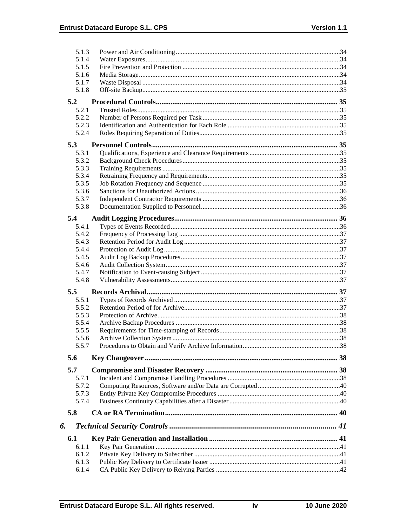|    | 5.1.3 |  |
|----|-------|--|
|    | 5.1.4 |  |
|    | 5.1.5 |  |
|    | 5.1.6 |  |
|    | 5.1.7 |  |
|    | 5.1.8 |  |
|    | 5.2   |  |
|    | 5.2.1 |  |
|    | 5.2.2 |  |
|    | 5.2.3 |  |
|    | 5.2.4 |  |
|    |       |  |
|    | 5.3   |  |
|    | 5.3.1 |  |
|    | 5.3.2 |  |
|    | 5.3.3 |  |
|    | 5.3.4 |  |
|    | 5.3.5 |  |
|    | 5.3.6 |  |
|    | 5.3.7 |  |
|    | 5.3.8 |  |
|    | 5.4   |  |
|    | 5.4.1 |  |
|    | 5.4.2 |  |
|    | 5.4.3 |  |
|    | 5.4.4 |  |
|    | 5.4.5 |  |
|    | 5.4.6 |  |
|    | 5.4.7 |  |
|    | 5.4.8 |  |
|    | 5.5   |  |
|    | 5.5.1 |  |
|    | 5.5.2 |  |
|    | 5.5.3 |  |
|    | 5.5.4 |  |
|    | 5.5.5 |  |
|    | 5.5.6 |  |
|    | 5.5.7 |  |
|    | 5.6   |  |
|    |       |  |
|    | 5.7   |  |
|    | 5.7.1 |  |
|    | 5.7.2 |  |
|    | 5.7.3 |  |
|    | 5.7.4 |  |
|    | 5.8   |  |
| 6. |       |  |
|    | 6.1   |  |
|    | 6.1.1 |  |
|    | 6.1.2 |  |
|    | 6.1.3 |  |
|    | 6.1.4 |  |
|    |       |  |

 $\mathsf{i}\mathsf{v}$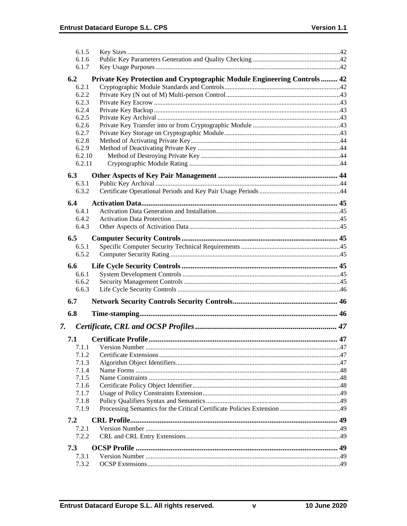| 6.1.5  |                                                                          |  |
|--------|--------------------------------------------------------------------------|--|
| 6.1.6  |                                                                          |  |
| 6.1.7  |                                                                          |  |
| 6.2    | Private Key Protection and Cryptographic Module Engineering Controls  42 |  |
| 6.2.1  |                                                                          |  |
| 6.2.2  |                                                                          |  |
| 6.2.3  |                                                                          |  |
| 6.2.4  |                                                                          |  |
| 6.2.5  |                                                                          |  |
| 6.2.6  |                                                                          |  |
| 6.2.7  |                                                                          |  |
| 6.2.8  |                                                                          |  |
| 6.2.9  |                                                                          |  |
|        | 6.2.10                                                                   |  |
| 6.2.11 |                                                                          |  |
| 6.3    |                                                                          |  |
| 6.3.1  |                                                                          |  |
| 6.3.2  |                                                                          |  |
| 6.4    |                                                                          |  |
| 6.4.1  |                                                                          |  |
| 6.4.2  |                                                                          |  |
| 6.4.3  |                                                                          |  |
|        |                                                                          |  |
| 6.5    |                                                                          |  |
| 6.5.1  |                                                                          |  |
| 6.5.2  |                                                                          |  |
| 6.6    |                                                                          |  |
| 6.6.1  |                                                                          |  |
| 6.6.2  |                                                                          |  |
| 6.6.3  |                                                                          |  |
| 6.7    |                                                                          |  |
| 6.8    |                                                                          |  |
|        |                                                                          |  |
| 7.     |                                                                          |  |
| 7.1    |                                                                          |  |
| 7.1.1  |                                                                          |  |
| 7.1.2  |                                                                          |  |
|        |                                                                          |  |
| 7.1.3  |                                                                          |  |
| 7.1.4  |                                                                          |  |
| 7.1.5  |                                                                          |  |
| 7.1.6  |                                                                          |  |
| 7.1.7  |                                                                          |  |
| 7.1.8  |                                                                          |  |
| 7.1.9  |                                                                          |  |
| 7.2    |                                                                          |  |
| 7.2.1  |                                                                          |  |
| 7.2.2  |                                                                          |  |
| 7.3    |                                                                          |  |
| 7.3.1  |                                                                          |  |
| 7.3.2  |                                                                          |  |

 $\mathbf v$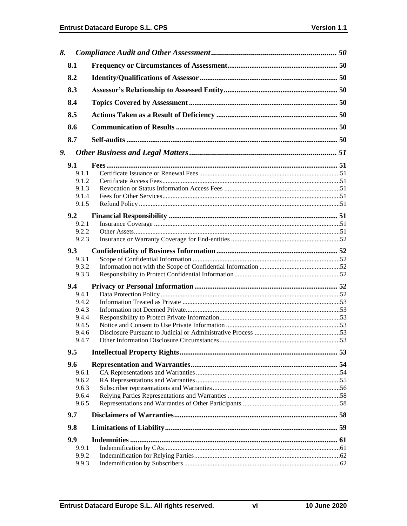| 8. |       |  |
|----|-------|--|
|    | 8.1   |  |
|    | 8.2   |  |
|    | 8.3   |  |
|    | 8.4   |  |
|    | 8.5   |  |
|    | 8.6   |  |
|    | 8.7   |  |
| 9. |       |  |
|    |       |  |
|    | 9.1   |  |
|    | 9.1.1 |  |
|    | 9.1.2 |  |
|    | 9.1.3 |  |
|    | 9.1.4 |  |
|    | 9.1.5 |  |
|    | 9.2   |  |
|    | 9.2.1 |  |
|    | 9.2.2 |  |
|    | 9.2.3 |  |
|    | 9.3   |  |
|    | 9.3.1 |  |
|    | 9.3.2 |  |
|    | 9.3.3 |  |
|    | 9.4   |  |
|    | 9.4.1 |  |
|    | 9.4.2 |  |
|    | 9.4.3 |  |
|    | 9.4.4 |  |
|    | 9.4.5 |  |
|    | 9.4.6 |  |
|    | 9.4.7 |  |
|    | 9.5   |  |
|    | 9.6   |  |
|    | 9.6.1 |  |
|    | 9.6.2 |  |
|    | 9.6.3 |  |
|    | 9.6.4 |  |
|    | 9.6.5 |  |
|    | 9.7   |  |
|    | 9.8   |  |
|    | 9.9   |  |
|    |       |  |
|    | 9.9.1 |  |
|    | 9.9.2 |  |
|    | 9.9.3 |  |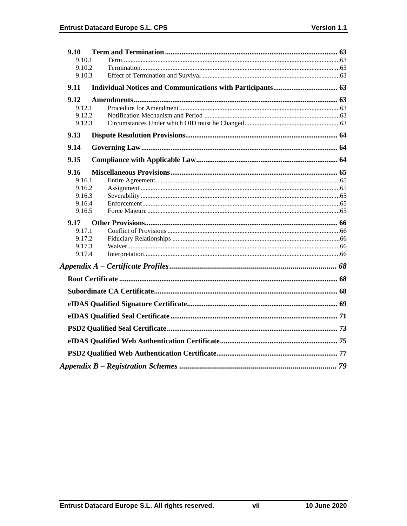| 9.10             |  |
|------------------|--|
| 9.10.1           |  |
| 9.10.2           |  |
| 9.10.3           |  |
| 9.11             |  |
| 9.12             |  |
| 9.12.1           |  |
| 9.12.2           |  |
| 9.12.3           |  |
| 9.13             |  |
| 9.14             |  |
| 9.15             |  |
| 9.16             |  |
| 9.16.1           |  |
| 9.16.2           |  |
| 9.16.3           |  |
| 9.16.4<br>9.16.5 |  |
| 9.17             |  |
| 9.17.1           |  |
| 9.17.2           |  |
| 9.17.3           |  |
| 9.17.4           |  |
|                  |  |
|                  |  |
|                  |  |
|                  |  |
|                  |  |
|                  |  |
|                  |  |
|                  |  |
|                  |  |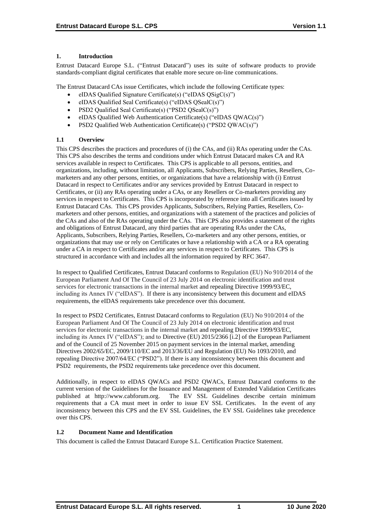## **1. Introduction**

Entrust Datacard Europe S.L. ("Entrust Datacard") uses its suite of software products to provide standards-compliant digital certificates that enable more secure on-line communications.

The Entrust Datacard CAs issue Certificates, which include the following Certificate types:

- eIDAS Qualified Signature Certificate(s) ("eIDAS QSigC(s)")
- eIDAS Qualified Seal Certificate(s) ("eIDAS QSealC(s)")
- PSD2 Qualified Seal Certificate(s) ("PSD2 QSealC(s)")
- eIDAS Qualified Web Authentication Certificate(s) ("eIDAS QWAC(s)")
- PSD2 Qualified Web Authentication Certificate(s) ("PSD2 QWAC(s)")

## **1.1 Overview**

This CPS describes the practices and procedures of (i) the CAs, and (ii) RAs operating under the CAs. This CPS also describes the terms and conditions under which Entrust Datacard makes CA and RA services available in respect to Certificates. This CPS is applicable to all persons, entities, and organizations, including, without limitation, all Applicants, Subscribers, Relying Parties, Resellers, Comarketers and any other persons, entities, or organizations that have a relationship with (i) Entrust Datacard in respect to Certificates and/or any services provided by Entrust Datacard in respect to Certificates, or (ii) any RAs operating under a CAs, or any Resellers or Co-marketers providing any services in respect to Certificates. This CPS is incorporated by reference into all Certificates issued by Entrust Datacard CAs. This CPS provides Applicants, Subscribers, Relying Parties, Resellers, Comarketers and other persons, entities, and organizations with a statement of the practices and policies of the CAs and also of the RAs operating under the CAs. This CPS also provides a statement of the rights and obligations of Entrust Datacard, any third parties that are operating RAs under the CAs, Applicants, Subscribers, Relying Parties, Resellers, Co-marketers and any other persons, entities, or organizations that may use or rely on Certificates or have a relationship with a CA or a RA operating under a CA in respect to Certificates and/or any services in respect to Certificates. This CPS is structured in accordance with and includes all the information required by RFC 3647.

In respect to Qualified Certificates, Entrust Datacard conforms to Regulation (EU) No 910/2014 of the European Parliament And Of The Council of 23 July 2014 on electronic identification and trust services for electronic transactions in the internal market and repealing Directive 1999/93/EC, including its Annex IV ("eIDAS"). If there is any inconsistency between this document and eIDAS requirements, the eIDAS requirements take precedence over this document.

In respect to PSD2 Certificates, Entrust Datacard conforms to Regulation (EU) No 910/2014 of the European Parliament And Of The Council of 23 July 2014 on electronic identification and trust services for electronic transactions in the internal market and repealing Directive 1999/93/EC, including its Annex IV ("eIDAS"); and to Directive (EU) 2015/2366 [i.2] of the European Parliament and of the Council of 25 November 2015 on payment services in the internal market, amending Directives 2002/65/EC, 2009/110/EC and 2013/36/EU and Regulation (EU) No 1093/2010, and repealing Directive 2007/64/EC ("PSD2"). If there is any inconsistency between this document and PSD2 requirements, the PSD2 requirements take precedence over this document.

Additionally, in respect to eIDAS QWACs and PSD2 QWACs, Entrust Datacard conforms to the current version of the Guidelines for the Issuance and Management of Extended Validation Certificates published at http://www.cabforum.org. The EV SSL Guidelines describe certain minimum requirements that a CA must meet in order to issue EV SSL Certificates. In the event of any inconsistency between this CPS and the EV SSL Guidelines, the EV SSL Guidelines take precedence over this CPS.

## **1.2 Document Name and Identification**

This document is called the Entrust Datacard Europe S.L. Certification Practice Statement.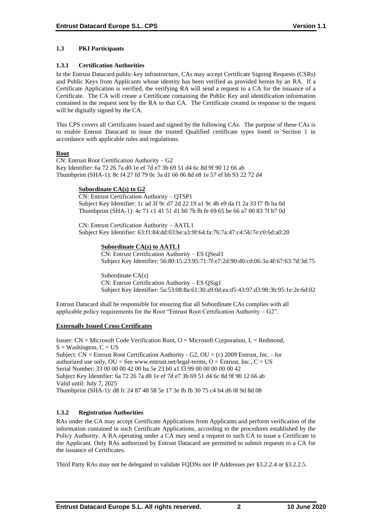## **1.3 PKI Participants**

## **1.3.1 Certification Authorities**

In the Entrust Datacard public-key infrastructure, CAs may accept Certificate Signing Requests (CSRs) and Public Keys from Applicants whose identity has been verified as provided herein by an RA. If a Certificate Application is verified, the verifying RA will send a request to a CA for the issuance of a Certificate. The CA will create a Certificate containing the Public Key and identification information contained in the request sent by the RA to that CA. The Certificate created in response to the request will be digitally signed by the CA.

This CPS covers all Certificates issued and signed by the following CAs. The purpose of these CAs is to enable Entrust Datacard to issue the trusted Qualified certificate types listed in Section 1 in accordance with applicable rules and regulations.

## **Root**

CN: Entrust Root Certification Authority – G2 Key Identifier: 6a 72 26 7a d0 1e ef 7d e7 3b 69 51 d4 6c 8d 9f 90 12 66 ab Thumbprint (SHA-1): 8c f4 27 fd 79 0c 3a d1 66 06 8d e8 1e 57 ef bb 93 22 72 d4

## **Subordinate CA(s) to G2**

CN: Entrust Certification Authority – QTSP1 Subject Key Identifier: 1c ad 3f 9c d7 2d 22 19 a1 9c 4b e9 da f1 2a 33 f7 fb ba 0d Thumbprint (SHA-1): 4c 71 c1 41 51 d1 b0 7b fb fe 69 65 be 66 a7 00 83 7f b7 0d

CN: Entrust Certification Authority – AATL1 Subject Key Identifier: 63:f1:84:dd:03:be:a3:9f:64:fa:76:7a:47:c4:56:7e:c0:6d:a0:20

## **Subordinate CA(s) to AATL1**

CN: Entrust Certification Authority – ES QSeal1 Subject Key Identifier: 56:80:15:23:95:71:7f:e7:2d:90:d0:cd:06:3a:4f:67:63:7d:3d:75

Subordinate CA(s) CN: Entrust Certification Authority – ES QSig1 Subject Key Identifier: 5a:53:08:8a:61:30:a9:0d:ea:d5:43:97:d3:98:3b:95:1e:2e:6d:02

Entrust Datacard shall be responsible for ensuring that all Subordinate CAs complies with all applicable policy requirements for the Root "Entrust Root Certification Authority –  $G2$ ".

## **Externally Issued Cross Certificates**

Issuer:  $CN = Microsoft Code Verification Root, O = Microsoft Corporation, L = Redmond,$  $S =$  Washington,  $C = US$ Subject: CN = Entrust Root Certification Authority - G2, OU = (c) 2009 Entrust, Inc. - for authorized use only,  $OU = See$  www.entrust.net/legal-terms,  $O =$  Entrust, Inc.,  $C = US$ Serial Number: 33 00 00 00 42 00 ba 5e 23 b0 a1 f3 99 00 00 00 00 00 42 Subject Key Identifier: 6a 72 26 7a d0 1e ef 7d e7 3b 69 51 d4 6c 8d 9f 90 12 66 ab Valid until: July 7, 2025 Thumbprint (SHA-1): d8 fc 24 87 48 58 5e 17 3e fb fb 30 75 c4 b4 d6 0f 9d 8d 08

## **1.3.2 Registration Authorities**

RAs under the CA may accept Certificate Applications from Applicants and perform verification of the information contained in such Certificate Applications, according to the procedures established by the Policy Authority. A RA operating under a CA may send a request to such CA to issue a Certificate to the Applicant. Only RAs authorized by Entrust Datacard are permitted to submit requests to a CA for the issuance of Certificates.

Third Party RAs may not be delegated to validate FQDNs nor IP Addresses per §3.2.2.4 or §3.2.2.5.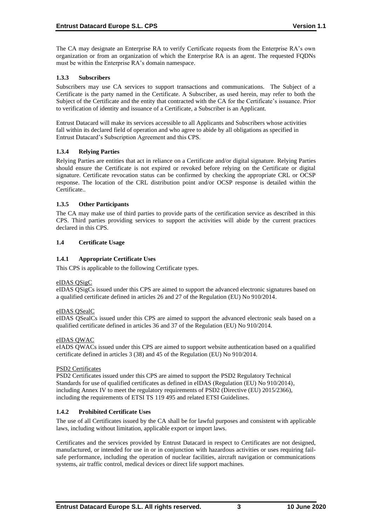The CA may designate an Enterprise RA to verify Certificate requests from the Enterprise RA's own organization or from an organization of which the Enterprise RA is an agent. The requested FQDNs must be within the Enterprise RA's domain namespace.

## **1.3.3 Subscribers**

Subscribers may use CA services to support transactions and communications. The Subject of a Certificate is the party named in the Certificate. A Subscriber, as used herein, may refer to both the Subject of the Certificate and the entity that contracted with the CA for the Certificate's issuance. Prior to verification of identity and issuance of a Certificate, a Subscriber is an Applicant.

Entrust Datacard will make its services accessible to all Applicants and Subscribers whose activities fall within its declared field of operation and who agree to abide by all obligations as specified in Entrust Datacard's Subscription Agreement and this CPS.

## **1.3.4 Relying Parties**

Relying Parties are entities that act in reliance on a Certificate and/or digital signature. Relying Parties should ensure the Certificate is not expired or revoked before relying on the Certificate or digital signature. Certificate revocation status can be confirmed by checking the appropriate CRL or OCSP response. The location of the CRL distribution point and/or OCSP response is detailed within the Certificate..

## **1.3.5 Other Participants**

The CA may make use of third parties to provide parts of the certification service as described in this CPS. Third parties providing services to support the activities will abide by the current practices declared in this CPS.

#### **1.4 Certificate Usage**

## **1.4.1 Appropriate Certificate Uses**

This CPS is applicable to the following Certificate types.

#### eIDAS QSigC

eIDAS QSigCs issued under this CPS are aimed to support the advanced electronic signatures based on a qualified certificate defined in articles 26 and 27 of the Regulation (EU) No 910/2014.

#### eIDAS QSealC

eIDAS QSealCs issued under this CPS are aimed to support the advanced electronic seals based on a qualified certificate defined in articles 36 and 37 of the Regulation (EU) No 910/2014.

#### eIDAS QWAC

eIADS QWACs issued under this CPS are aimed to support website authentication based on a qualified certificate defined in articles 3 (38) and 45 of the Regulation (EU) No 910/2014.

#### PSD2 Certificates

PSD2 Certificates issued under this CPS are aimed to support the PSD2 Regulatory Technical Standards for use of qualified certificates as defined in eIDAS (Regulation (EU) No 910/2014), including Annex IV to meet the regulatory requirements of PSD2 (Directive (EU) 2015/2366), including the requirements of ETSI TS 119 495 and related ETSI Guidelines.

## **1.4.2 Prohibited Certificate Uses**

The use of all Certificates issued by the CA shall be for lawful purposes and consistent with applicable laws, including without limitation, applicable export or import laws.

Certificates and the services provided by Entrust Datacard in respect to Certificates are not designed, manufactured, or intended for use in or in conjunction with hazardous activities or uses requiring failsafe performance, including the operation of nuclear facilities, aircraft navigation or communications systems, air traffic control, medical devices or direct life support machines.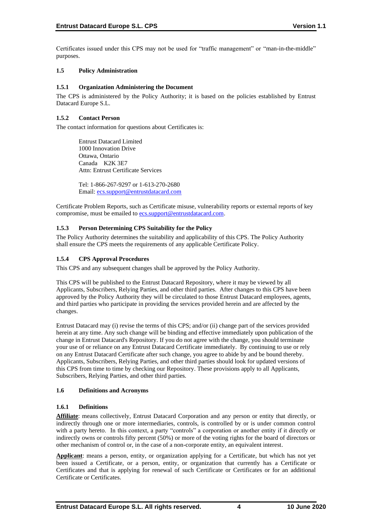Certificates issued under this CPS may not be used for "traffic management" or "man-in-the-middle" purposes.

## **1.5 Policy Administration**

## **1.5.1 Organization Administering the Document**

The CPS is administered by the Policy Authority; it is based on the policies established by Entrust Datacard Europe S.L.

## **1.5.2 Contact Person**

The contact information for questions about Certificates is:

Entrust Datacard Limited 1000 Innovation Drive Ottawa, Ontario Canada K2K 3E7 Attn: Entrust Certificate Services

Tel: 1-866-267-9297 or 1-613-270-2680 Email: [ecs.support@entrustdatacard.com](mailto:ecs.support@entrustdatacard.com)

Certificate Problem Reports, such as Certificate misuse, vulnerability reports or external reports of key compromise, must be emailed t[o ecs.support@entrustdatacard.com.](mailto:ecs.support@entrustdatacard.com)

## **1.5.3 Person Determining CPS Suitability for the Policy**

The Policy Authority determines the suitability and applicability of this CPS. The Policy Authority shall ensure the CPS meets the requirements of any applicable Certificate Policy.

## **1.5.4 CPS Approval Procedures**

This CPS and any subsequent changes shall be approved by the Policy Authority.

This CPS will be published to the Entrust Datacard Repository, where it may be viewed by all Applicants, Subscribers, Relying Parties, and other third parties. After changes to this CPS have been approved by the Policy Authority they will be circulated to those Entrust Datacard employees, agents, and third parties who participate in providing the services provided herein and are affected by the changes.

Entrust Datacard may (i) revise the terms of this CPS; and/or (ii) change part of the services provided herein at any time. Any such change will be binding and effective immediately upon publication of the change in Entrust Datacard's Repository. If you do not agree with the change, you should terminate your use of or reliance on any Entrust Datacard Certificate immediately. By continuing to use or rely on any Entrust Datacard Certificate after such change, you agree to abide by and be bound thereby. Applicants, Subscribers, Relying Parties, and other third parties should look for updated versions of this CPS from time to time by checking our Repository. These provisions apply to all Applicants, Subscribers, Relying Parties, and other third parties.

#### **1.6 Definitions and Acronyms**

#### **1.6.1 Definitions**

**Affiliate**: means collectively, Entrust Datacard Corporation and any person or entity that directly, or indirectly through one or more intermediaries, controls, is controlled by or is under common control with a party hereto. In this context, a party "controls" a corporation or another entity if it directly or indirectly owns or controls fifty percent (50%) or more of the voting rights for the board of directors or other mechanism of control or, in the case of a non-corporate entity, an equivalent interest.

**Applicant**: means a person, entity, or organization applying for a Certificate, but which has not yet been issued a Certificate, or a person, entity, or organization that currently has a Certificate or Certificates and that is applying for renewal of such Certificate or Certificates or for an additional Certificate or Certificates.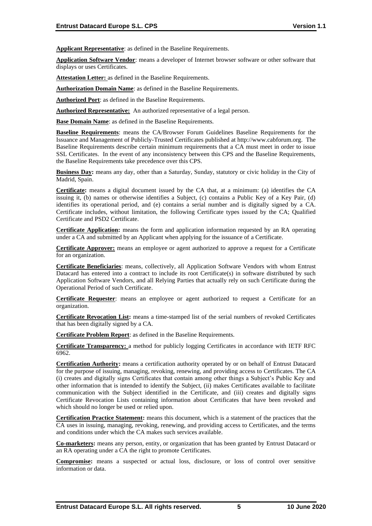**Applicant Representative**: as defined in the Baseline Requirements.

**Application Software Vendor**: means a developer of Internet browser software or other software that displays or uses Certificates.

**Attestation Letter:** as defined in the Baseline Requirements.

**Authorization Domain Name**: as defined in the Baseline Requirements.

**Authorized Port**: as defined in the Baseline Requirements.

**Authorized Representative:** An authorized representative of a legal person.

**Base Domain Name**: as defined in the Baseline Requirements.

**Baseline Requirements**: means the CA/Browser Forum Guidelines Baseline Requirements for the Issuance and Management of Publicly-Trusted Certificates published at http://www.cabforum.org. The Baseline Requirements describe certain minimum requirements that a CA must meet in order to issue SSL Certificates. In the event of any inconsistency between this CPS and the Baseline Requirements, the Baseline Requirements take precedence over this CPS.

**Business Day:** means any day, other than a Saturday, Sunday, statutory or civic holiday in the City of Madrid, Spain.

**Certificate:** means a digital document issued by the CA that, at a minimum: (a) identifies the CA issuing it, (b) names or otherwise identifies a Subject, (c) contains a Public Key of a Key Pair, (d) identifies its operational period, and (e) contains a serial number and is digitally signed by a CA. Certificate includes, without limitation, the following Certificate types issued by the CA; Qualified Certificate and PSD2 Certificate.

**Certificate Application:** means the form and application information requested by an RA operating under a CA and submitted by an Applicant when applying for the issuance of a Certificate.

**Certificate Approver:** means an employee or agent authorized to approve a request for a Certificate for an organization.

**Certificate Beneficiaries**: means, collectively, all Application Software Vendors with whom Entrust Datacard has entered into a contract to include its root Certificate(s) in software distributed by such Application Software Vendors, and all Relying Parties that actually rely on such Certificate during the Operational Period of such Certificate.

**Certificate Requester**: means an employee or agent authorized to request a Certificate for an organization.

**Certificate Revocation List:** means a time-stamped list of the serial numbers of revoked Certificates that has been digitally signed by a CA.

**Certificate Problem Report**: as defined in the Baseline Requirements.

**Certificate Transparency:** a method for publicly logging Certificates in accordance with IETF RFC 6962.

**Certification Authority:** means a certification authority operated by or on behalf of Entrust Datacard for the purpose of issuing, managing, revoking, renewing, and providing access to Certificates. The CA (i) creates and digitally signs Certificates that contain among other things a Subject's Public Key and other information that is intended to identify the Subject, (ii) makes Certificates available to facilitate communication with the Subject identified in the Certificate, and (iii) creates and digitally signs Certificate Revocation Lists containing information about Certificates that have been revoked and which should no longer be used or relied upon.

**Certification Practice Statement:** means this document, which is a statement of the practices that the CA uses in issuing, managing, revoking, renewing, and providing access to Certificates, and the terms and conditions under which the CA makes such services available.

**Co-marketers:** means any person, entity, or organization that has been granted by Entrust Datacard or an RA operating under a CA the right to promote Certificates.

**Compromise:** means a suspected or actual loss, disclosure, or loss of control over sensitive information or data.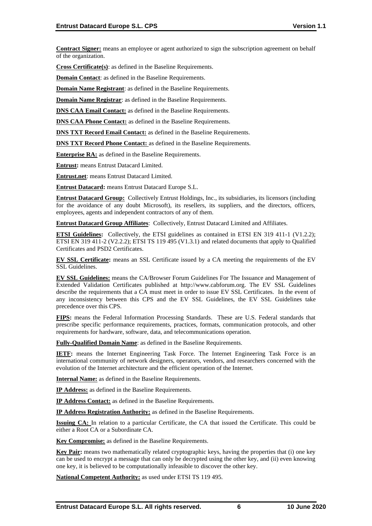**Contract Signer:** means an employee or agent authorized to sign the subscription agreement on behalf of the organization.

**Cross Certificate(s)**: as defined in the Baseline Requirements.

**Domain Contact**: as defined in the Baseline Requirements.

**Domain Name Registrant:** as defined in the Baseline Requirements.

**Domain Name Registrar**: as defined in the Baseline Requirements.

**DNS CAA Email Contact:** as defined in the Baseline Requirements.

**DNS CAA Phone Contact:** as defined in the Baseline Requirements.

**DNS TXT Record Email Contact:** as defined in the Baseline Requirements.

**DNS TXT Record Phone Contact:** as defined in the Baseline Requirements.

**Enterprise RA:** as defined in the Baseline Requirements.

**Entrust:** means Entrust Datacard Limited.

**Entrust.net**: means Entrust Datacard Limited.

**Entrust Datacard:** means Entrust Datacard Europe S.L.

**Entrust Datacard Group:** Collectively Entrust Holdings, Inc., its subsidiaries, its licensors (including for the avoidance of any doubt Microsoft), its resellers, its suppliers, and the directors, officers, employees, agents and independent contractors of any of them.

**Entrust Datacard Group Affiliates**: Collectively, Entrust Datacard Limited and Affiliates.

**ETSI Guidelines:** Collectively, the ETSI guidelines as contained in ETSI EN 319 411-1 (V1.2.2); ETSI EN 319 411-2 (V2.2.2); ETSI TS 119 495 (V1.3.1) and related documents that apply to Qualified Certificates and PSD2 Certificates.

**EV SSL Certificate:** means an SSL Certificate issued by a CA meeting the requirements of the EV SSL Guidelines.

**EV SSL Guidelines:** means the CA/Browser Forum Guidelines For The Issuance and Management of Extended Validation Certificates published at http://www.cabforum.org. The EV SSL Guidelines describe the requirements that a CA must meet in order to issue EV SSL Certificates. In the event of any inconsistency between this CPS and the EV SSL Guidelines, the EV SSL Guidelines take precedence over this CPS.

**FIPS:** means the Federal Information Processing Standards. These are U.S. Federal standards that prescribe specific performance requirements, practices, formats, communication protocols, and other requirements for hardware, software, data, and telecommunications operation.

**Fully-Qualified Domain Name**: as defined in the Baseline Requirements.

**IETF:** means the Internet Engineering Task Force. The Internet Engineering Task Force is an international community of network designers, operators, vendors, and researchers concerned with the evolution of the Internet architecture and the efficient operation of the Internet.

**Internal Name:** as defined in the Baseline Requirements.

**IP Address:** as defined in the Baseline Requirements.

**IP Address Contact:** as defined in the Baseline Requirements.

**IP Address Registration Authority:** as defined in the Baseline Requirements.

**Issuing CA:** In relation to a particular Certificate, the CA that issued the Certificate. This could be either a Root CA or a Subordinate CA.

**Key Compromise:** as defined in the Baseline Requirements.

**Key Pair:** means two mathematically related cryptographic keys, having the properties that (i) one key can be used to encrypt a message that can only be decrypted using the other key, and (ii) even knowing one key, it is believed to be computationally infeasible to discover the other key.

**National Competent Authority:** as used under ETSI TS 119 495.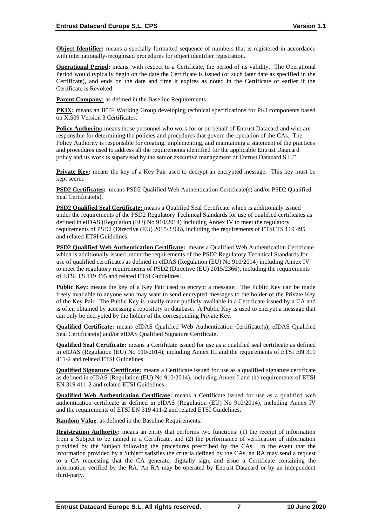**Object Identifier:** means a specially-formatted sequence of numbers that is registered in accordance with internationally-recognized procedures for object identifier registration.

**Operational Period:** means, with respect to a Certificate, the period of its validity. The Operational Period would typically begin on the date the Certificate is issued (or such later date as specified in the Certificate), and ends on the date and time it expires as noted in the Certificate or earlier if the Certificate is Revoked.

**Parent Company:** as defined in the Baseline Requirements.

**PKIX:** means an IETF Working Group developing technical specifications for PKI components based on X.509 Version 3 Certificates.

**Policy Authority:** means those personnel who work for or on behalf of Entrust Datacard and who are responsible for determining the policies and procedures that govern the operation of the CAs. The Policy Authority is responsible for creating, implementing, and maintaining a statement of the practices and procedures used to address all the requirements identified for the applicable Entrust Datacard policy and its work is supervised by the senior executive management of Entrust Datacard S.L."

**Private Key:** means the key of a Key Pair used to decrypt an encrypted message. This key must be kept secret.

**PSD2 Certificates:** means PSD2 Qualified Web Authentication Certificate(s) and/or PSD2 Qualified Seal Certificate(s).

**PSD2 Qualified Seal Certificate:** means a Qualified Seal Certificate which is additionally issued under the requirements of the PSD2 Regulatory Technical Standards for use of qualified certificates as defined in eIDAS (Regulation (EU) No 910/2014) including Annex IV to meet the regulatory requirements of PSD2 (Directive (EU) 2015/2366), including the requirements of ETSI TS 119 495 and related ETSI Guidelines.

**PSD2 Qualified Web Authentication Certificate:** means a Qualified Web Authentication Certificate which is additionally issued under the requirements of the PSD2 Regulatory Technical Standards for use of qualified certificates as defined in eIDAS (Regulation (EU) No 910/2014) including Annex IV to meet the regulatory requirements of PSD2 (Directive (EU) 2015/2366), including the requirements of ETSI TS 119 495 and related ETSI Guidelines.

**Public Key:** means the key of a Key Pair used to encrypt a message. The Public Key can be made freely available to anyone who may want to send encrypted messages to the holder of the Private Key of the Key Pair. The Public Key is usually made publicly available in a Certificate issued by a CA and is often obtained by accessing a repository or database. A Public Key is used to encrypt a message that can only be decrypted by the holder of the corresponding Private Key.

**Qualified Certificate:** means eIDAS Qualified Web Authentication Certificate(s), eIDAS Qualified Seal Certificate(s) and/or eIDAS Qualified Signature Certificate.

**Qualified Seal Certificate:** means a Certificate issued for use as a qualified seal certificate as defined in eIDAS (Regulation (EU) No 910/2014), including Annex III and the requirements of ETSI EN 319 411-2 and related ETSI Guidelines

**Qualified Signature Certificate:** means a Certificate issued for use as a qualified signature certificate as defined in eIDAS (Regulation (EU) No 910/2014), including Annex I and the requirements of ETSI EN 319 411-2 and related ETSI Guidelines

**Qualified Web Authentication Certificate:** means a Certificate issued for use as a qualified web authentication certificate as defined in eIDAS (Regulation (EU) No 910/2014), including Annex IV and the requirements of ETSI EN 319 411-2 and related ETSI Guidelines.

**Random Value**: as defined in the Baseline Requirements.

**Registration Authority:** means an entity that performs two functions: (1) the receipt of information from a Subject to be named in a Certificate, and (2) the performance of verification of information provided by the Subject following the procedures prescribed by the CAs. In the event that the information provided by a Subject satisfies the criteria defined by the CAs, an RA may send a request to a CA requesting that the CA generate, digitally sign, and issue a Certificate containing the information verified by the RA. An RA may be operated by Entrust Datacard or by an independent third-party.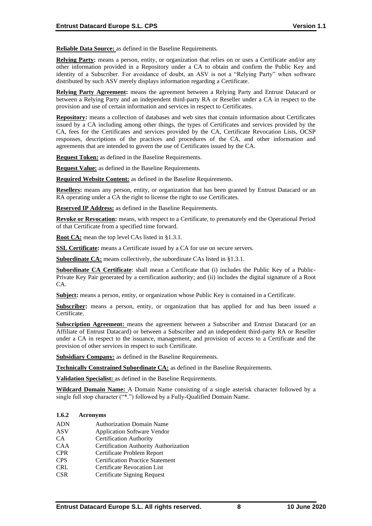**Reliable Data Source:** as defined in the Baseline Requirements.

**Relying Party:** means a person, entity, or organization that relies on or uses a Certificate and/or any other information provided in a Repository under a CA to obtain and confirm the Public Key and identity of a Subscriber. For avoidance of doubt, an ASV is not a "Relying Party" when software distributed by such ASV merely displays information regarding a Certificate.

**Relying Party Agreement:** means the agreement between a Relying Party and Entrust Datacard or between a Relying Party and an independent third-party RA or Reseller under a CA in respect to the provision and use of certain information and services in respect to Certificates.

**Repository:** means a collection of databases and web sites that contain information about Certificates issued by a CA including among other things, the types of Certificates and services provided by the CA, fees for the Certificates and services provided by the CA, Certificate Revocation Lists, OCSP responses, descriptions of the practices and procedures of the CA, and other information and agreements that are intended to govern the use of Certificates issued by the CA.

**Request Token:** as defined in the Baseline Requirements.

**Request Value:** as defined in the Baseline Requirements.

**Required Website Content:** as defined in the Baseline Requirements.

**Resellers:** means any person, entity, or organization that has been granted by Entrust Datacard or an RA operating under a CA the right to license the right to use Certificates.

**Reserved IP Address:** as defined in the Baseline Requirements.

**Revoke or Revocation:** means, with respect to a Certificate, to prematurely end the Operational Period of that Certificate from a specified time forward.

**Root CA:** mean the top level CAs listed in §1.3.1.

**SSL Certificate:** means a Certificate issued by a CA for use on secure servers.

**Subordinate CA:** means collectively, the subordinate CAs listed in §1.3.1.

**Subordinate CA Certificate**: shall mean a Certificate that (i) includes the Public Key of a Public-Private Key Pair generated by a certification authority; and (ii) includes the digital signature of a Root CA.

**Subject:** means a person, entity, or organization whose Public Key is contained in a Certificate.

**Subscriber:** means a person, entity, or organization that has applied for and has been issued a Certificate.

**Subscription Agreement:** means the agreement between a Subscriber and Entrust Datacard (or an Affiliate of Entrust Datacard) or between a Subscriber and an independent third-party RA or Reseller under a CA in respect to the issuance, management, and provision of access to a Certificate and the provision of other services in respect to such Certificate.

**Subsidiary Company:** as defined in the Baseline Requirements.

**Technically Constrained Subordinate CA:** as defined in the Baseline Requirements.

**Validation Specialist:** as defined in the Baseline Requirements.

**Wildcard Domain Name:** A Domain Name consisting of a single asterisk character followed by a single full stop character ("\*.") followed by a Fully-Qualified Domain Name.

#### **1.6.2 Acronyms**

- ADN Authorization Domain Name
- ASV Application Software Vendor
- CA Certification Authority
- CAA Certification Authority Authorization
- CPR Certificate Problem Report
- CPS Certification Practice Statement
- CRL Certificate Revocation List
- CSR Certificate Signing Request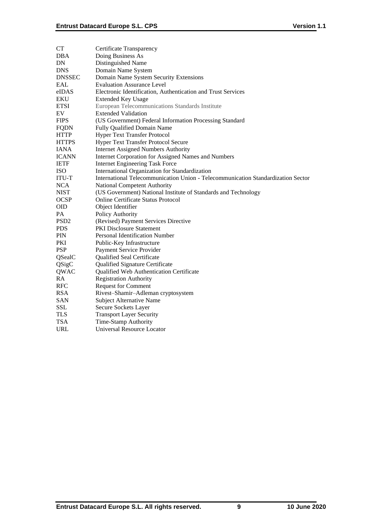| CT               | Certificate Transparency                                                         |
|------------------|----------------------------------------------------------------------------------|
| DBA              | Doing Business As                                                                |
| DN               | Distinguished Name                                                               |
| DNS              | Domain Name System                                                               |
| <b>DNSSEC</b>    | Domain Name System Security Extensions                                           |
| EAL              | <b>Evaluation Assurance Level</b>                                                |
| eIDAS            | Electronic Identification, Authentication and Trust Services                     |
| EKU              | <b>Extended Key Usage</b>                                                        |
| <b>ETSI</b>      | European Telecommunications Standards Institute                                  |
| EV               | <b>Extended Validation</b>                                                       |
| <b>FIPS</b>      | (US Government) Federal Information Processing Standard                          |
| FQDN             | <b>Fully Qualified Domain Name</b>                                               |
| HTTP             | <b>Hyper Text Transfer Protocol</b>                                              |
| <b>HTTPS</b>     | <b>Hyper Text Transfer Protocol Secure</b>                                       |
| IANA             | <b>Internet Assigned Numbers Authority</b>                                       |
| ICANN            | Internet Corporation for Assigned Names and Numbers                              |
| IETF             | <b>Internet Engineering Task Force</b>                                           |
| ISO              | International Organization for Standardization                                   |
| ITU-T            | International Telecommunication Union - Telecommunication Standardization Sector |
| <b>NCA</b>       | National Competent Authority                                                     |
| NIST             | (US Government) National Institute of Standards and Technology                   |
| OCSP             | Online Certificate Status Protocol                                               |
| OID              | Object Identifier                                                                |
| PA               | Policy Authority                                                                 |
| PSD <sub>2</sub> | (Revised) Payment Services Directive                                             |
| PDS              | PKI Disclosure Statement                                                         |
| PIN              | Personal Identification Number                                                   |
| PKI              | Public-Key Infrastructure                                                        |
| PSP              | Payment Service Provider                                                         |
| QSealC           | Qualified Seal Certificate                                                       |
| QSigC            | Qualified Signature Certificate                                                  |
| QWAC             | Qualified Web Authentication Certificate                                         |
| RA               | Registration Authority                                                           |
| RFC              | <b>Request for Comment</b>                                                       |
| RSA              | Rivest-Shamir-Adleman cryptosystem                                               |
| SAN              | Subject Alternative Name                                                         |
| SSL              | Secure Sockets Layer                                                             |
| TLS              | <b>Transport Layer Security</b>                                                  |
| TSA              | Time-Stamp Authority                                                             |
| URL              | <b>Universal Resource Locator</b>                                                |
|                  |                                                                                  |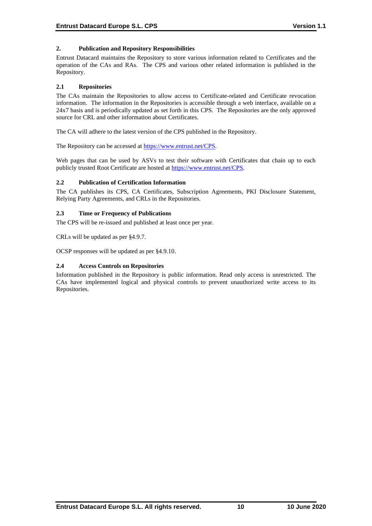## **2. Publication and Repository Responsibilities**

Entrust Datacard maintains the Repository to store various information related to Certificates and the operation of the CAs and RAs. The CPS and various other related information is published in the Repository.

## **2.1 Repositories**

The CAs maintain the Repositories to allow access to Certificate-related and Certificate revocation information. The information in the Repositories is accessible through a web interface, available on a 24x7 basis and is periodically updated as set forth in this CPS. The Repositories are the only approved source for CRL and other information about Certificates.

The CA will adhere to the latest version of the CPS published in the Repository.

The Repository can be accessed at [https://www.entrust.net/CPS.](https://www.entrust.net/CPS)

Web pages that can be used by ASVs to test their software with Certificates that chain up to each publicly trusted Root Certificate are hosted a[t https://www.entrust.net/CPS.](https://www.entrust.net/CPS)

## **2.2 Publication of Certification Information**

The CA publishes its CPS, CA Certificates, Subscription Agreements, PKI Disclosure Statement, Relying Party Agreements, and CRLs in the Repositories.

## **2.3 Time or Frequency of Publications**

The CPS will be re-issued and published at least once per year.

CRLs will be updated as per §4.9.7.

OCSP responses will be updated as per §4.9.10.

## **2.4 Access Controls on Repositories**

Information published in the Repository is public information. Read only access is unrestricted. The CAs have implemented logical and physical controls to prevent unauthorized write access to its Repositories.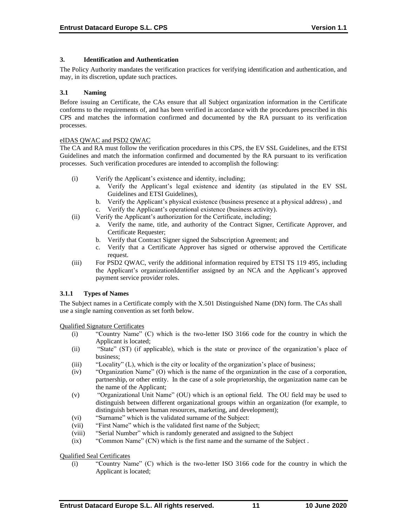## **3. Identification and Authentication**

The Policy Authority mandates the verification practices for verifying identification and authentication, and may, in its discretion, update such practices.

#### **3.1 Naming**

Before issuing an Certificate, the CAs ensure that all Subject organization information in the Certificate conforms to the requirements of, and has been verified in accordance with the procedures prescribed in this CPS and matches the information confirmed and documented by the RA pursuant to its verification processes.

## eIDAS QWAC and PSD2 QWAC

The CA and RA must follow the verification procedures in this CPS, the EV SSL Guidelines, and the ETSI Guidelines and match the information confirmed and documented by the RA pursuant to its verification processes. Such verification procedures are intended to accomplish the following:

- (i) Verify the Applicant's existence and identity, including;
	- a. Verify the Applicant's legal existence and identity (as stipulated in the EV SSL Guidelines and ETSI Guidelines),
	- b. Verify the Applicant's physical existence (business presence at a physical address) , and c. Verify the Applicant's operational existence (business activity).
- (ii) Verify the Applicant's authorization for the Certificate, including;
	- a. Verify the name, title, and authority of the Contract Signer, Certificate Approver, and Certificate Requester;
	- b. Verify that Contract Signer signed the Subscription Agreement; and
	- c. Verify that a Certificate Approver has signed or otherwise approved the Certificate request.
- (iii) For PSD2 QWAC, verify the additional information required by ETSI TS 119 495, including the Applicant's organizationIdentifier assigned by an NCA and the Applicant's approved payment service provider roles.

## **3.1.1 Types of Names**

The Subject names in a Certificate comply with the X.501 Distinguished Name (DN) form. The CAs shall use a single naming convention as set forth below.

Qualified Signature Certificates

- (i) "Country Name" (C) which is the two-letter ISO 3166 code for the country in which the Applicant is located;
- (ii) "State" (ST) (if applicable), which is the state or province of the organization's place of business;
- (iii) "Locality" (L), which is the city or locality of the organization's place of business;
- (iv) "Organization Name" (O) which is the name of the organization in the case of a corporation, partnership, or other entity. In the case of a sole proprietorship, the organization name can be the name of the Applicant;
- (v) "Organizational Unit Name" (OU) which is an optional field. The OU field may be used to distinguish between different organizational groups within an organization (for example, to distinguish between human resources, marketing, and development);
- (vi) "Surname" which is the validated surname of the Subject:
- (vii) "First Name" which is the validated first name of the Subject;
- (viii) "Serial Number" which is randomly generated and assigned to the Subject
- (ix) "Common Name" (CN) which is the first name and the surname of the Subject .

Qualified Seal Certificates

(i) "Country Name" (C) which is the two-letter ISO 3166 code for the country in which the Applicant is located;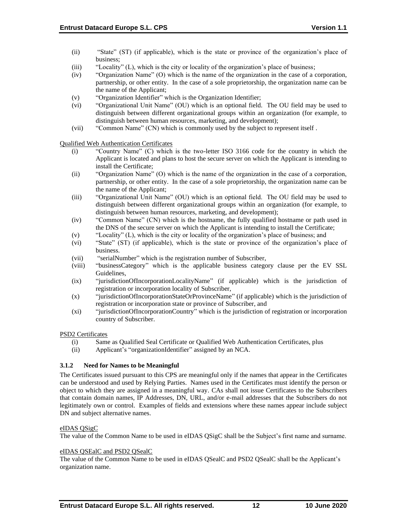- (ii) "State" (ST) (if applicable), which is the state or province of the organization's place of business;
- (iii) "Locality" (L), which is the city or locality of the organization's place of business;
- (iv) "Organization Name" (O) which is the name of the organization in the case of a corporation, partnership, or other entity. In the case of a sole proprietorship, the organization name can be the name of the Applicant;
- (v) "Organization Identifier" which is the Organization Identifier;
- (vi) "Organizational Unit Name" (OU) which is an optional field. The OU field may be used to distinguish between different organizational groups within an organization (for example, to distinguish between human resources, marketing, and development);
- (vii) "Common Name" (CN) which is commonly used by the subject to represent itself .

Qualified Web Authentication Certificates

- (i) "Country Name" (C) which is the two-letter ISO 3166 code for the country in which the Applicant is located and plans to host the secure server on which the Applicant is intending to install the Certificate;
- (ii) "Organization Name" (O) which is the name of the organization in the case of a corporation, partnership, or other entity. In the case of a sole proprietorship, the organization name can be the name of the Applicant;
- (iii) "Organizational Unit Name" (OU) which is an optional field. The OU field may be used to distinguish between different organizational groups within an organization (for example, to distinguish between human resources, marketing, and development);
- (iv) "Common Name" (CN) which is the hostname, the fully qualified hostname or path used in the DNS of the secure server on which the Applicant is intending to install the Certificate;
- (v) "Locality" (L), which is the city or locality of the organization's place of business; and
- (vi) "State" (ST) (if applicable), which is the state or province of the organization's place of business.
- (vii) "serialNumber" which is the registration number of Subscriber,
- (viii) "businessCategory" which is the applicable business category clause per the EV SSL Guidelines,
- (ix) "jurisdictionOfIncorporationLocalityName" (if applicable) which is the jurisdiction of registration or incorporation locality of Subscriber,
- (x) "jurisdictionOfIncorporationStateOrProvinceName" (if applicable) which is the jurisdiction of registration or incorporation state or province of Subscriber, and
- (xi) "jurisdictionOfIncorporationCountry" which is the jurisdiction of registration or incorporation country of Subscriber.

## PSD2 Certificates

- (i) Same as Qualified Seal Certificate or Qualified Web Authentication Certificates, plus
- (ii) Applicant's "organizationIdentifier" assigned by an NCA.

## **3.1.2 Need for Names to be Meaningful**

The Certificates issued pursuant to this CPS are meaningful only if the names that appear in the Certificates can be understood and used by Relying Parties. Names used in the Certificates must identify the person or object to which they are assigned in a meaningful way. CAs shall not issue Certificates to the Subscribers that contain domain names, IP Addresses, DN, URL, and/or e-mail addresses that the Subscribers do not legitimately own or control. Examples of fields and extensions where these names appear include subject DN and subject alternative names.

## eIDAS QSigC

The value of the Common Name to be used in eIDAS QSigC shall be the Subject's first name and surname.

#### eIDAS QSEalC and PSD2 QSealC

The value of the Common Name to be used in eIDAS QSealC and PSD2 QSealC shall be the Applicant's organization name.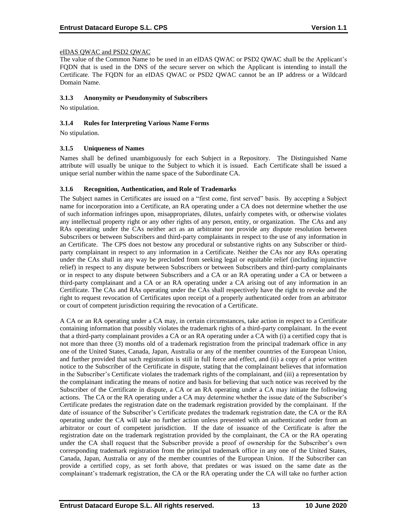## eIDAS QWAC and PSD2 QWAC

The value of the Common Name to be used in an eIDAS QWAC or PSD2 QWAC shall be the Applicant's FQDN that is used in the DNS of the secure server on which the Applicant is intending to install the Certificate. The FQDN for an eIDAS QWAC or PSD2 QWAC cannot be an IP address or a Wildcard Domain Name.

#### **3.1.3 Anonymity or Pseudonymity of Subscribers**

No stipulation.

## **3.1.4 Rules for Interpreting Various Name Forms**

No stipulation.

## **3.1.5 Uniqueness of Names**

Names shall be defined unambiguously for each Subject in a Repository. The Distinguished Name attribute will usually be unique to the Subject to which it is issued. Each Certificate shall be issued a unique serial number within the name space of the Subordinate CA.

## **3.1.6 Recognition, Authentication, and Role of Trademarks**

The Subject names in Certificates are issued on a "first come, first served" basis. By accepting a Subject name for incorporation into a Certificate, an RA operating under a CA does not determine whether the use of such information infringes upon, misappropriates, dilutes, unfairly competes with, or otherwise violates any intellectual property right or any other rights of any person, entity, or organization. The CAs and any RAs operating under the CAs neither act as an arbitrator nor provide any dispute resolution between Subscribers or between Subscribers and third-party complainants in respect to the use of any information in an Certificate. The CPS does not bestow any procedural or substantive rights on any Subscriber or thirdparty complainant in respect to any information in a Certificate. Neither the CAs nor any RAs operating under the CAs shall in any way be precluded from seeking legal or equitable relief (including injunctive relief) in respect to any dispute between Subscribers or between Subscribers and third-party complainants or in respect to any dispute between Subscribers and a CA or an RA operating under a CA or between a third-party complainant and a CA or an RA operating under a CA arising out of any information in an Certificate. The CAs and RAs operating under the CAs shall respectively have the right to revoke and the right to request revocation of Certificates upon receipt of a properly authenticated order from an arbitrator or court of competent jurisdiction requiring the revocation of a Certificate.

A CA or an RA operating under a CA may, in certain circumstances, take action in respect to a Certificate containing information that possibly violates the trademark rights of a third-party complainant. In the event that a third-party complainant provides a CA or an RA operating under a CA with (i) a certified copy that is not more than three (3) months old of a trademark registration from the principal trademark office in any one of the United States, Canada, Japan, Australia or any of the member countries of the European Union, and further provided that such registration is still in full force and effect, and (ii) a copy of a prior written notice to the Subscriber of the Certificate in dispute, stating that the complainant believes that information in the Subscriber's Certificate violates the trademark rights of the complainant, and (iii) a representation by the complainant indicating the means of notice and basis for believing that such notice was received by the Subscriber of the Certificate in dispute, a CA or an RA operating under a CA may initiate the following actions. The CA or the RA operating under a CA may determine whether the issue date of the Subscriber's Certificate predates the registration date on the trademark registration provided by the complainant. If the date of issuance of the Subscriber's Certificate predates the trademark registration date, the CA or the RA operating under the CA will take no further action unless presented with an authenticated order from an arbitrator or court of competent jurisdiction. If the date of issuance of the Certificate is after the registration date on the trademark registration provided by the complainant, the CA or the RA operating under the CA shall request that the Subscriber provide a proof of ownership for the Subscriber's own corresponding trademark registration from the principal trademark office in any one of the United States, Canada, Japan, Australia or any of the member countries of the European Union. If the Subscriber can provide a certified copy, as set forth above, that predates or was issued on the same date as the complainant's trademark registration, the CA or the RA operating under the CA will take no further action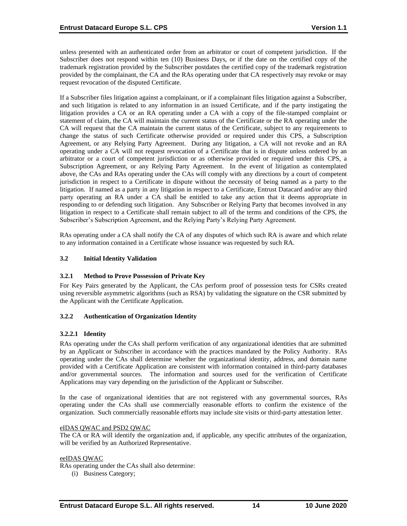unless presented with an authenticated order from an arbitrator or court of competent jurisdiction. If the Subscriber does not respond within ten (10) Business Days, or if the date on the certified copy of the trademark registration provided by the Subscriber postdates the certified copy of the trademark registration provided by the complainant, the CA and the RAs operating under that CA respectively may revoke or may request revocation of the disputed Certificate.

If a Subscriber files litigation against a complainant, or if a complainant files litigation against a Subscriber, and such litigation is related to any information in an issued Certificate, and if the party instigating the litigation provides a CA or an RA operating under a CA with a copy of the file-stamped complaint or statement of claim, the CA will maintain the current status of the Certificate or the RA operating under the CA will request that the CA maintain the current status of the Certificate, subject to any requirements to change the status of such Certificate otherwise provided or required under this CPS, a Subscription Agreement, or any Relying Party Agreement. During any litigation, a CA will not revoke and an RA operating under a CA will not request revocation of a Certificate that is in dispute unless ordered by an arbitrator or a court of competent jurisdiction or as otherwise provided or required under this CPS, a Subscription Agreement, or any Relying Party Agreement. In the event of litigation as contemplated above, the CAs and RAs operating under the CAs will comply with any directions by a court of competent jurisdiction in respect to a Certificate in dispute without the necessity of being named as a party to the litigation. If named as a party in any litigation in respect to a Certificate, Entrust Datacard and/or any third party operating an RA under a CA shall be entitled to take any action that it deems appropriate in responding to or defending such litigation. Any Subscriber or Relying Party that becomes involved in any litigation in respect to a Certificate shall remain subject to all of the terms and conditions of the CPS, the Subscriber's Subscription Agreement, and the Relying Party's Relying Party Agreement.

RAs operating under a CA shall notify the CA of any disputes of which such RA is aware and which relate to any information contained in a Certificate whose issuance was requested by such RA.

## **3.2 Initial Identity Validation**

## **3.2.1 Method to Prove Possession of Private Key**

For Key Pairs generated by the Applicant, the CAs perform proof of possession tests for CSRs created using reversible asymmetric algorithms (such as RSA) by validating the signature on the CSR submitted by the Applicant with the Certificate Application.

## **3.2.2 Authentication of Organization Identity**

## **3.2.2.1 Identity**

RAs operating under the CAs shall perform verification of any organizational identities that are submitted by an Applicant or Subscriber in accordance with the practices mandated by the Policy Authority. RAs operating under the CAs shall determine whether the organizational identity, address, and domain name provided with a Certificate Application are consistent with information contained in third-party databases and/or governmental sources. The information and sources used for the verification of Certificate Applications may vary depending on the jurisdiction of the Applicant or Subscriber.

In the case of organizational identities that are not registered with any governmental sources, RAs operating under the CAs shall use commercially reasonable efforts to confirm the existence of the organization. Such commercially reasonable efforts may include site visits or third-party attestation letter.

#### eIDAS QWAC and PSD2 QWAC

The CA or RA will identify the organization and, if applicable, any specific attributes of the organization, will be verified by an Authorized Representative.

#### eeIDAS QWAC

RAs operating under the CAs shall also determine:

(i) Business Category;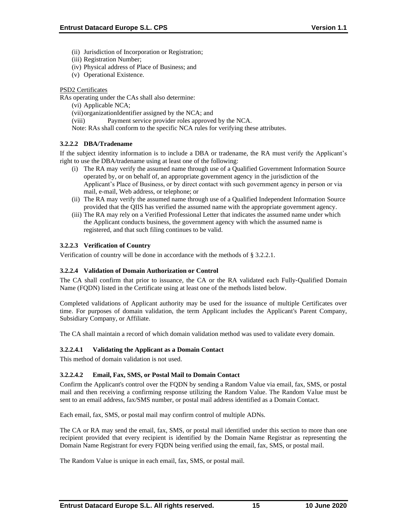- (ii) Jurisdiction of Incorporation or Registration;
- (iii) Registration Number;
- (iv) Physical address of Place of Business; and
- (v) Operational Existence.

## PSD2 Certificates

RAs operating under the CAs shall also determine:

- (vi) Applicable NCA;
- (vii)organizationIdentifier assigned by the NCA; and
- (viii) Payment service provider roles approved by the NCA.
- Note: RAs shall conform to the specific NCA rules for verifying these attributes.

## **3.2.2.2 DBA/Tradename**

If the subject identity information is to include a DBA or tradename, the RA must verify the Applicant's right to use the DBA/tradename using at least one of the following:

- (i) The RA may verify the assumed name through use of a Qualified Government Information Source operated by, or on behalf of, an appropriate government agency in the jurisdiction of the Applicant's Place of Business, or by direct contact with such government agency in person or via mail, e-mail, Web address, or telephone; or
- (ii) The RA may verify the assumed name through use of a Qualified Independent Information Source provided that the QIIS has verified the assumed name with the appropriate government agency.
- (iii) The RA may rely on a Verified Professional Letter that indicates the assumed name under which the Applicant conducts business, the government agency with which the assumed name is registered, and that such filing continues to be valid.

## **3.2.2.3 Verification of Country**

Verification of country will be done in accordance with the methods of § 3.2.2.1.

## **3.2.2.4 Validation of Domain Authorization or Control**

The CA shall confirm that prior to issuance, the CA or the RA validated each Fully‐Qualified Domain Name (FQDN) listed in the Certificate using at least one of the methods listed below.

Completed validations of Applicant authority may be used for the issuance of multiple Certificates over time. For purposes of domain validation, the term Applicant includes the Applicant's Parent Company, Subsidiary Company, or Affiliate.

The CA shall maintain a record of which domain validation method was used to validate every domain.

## **3.2.2.4.1 Validating the Applicant as a Domain Contact**

This method of domain validation is not used.

## **3.2.2.4.2 Email, Fax, SMS, or Postal Mail to Domain Contact**

Confirm the Applicant's control over the FQDN by sending a Random Value via email, fax, SMS, or postal mail and then receiving a confirming response utilizing the Random Value. The Random Value must be sent to an email address, fax/SMS number, or postal mail address identified as a Domain Contact.

Each email, fax, SMS, or postal mail may confirm control of multiple ADNs.

The CA or RA may send the email, fax, SMS, or postal mail identified under this section to more than one recipient provided that every recipient is identified by the Domain Name Registrar as representing the Domain Name Registrant for every FQDN being verified using the email, fax, SMS, or postal mail.

The Random Value is unique in each email, fax, SMS, or postal mail.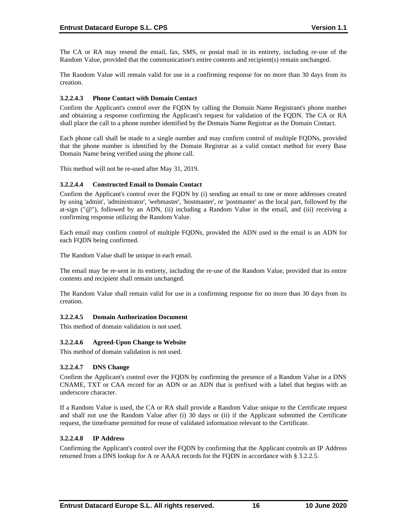The CA or RA may resend the email, fax, SMS, or postal mail in its entirety, including re‐use of the Random Value, provided that the communication's entire contents and recipient(s) remain unchanged.

The Random Value will remain valid for use in a confirming response for no more than 30 days from its creation.

## **3.2.2.4.3 Phone Contact with Domain Contact**

Confirm the Applicant's control over the FQDN by calling the Domain Name Registrant's phone number and obtaining a response confirming the Applicant's request for validation of the FQDN. The CA or RA shall place the call to a phone number identified by the Domain Name Registrar as the Domain Contact.

Each phone call shall be made to a single number and may confirm control of multiple FQDNs, provided that the phone number is identified by the Domain Registrar as a valid contact method for every Base Domain Name being verified using the phone call.

This method will not be re-used after May 31, 2019.

## **3.2.2.4.4 Constructed Email to Domain Contact**

Confirm the Applicant's control over the FQDN by (i) sending an email to one or more addresses created by using 'admin', 'administrator', 'webmaster', 'hostmaster', or 'postmaster' as the local part, followed by the at-sign (" $@$ "), followed by an ADN, (ii) including a Random Value in the email, and (iii) receiving a confirming response utilizing the Random Value.

Each email may confirm control of multiple FQDNs, provided the ADN used in the email is an ADN for each FQDN being confirmed.

The Random Value shall be unique in each email.

The email may be re-sent in its entirety, including the re-use of the Random Value, provided that its entire contents and recipient shall remain unchanged.

The Random Value shall remain valid for use in a confirming response for no more than 30 days from its creation.

#### **3.2.2.4.5 Domain Authorization Document**

This method of domain validation is not used.

#### **3.2.2.4.6 Agreed-Upon Change to Website**

This method of domain validation is not used.

#### **3.2.2.4.7 DNS Change**

Confirm the Applicant's control over the FQDN by confirming the presence of a Random Value in a DNS CNAME, TXT or CAA record for an ADN or an ADN that is prefixed with a label that begins with an underscore character.

If a Random Value is used, the CA or RA shall provide a Random Value unique to the Certificate request and shall not use the Random Value after (i) 30 days or (ii) if the Applicant submitted the Certificate request, the timeframe permitted for reuse of validated information relevant to the Certificate.

#### **3.2.2.4.8 IP Address**

Confirming the Applicant's control over the FQDN by confirming that the Applicant controls an IP Address returned from a DNS lookup for A or AAAA records for the FQDN in accordance with § 3.2.2.5.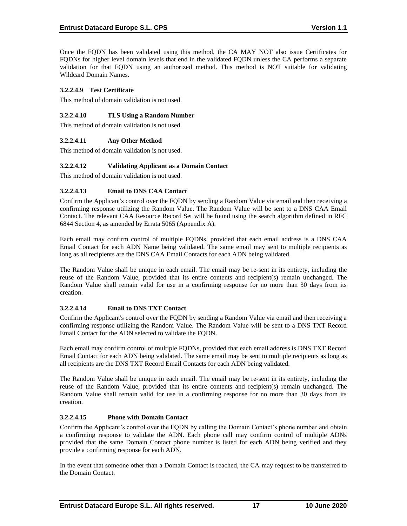Once the FQDN has been validated using this method, the CA MAY NOT also issue Certificates for FODNs for higher level domain levels that end in the validated FODN unless the CA performs a separate validation for that FQDN using an authorized method. This method is NOT suitable for validating Wildcard Domain Names.

## **3.2.2.4.9 Test Certificate**

This method of domain validation is not used.

#### **3.2.2.4.10 TLS Using a Random Number**

This method of domain validation is not used.

## **3.2.2.4.11 Any Other Method**

This method of domain validation is not used.

## **3.2.2.4.12 Validating Applicant as a Domain Contact**

This method of domain validation is not used.

## **3.2.2.4.13 Email to DNS CAA Contact**

Confirm the Applicant's control over the FQDN by sending a Random Value via email and then receiving a confirming response utilizing the Random Value. The Random Value will be sent to a DNS CAA Email Contact. The relevant CAA Resource Record Set will be found using the search algorithm defined in RFC 6844 Section 4, as amended by Errata 5065 (Appendix A).

Each email may confirm control of multiple FQDNs, provided that each email address is a DNS CAA Email Contact for each ADN Name being validated. The same email may sent to multiple recipients as long as all recipients are the DNS CAA Email Contacts for each ADN being validated.

The Random Value shall be unique in each email. The email may be re-sent in its entirety, including the reuse of the Random Value, provided that its entire contents and recipient(s) remain unchanged. The Random Value shall remain valid for use in a confirming response for no more than 30 days from its creation.

#### **3.2.2.4.14 Email to DNS TXT Contact**

Confirm the Applicant's control over the FQDN by sending a Random Value via email and then receiving a confirming response utilizing the Random Value. The Random Value will be sent to a DNS TXT Record Email Contact for the ADN selected to validate the FQDN.

Each email may confirm control of multiple FQDNs, provided that each email address is DNS TXT Record Email Contact for each ADN being validated. The same email may be sent to multiple recipients as long as all recipients are the DNS TXT Record Email Contacts for each ADN being validated.

The Random Value shall be unique in each email. The email may be re-sent in its entirety, including the reuse of the Random Value, provided that its entire contents and recipient(s) remain unchanged. The Random Value shall remain valid for use in a confirming response for no more than 30 days from its creation.

## **3.2.2.4.15 Phone with Domain Contact**

Confirm the Applicant's control over the FQDN by calling the Domain Contact's phone number and obtain a confirming response to validate the ADN. Each phone call may confirm control of multiple ADNs provided that the same Domain Contact phone number is listed for each ADN being verified and they provide a confirming response for each ADN.

In the event that someone other than a Domain Contact is reached, the CA may request to be transferred to the Domain Contact.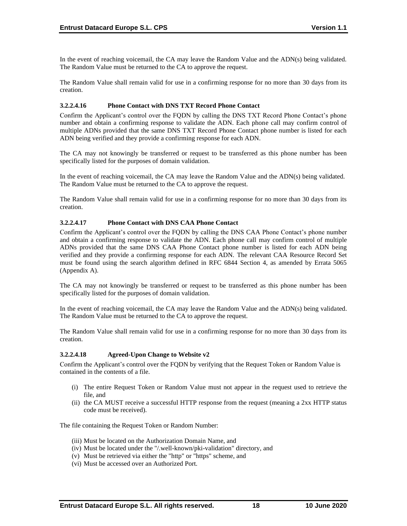In the event of reaching voicemail, the CA may leave the Random Value and the ADN(s) being validated. The Random Value must be returned to the CA to approve the request.

The Random Value shall remain valid for use in a confirming response for no more than 30 days from its creation.

#### **3.2.2.4.16 Phone Contact with DNS TXT Record Phone Contact**

Confirm the Applicant's control over the FQDN by calling the DNS TXT Record Phone Contact's phone number and obtain a confirming response to validate the ADN. Each phone call may confirm control of multiple ADNs provided that the same DNS TXT Record Phone Contact phone number is listed for each ADN being verified and they provide a confirming response for each ADN.

The CA may not knowingly be transferred or request to be transferred as this phone number has been specifically listed for the purposes of domain validation.

In the event of reaching voicemail, the CA may leave the Random Value and the ADN(s) being validated. The Random Value must be returned to the CA to approve the request.

The Random Value shall remain valid for use in a confirming response for no more than 30 days from its creation.

## **3.2.2.4.17 Phone Contact with DNS CAA Phone Contact**

Confirm the Applicant's control over the FQDN by calling the DNS CAA Phone Contact's phone number and obtain a confirming response to validate the ADN. Each phone call may confirm control of multiple ADNs provided that the same DNS CAA Phone Contact phone number is listed for each ADN being verified and they provide a confirming response for each ADN. The relevant CAA Resource Record Set must be found using the search algorithm defined in RFC 6844 Section 4, as amended by Errata 5065 (Appendix A).

The CA may not knowingly be transferred or request to be transferred as this phone number has been specifically listed for the purposes of domain validation.

In the event of reaching voicemail, the CA may leave the Random Value and the ADN(s) being validated. The Random Value must be returned to the CA to approve the request.

The Random Value shall remain valid for use in a confirming response for no more than 30 days from its creation.

#### **3.2.2.4.18 Agreed-Upon Change to Website v2**

Confirm the Applicant's control over the FQDN by verifying that the Request Token or Random Value is contained in the contents of a file.

- (i) The entire Request Token or Random Value must not appear in the request used to retrieve the file, and
- (ii) the CA MUST receive a successful HTTP response from the request (meaning a 2xx HTTP status code must be received).

The file containing the Request Token or Random Number:

- (iii) Must be located on the Authorization Domain Name, and
- (iv) Must be located under the "/.well-known/pki-validation" directory, and
- (v) Must be retrieved via either the "http" or "https" scheme, and
- (vi) Must be accessed over an Authorized Port.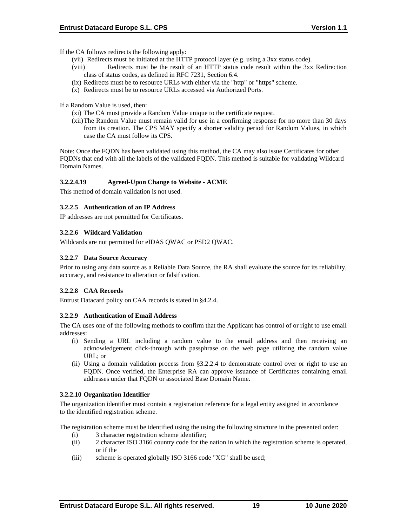If the CA follows redirects the following apply:

- (vii) Redirects must be initiated at the HTTP protocol layer (e.g. using a 3xx status code).
- (viii) Redirects must be the result of an HTTP status code result within the 3xx Redirection class of status codes, as defined in RFC 7231, Section 6.4.
- (ix) Redirects must be to resource URLs with either via the "http" or "https" scheme.
- (x) Redirects must be to resource URLs accessed via Authorized Ports.

If a Random Value is used, then:

- (xi) The CA must provide a Random Value unique to the certificate request.
- (xii)The Random Value must remain valid for use in a confirming response for no more than 30 days from its creation. The CPS MAY specify a shorter validity period for Random Values, in which case the CA must follow its CPS.

Note: Once the FQDN has been validated using this method, the CA may also issue Certificates for other FQDNs that end with all the labels of the validated FQDN. This method is suitable for validating Wildcard Domain Names.

## **3.2.2.4.19 Agreed-Upon Change to Website - ACME**

This method of domain validation is not used.

## **3.2.2.5 Authentication of an IP Address**

IP addresses are not permitted for Certificates.

## **3.2.2.6 Wildcard Validation**

Wildcards are not permitted for eIDAS QWAC or PSD2 QWAC.

## **3.2.2.7 Data Source Accuracy**

Prior to using any data source as a Reliable Data Source, the RA shall evaluate the source for its reliability, accuracy, and resistance to alteration or falsification.

## **3.2.2.8 CAA Records**

Entrust Datacard policy on CAA records is stated in §4.2.4.

#### **3.2.2.9 Authentication of Email Address**

The CA uses one of the following methods to confirm that the Applicant has control of or right to use email addresses:

- (i) Sending a URL including a random value to the email address and then receiving an acknowledgement click-through with passphrase on the web page utilizing the random value URL; or
- (ii) Using a domain validation process from §3.2.2.4 to demonstrate control over or right to use an FQDN. Once verified, the Enterprise RA can approve issuance of Certificates containing email addresses under that FQDN or associated Base Domain Name.

#### **3.2.2.10 Organization Identifier**

The organization identifier must contain a registration reference for a legal entity assigned in accordance to the identified registration scheme.

The registration scheme must be identified using the using the following structure in the presented order:

- (i) 3 character registration scheme identifier;
- (ii) 2 character ISO 3166 country code for the nation in which the registration scheme is operated, or if the
- (iii) scheme is operated globally ISO 3166 code "XG" shall be used;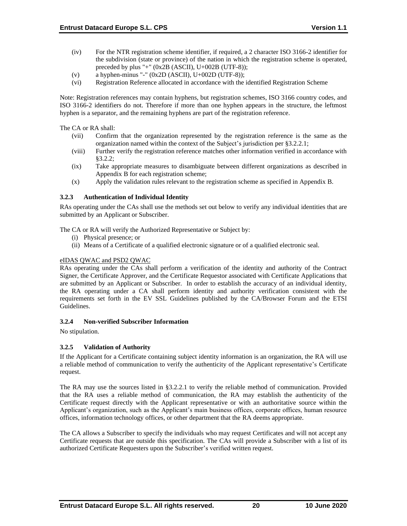- (iv) For the NTR registration scheme identifier, if required, a 2 character ISO 3166-2 identifier for the subdivision (state or province) of the nation in which the registration scheme is operated, preceded by plus "+"  $(0x2B (ASCII), U+002B (UTF-8));$
- (v) a hyphen-minus "-"  $(0x2D (ASCII), U+002D (UTF-8));$
- (vi) Registration Reference allocated in accordance with the identified Registration Scheme

Note: Registration references may contain hyphens, but registration schemes, ISO 3166 country codes, and ISO 3166-2 identifiers do not. Therefore if more than one hyphen appears in the structure, the leftmost hyphen is a separator, and the remaining hyphens are part of the registration reference.

The CA or RA shall:

- (vii) Confirm that the organization represented by the registration reference is the same as the organization named within the context of the Subject's jurisdiction per §3.2.2.1;
- (viii) Further verify the registration reference matches other information verified in accordance with §3.2.2;
- (ix) Take appropriate measures to disambiguate between different organizations as described in Appendix B for each registration scheme;
- (x) Apply the validation rules relevant to the registration scheme as specified in Appendix B.

## **3.2.3 Authentication of Individual Identity**

RAs operating under the CAs shall use the methods set out below to verify any individual identities that are submitted by an Applicant or Subscriber.

The CA or RA will verify the Authorized Representative or Subject by:

- (i) Physical presence; or
- (ii) Means of a Certificate of a qualified electronic signature or of a qualified electronic seal.

## eIDAS QWAC and PSD2 QWAC

RAs operating under the CAs shall perform a verification of the identity and authority of the Contract Signer, the Certificate Approver, and the Certificate Requestor associated with Certificate Applications that are submitted by an Applicant or Subscriber. In order to establish the accuracy of an individual identity, the RA operating under a CA shall perform identity and authority verification consistent with the requirements set forth in the EV SSL Guidelines published by the CA/Browser Forum and the ETSI Guidelines.

#### **3.2.4 Non-verified Subscriber Information**

No stipulation.

## **3.2.5 Validation of Authority**

If the Applicant for a Certificate containing subject identity information is an organization, the RA will use a reliable method of communication to verify the authenticity of the Applicant representative's Certificate request.

The RA may use the sources listed in §3.2.2.1 to verify the reliable method of communication. Provided that the RA uses a reliable method of communication, the RA may establish the authenticity of the Certificate request directly with the Applicant representative or with an authoritative source within the Applicant's organization, such as the Applicant's main business offices, corporate offices, human resource offices, information technology offices, or other department that the RA deems appropriate.

The CA allows a Subscriber to specify the individuals who may request Certificates and will not accept any Certificate requests that are outside this specification. The CAs will provide a Subscriber with a list of its authorized Certificate Requesters upon the Subscriber's verified written request.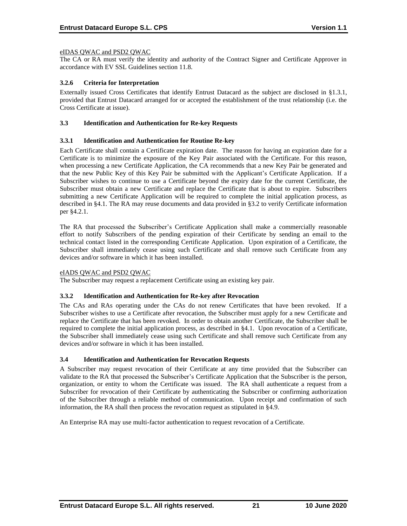## eIDAS QWAC and PSD2 QWAC

The CA or RA must verify the identity and authority of the Contract Signer and Certificate Approver in accordance with EV SSL Guidelines section 11.8.

## **3.2.6 Criteria for Interpretation**

Externally issued Cross Certificates that identify Entrust Datacard as the subject are disclosed in §1.3.1, provided that Entrust Datacard arranged for or accepted the establishment of the trust relationship (i.e. the Cross Certificate at issue).

#### **3.3 Identification and Authentication for Re-key Requests**

## **3.3.1 Identification and Authentication for Routine Re-key**

Each Certificate shall contain a Certificate expiration date. The reason for having an expiration date for a Certificate is to minimize the exposure of the Key Pair associated with the Certificate. For this reason, when processing a new Certificate Application, the CA recommends that a new Key Pair be generated and that the new Public Key of this Key Pair be submitted with the Applicant's Certificate Application. If a Subscriber wishes to continue to use a Certificate beyond the expiry date for the current Certificate, the Subscriber must obtain a new Certificate and replace the Certificate that is about to expire. Subscribers submitting a new Certificate Application will be required to complete the initial application process, as described in §4.1. The RA may reuse documents and data provided in §3.2 to verify Certificate information per §4.2.1.

The RA that processed the Subscriber's Certificate Application shall make a commercially reasonable effort to notify Subscribers of the pending expiration of their Certificate by sending an email to the technical contact listed in the corresponding Certificate Application. Upon expiration of a Certificate, the Subscriber shall immediately cease using such Certificate and shall remove such Certificate from any devices and/or software in which it has been installed.

#### eIADS QWAC and PSD2 QWAC

The Subscriber may request a replacement Certificate using an existing key pair.

#### **3.3.2 Identification and Authentication for Re-key after Revocation**

The CAs and RAs operating under the CAs do not renew Certificates that have been revoked. If a Subscriber wishes to use a Certificate after revocation, the Subscriber must apply for a new Certificate and replace the Certificate that has been revoked. In order to obtain another Certificate, the Subscriber shall be required to complete the initial application process, as described in §4.1. Upon revocation of a Certificate, the Subscriber shall immediately cease using such Certificate and shall remove such Certificate from any devices and/or software in which it has been installed.

## **3.4 Identification and Authentication for Revocation Requests**

A Subscriber may request revocation of their Certificate at any time provided that the Subscriber can validate to the RA that processed the Subscriber's Certificate Application that the Subscriber is the person, organization, or entity to whom the Certificate was issued. The RA shall authenticate a request from a Subscriber for revocation of their Certificate by authenticating the Subscriber or confirming authorization of the Subscriber through a reliable method of communication. Upon receipt and confirmation of such information, the RA shall then process the revocation request as stipulated in §4.9.

An Enterprise RA may use multi-factor authentication to request revocation of a Certificate.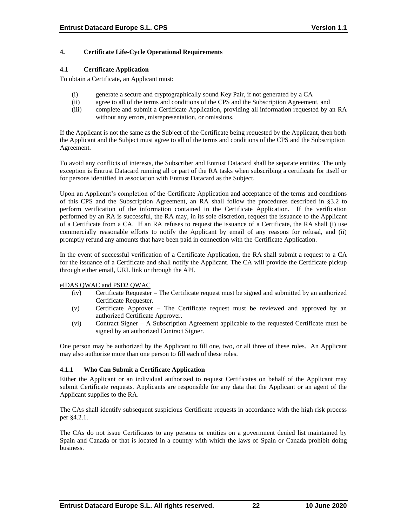## **4. Certificate Life-Cycle Operational Requirements**

## **4.1 Certificate Application**

To obtain a Certificate, an Applicant must:

- (i) generate a secure and cryptographically sound Key Pair, if not generated by a CA
- (ii) agree to all of the terms and conditions of the CPS and the Subscription Agreement, and
- (iii) complete and submit a Certificate Application, providing all information requested by an RA without any errors, misrepresentation, or omissions.

If the Applicant is not the same as the Subject of the Certificate being requested by the Applicant, then both the Applicant and the Subject must agree to all of the terms and conditions of the CPS and the Subscription Agreement.

To avoid any conflicts of interests, the Subscriber and Entrust Datacard shall be separate entities. The only exception is Entrust Datacard running all or part of the RA tasks when subscribing a certificate for itself or for persons identified in association with Entrust Datacard as the Subject.

Upon an Applicant's completion of the Certificate Application and acceptance of the terms and conditions of this CPS and the Subscription Agreement, an RA shall follow the procedures described in §3.2 to perform verification of the information contained in the Certificate Application. If the verification performed by an RA is successful, the RA may, in its sole discretion, request the issuance to the Applicant of a Certificate from a CA. If an RA refuses to request the issuance of a Certificate, the RA shall (i) use commercially reasonable efforts to notify the Applicant by email of any reasons for refusal, and (ii) promptly refund any amounts that have been paid in connection with the Certificate Application.

In the event of successful verification of a Certificate Application, the RA shall submit a request to a CA for the issuance of a Certificate and shall notify the Applicant. The CA will provide the Certificate pickup through either email, URL link or through the API.

#### eIDAS QWAC and PSD2 QWAC

- (iv) Certificate Requester The Certificate request must be signed and submitted by an authorized Certificate Requester.
- (v) Certificate Approver The Certificate request must be reviewed and approved by an authorized Certificate Approver.
- (vi) Contract Signer A Subscription Agreement applicable to the requested Certificate must be signed by an authorized Contract Signer.

One person may be authorized by the Applicant to fill one, two, or all three of these roles. An Applicant may also authorize more than one person to fill each of these roles.

## **4.1.1 Who Can Submit a Certificate Application**

Either the Applicant or an individual authorized to request Certificates on behalf of the Applicant may submit Certificate requests. Applicants are responsible for any data that the Applicant or an agent of the Applicant supplies to the RA.

The CAs shall identify subsequent suspicious Certificate requests in accordance with the high risk process per §4.2.1.

The CAs do not issue Certificates to any persons or entities on a government denied list maintained by Spain and Canada or that is located in a country with which the laws of Spain or Canada prohibit doing business.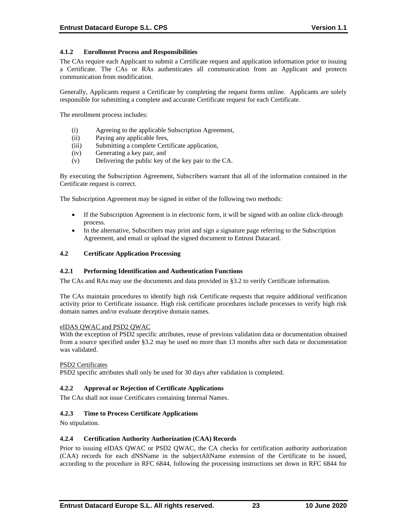## **4.1.2 Enrollment Process and Responsibilities**

The CAs require each Applicant to submit a Certificate request and application information prior to issuing a Certificate. The CAs or RAs authenticates all communication from an Applicant and protects communication from modification.

Generally, Applicants request a Certificate by completing the request forms online. Applicants are solely responsible for submitting a complete and accurate Certificate request for each Certificate.

The enrollment process includes:

- (i) Agreeing to the applicable Subscription Agreement,
- (ii) Paying any applicable fees,
- (iii) Submitting a complete Certificate application,
- (iv) Generating a key pair, and
- (v) Delivering the public key of the key pair to the CA.

By executing the Subscription Agreement, Subscribers warrant that all of the information contained in the Certificate request is correct.

The Subscription Agreement may be signed in either of the following two methods:

- If the Subscription Agreement is in electronic form, it will be signed with an online click-through process.
- In the alternative, Subscribers may print and sign a signature page referring to the Subscription Agreement, and email or upload the signed document to Entrust Datacard.

#### **4.2 Certificate Application Processing**

#### **4.2.1 Performing Identification and Authentication Functions**

The CAs and RAs may use the documents and data provided in §3.2 to verify Certificate information.

The CAs maintain procedures to identify high risk Certificate requests that require additional verification activity prior to Certificate issuance. High risk certificate procedures include processes to verify high risk domain names and/or evaluate deceptive domain names.

#### eIDAS QWAC and PSD2 QWAC

With the exception of PSD2 specific attributes, reuse of previous validation data or documentation obtained from a source specified under §3.2 may be used no more than 13 months after such data or documentation was validated.

#### PSD2 Certificates

PSD2 specific attributes shall only be used for 30 days after validation is completed.

#### **4.2.2 Approval or Rejection of Certificate Applications**

The CAs shall not issue Certificates containing Internal Names.

#### **4.2.3 Time to Process Certificate Applications**

No stipulation.

#### **4.2.4 Certification Authority Authorization (CAA) Records**

Prior to issuing eIDAS QWAC or PSD2 QWAC, the CA checks for certification authority authorization (CAA) records for each dNSName in the subjectAltName extension of the Certificate to be issued, according to the procedure in RFC 6844, following the processing instructions set down in RFC 6844 for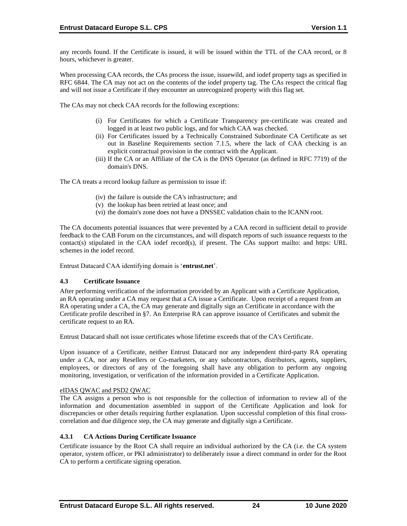any records found. If the Certificate is issued, it will be issued within the TTL of the CAA record, or 8 hours, whichever is greater.

When processing CAA records, the CAs process the issue, issuewild, and iodef property tags as specified in RFC 6844. The CA may not act on the contents of the iodef property tag. The CAs respect the critical flag and will not issue a Certificate if they encounter an unrecognized property with this flag set.

The CAs may not check CAA records for the following exceptions:

- (i) For Certificates for which a Certificate Transparency pre‐certificate was created and logged in at least two public logs, and for which CAA was checked.
- (ii) For Certificates issued by a Technically Constrained Subordinate CA Certificate as set out in Baseline Requirements section 7.1.5, where the lack of CAA checking is an explicit contractual provision in the contract with the Applicant.
- (iii) If the CA or an Affiliate of the CA is the DNS Operator (as defined in RFC 7719) of the domain's DNS.

The CA treats a record lookup failure as permission to issue if:

- (iv) the failure is outside the CA's infrastructure; and
- (v) the lookup has been retried at least once; and
- (vi) the domain's zone does not have a DNSSEC validation chain to the ICANN root.

The CA documents potential issuances that were prevented by a CAA record in sufficient detail to provide feedback to the CAB Forum on the circumstances, and will dispatch reports of such issuance requests to the contact(s) stipulated in the CAA iodef record(s), if present. The CAs support mailto: and https: URL schemes in the iodef record.

Entrust Datacard CAA identifying domain is '**entrust.net**'.

#### **4.3 Certificate Issuance**

After performing verification of the information provided by an Applicant with a Certificate Application, an RA operating under a CA may request that a CA issue a Certificate. Upon receipt of a request from an RA operating under a CA, the CA may generate and digitally sign an Certificate in accordance with the Certificate profile described in §7. An Enterprise RA can approve issuance of Certificates and submit the certificate request to an RA.

Entrust Datacard shall not issue certificates whose lifetime exceeds that of the CA's Certificate.

Upon issuance of a Certificate, neither Entrust Datacard nor any independent third-party RA operating under a CA, nor any Resellers or Co-marketers, or any subcontractors, distributors, agents, suppliers, employees, or directors of any of the foregoing shall have any obligation to perform any ongoing monitoring, investigation, or verification of the information provided in a Certificate Application.

#### eIDAS QWAC and PSD2 QWAC

The CA assigns a person who is not responsible for the collection of information to review all of the information and documentation assembled in support of the Certificate Application and look for discrepancies or other details requiring further explanation. Upon successful completion of this final crosscorrelation and due diligence step, the CA may generate and digitally sign a Certificate.

## **4.3.1 CA Actions During Certificate Issuance**

Certificate issuance by the Root CA shall require an individual authorized by the CA (i.e. the CA system operator, system officer, or PKI administrator) to deliberately issue a direct command in order for the Root CA to perform a certificate signing operation.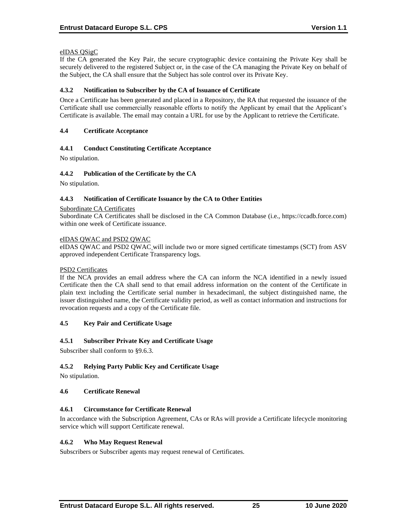## eIDAS QSigC

If the CA generated the Key Pair, the secure cryptographic device containing the Private Key shall be securely delivered to the registered Subject or, in the case of the CA managing the Private Key on behalf of the Subject, the CA shall ensure that the Subject has sole control over its Private Key.

## **4.3.2 Notification to Subscriber by the CA of Issuance of Certificate**

Once a Certificate has been generated and placed in a Repository, the RA that requested the issuance of the Certificate shall use commercially reasonable efforts to notify the Applicant by email that the Applicant's Certificate is available. The email may contain a URL for use by the Applicant to retrieve the Certificate.

## **4.4 Certificate Acceptance**

## **4.4.1 Conduct Constituting Certificate Acceptance**

No stipulation.

## **4.4.2 Publication of the Certificate by the CA**

No stipulation.

#### **4.4.3 Notification of Certificate Issuance by the CA to Other Entities**

#### Subordinate CA Certificates

Subordinate CA Certificates shall be disclosed in the CA Common Database (i.e., https://ccadb.force.com) within one week of Certificate issuance.

#### eIDAS QWAC and PSD2 QWAC

eIDAS QWAC and PSD2 QWAC will include two or more signed certificate timestamps (SCT) from ASV approved independent Certificate Transparency logs.

#### PSD2 Certificates

If the NCA provides an email address where the CA can inform the NCA identified in a newly issued Certificate then the CA shall send to that email address information on the content of the Certificate in plain text including the Certificate serial number in hexadecimanl, the subject distinguished name, the issuer distinguished name, the Certificate validity period, as well as contact information and instructions for revocation requests and a copy of the Certificate file.

#### **4.5 Key Pair and Certificate Usage**

#### **4.5.1 Subscriber Private Key and Certificate Usage**

Subscriber shall conform to §9.6.3.

## **4.5.2 Relying Party Public Key and Certificate Usage**

No stipulation.

#### **4.6 Certificate Renewal**

#### **4.6.1 Circumstance for Certificate Renewal**

In accordance with the Subscription Agreement, CAs or RAs will provide a Certificate lifecycle monitoring service which will support Certificate renewal.

#### **4.6.2 Who May Request Renewal**

Subscribers or Subscriber agents may request renewal of Certificates.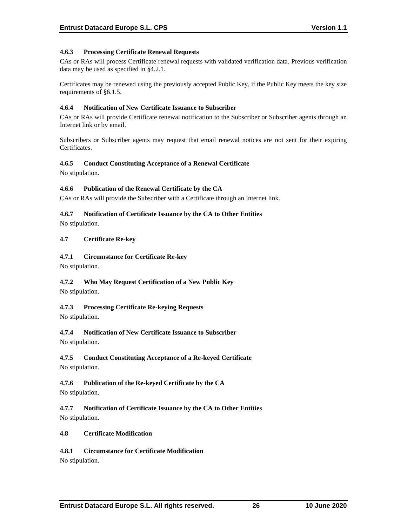## **4.6.3 Processing Certificate Renewal Requests**

CAs or RAs will process Certificate renewal requests with validated verification data. Previous verification data may be used as specified in §4.2.1.

Certificates may be renewed using the previously accepted Public Key, if the Public Key meets the key size requirements of §6.1.5.

## **4.6.4 Notification of New Certificate Issuance to Subscriber**

CAs or RAs will provide Certificate renewal notification to the Subscriber or Subscriber agents through an Internet link or by email.

Subscribers or Subscriber agents may request that email renewal notices are not sent for their expiring Certificates.

## **4.6.5 Conduct Constituting Acceptance of a Renewal Certificate**

No stipulation.

## **4.6.6 Publication of the Renewal Certificate by the CA**

CAs or RAs will provide the Subscriber with a Certificate through an Internet link.

## **4.6.7 Notification of Certificate Issuance by the CA to Other Entities**

No stipulation.

## **4.7 Certificate Re-key**

## **4.7.1 Circumstance for Certificate Re-key**

No stipulation.

# **4.7.2 Who May Request Certification of a New Public Key**

No stipulation.

## **4.7.3 Processing Certificate Re-keying Requests**

No stipulation.

## **4.7.4 Notification of New Certificate Issuance to Subscriber**

No stipulation.

## **4.7.5 Conduct Constituting Acceptance of a Re-keyed Certificate**

No stipulation.

## **4.7.6 Publication of the Re-keyed Certificate by the CA**

No stipulation.

**4.7.7 Notification of Certificate Issuance by the CA to Other Entities** No stipulation.

## **4.8 Certificate Modification**

## **4.8.1 Circumstance for Certificate Modification**

No stipulation.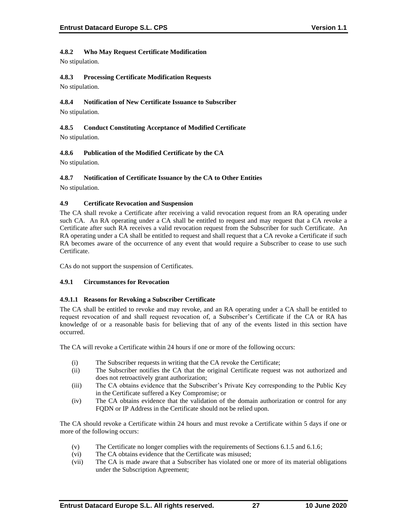## **4.8.2 Who May Request Certificate Modification**

No stipulation.

## **4.8.3 Processing Certificate Modification Requests**

No stipulation.

## **4.8.4 Notification of New Certificate Issuance to Subscriber**

No stipulation.

## **4.8.5 Conduct Constituting Acceptance of Modified Certificate** No stipulation.

## **4.8.6 Publication of the Modified Certificate by the CA**

No stipulation.

## **4.8.7 Notification of Certificate Issuance by the CA to Other Entities**

No stipulation.

## **4.9 Certificate Revocation and Suspension**

The CA shall revoke a Certificate after receiving a valid revocation request from an RA operating under such CA. An RA operating under a CA shall be entitled to request and may request that a CA revoke a Certificate after such RA receives a valid revocation request from the Subscriber for such Certificate. An RA operating under a CA shall be entitled to request and shall request that a CA revoke a Certificate if such RA becomes aware of the occurrence of any event that would require a Subscriber to cease to use such Certificate.

CAs do not support the suspension of Certificates.

## **4.9.1 Circumstances for Revocation**

## **4.9.1.1 Reasons for Revoking a Subscriber Certificate**

The CA shall be entitled to revoke and may revoke, and an RA operating under a CA shall be entitled to request revocation of and shall request revocation of, a Subscriber's Certificate if the CA or RA has knowledge of or a reasonable basis for believing that of any of the events listed in this section have occurred.

The CA will revoke a Certificate within 24 hours if one or more of the following occurs:

- (i) The Subscriber requests in writing that the CA revoke the Certificate;
- (ii) The Subscriber notifies the CA that the original Certificate request was not authorized and does not retroactively grant authorization;
- (iii) The CA obtains evidence that the Subscriber's Private Key corresponding to the Public Key in the Certificate suffered a Key Compromise; or
- (iv) The CA obtains evidence that the validation of the domain authorization or control for any FQDN or IP Address in the Certificate should not be relied upon.

The CA should revoke a Certificate within 24 hours and must revoke a Certificate within 5 days if one or more of the following occurs:

- (v) The Certificate no longer complies with the requirements of Sections 6.1.5 and 6.1.6;
- (vi) The CA obtains evidence that the Certificate was misused;
- (vii) The CA is made aware that a Subscriber has violated one or more of its material obligations under the Subscription Agreement;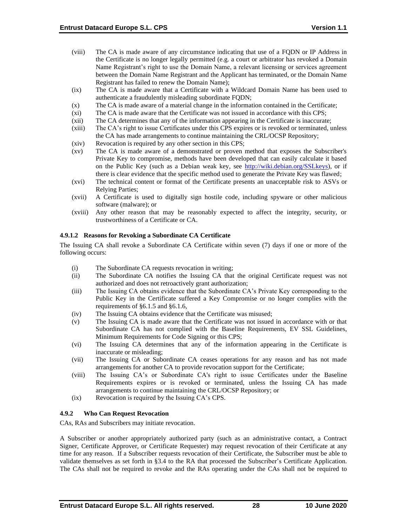- (viii) The CA is made aware of any circumstance indicating that use of a FQDN or IP Address in the Certificate is no longer legally permitted (e.g. a court or arbitrator has revoked a Domain Name Registrant's right to use the Domain Name, a relevant licensing or services agreement between the Domain Name Registrant and the Applicant has terminated, or the Domain Name Registrant has failed to renew the Domain Name);
- (ix) The CA is made aware that a Certificate with a Wildcard Domain Name has been used to authenticate a fraudulently misleading subordinate FQDN;
- (x) The CA is made aware of a material change in the information contained in the Certificate;
- (xi) The CA is made aware that the Certificate was not issued in accordance with this CPS;
- (xii) The CA determines that any of the information appearing in the Certificate is inaccurate;
- (xiii) The CA's right to issue Certificates under this CPS expires or is revoked or terminated, unless the CA has made arrangements to continue maintaining the CRL/OCSP Repository;
- (xiv) Revocation is required by any other section in this CPS;
- (xv) The CA is made aware of a demonstrated or proven method that exposes the Subscriber's Private Key to compromise, methods have been developed that can easily calculate it based on the Public Key (such as a Debian weak key, see [http://wiki.debian.org/SSLkeys\)](http://wiki.debian.org/SSLkeys), or if there is clear evidence that the specific method used to generate the Private Key was flawed;
- (xvi) The technical content or format of the Certificate presents an unacceptable risk to ASVs or Relying Parties;
- (xvii) A Certificate is used to digitally sign hostile code, including spyware or other malicious software (malware); or
- (xviii) Any other reason that may be reasonably expected to affect the integrity, security, or trustworthiness of a Certificate or CA.

#### **4.9.1.2 Reasons for Revoking a Subordinate CA Certificate**

The Issuing CA shall revoke a Subordinate CA Certificate within seven (7) days if one or more of the following occurs:

- (i) The Subordinate CA requests revocation in writing;
- (ii) The Subordinate CA notifies the Issuing CA that the original Certificate request was not authorized and does not retroactively grant authorization;
- (iii) The Issuing CA obtains evidence that the Subordinate CA's Private Key corresponding to the Public Key in the Certificate suffered a Key Compromise or no longer complies with the requirements of §6.1.5 and §6.1.6,
- (iv) The Issuing CA obtains evidence that the Certificate was misused;
- (v) The Issuing CA is made aware that the Certificate was not issued in accordance with or that Subordinate CA has not complied with the Baseline Requirements, EV SSL Guidelines, Minimum Requirements for Code Signing or this CPS;
- (vi) The Issuing CA determines that any of the information appearing in the Certificate is inaccurate or misleading;
- (vii) The Issuing CA or Subordinate CA ceases operations for any reason and has not made arrangements for another CA to provide revocation support for the Certificate;
- (viii) The Issuing CA's or Subordinate CA's right to issue Certificates under the Baseline Requirements expires or is revoked or terminated, unless the Issuing CA has made arrangements to continue maintaining the CRL/OCSP Repository; or
- (ix) Revocation is required by the Issuing CA's CPS.

#### **4.9.2 Who Can Request Revocation**

CAs, RAs and Subscribers may initiate revocation.

A Subscriber or another appropriately authorized party (such as an administrative contact, a Contract Signer, Certificate Approver, or Certificate Requester) may request revocation of their Certificate at any time for any reason. If a Subscriber requests revocation of their Certificate, the Subscriber must be able to validate themselves as set forth in §3.4 to the RA that processed the Subscriber's Certificate Application. The CAs shall not be required to revoke and the RAs operating under the CAs shall not be required to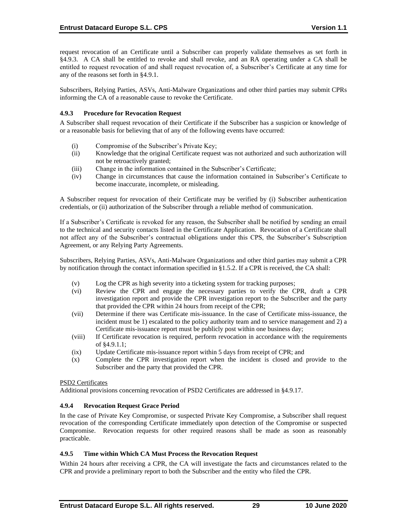request revocation of an Certificate until a Subscriber can properly validate themselves as set forth in §4.9.3. A CA shall be entitled to revoke and shall revoke, and an RA operating under a CA shall be entitled to request revocation of and shall request revocation of, a Subscriber's Certificate at any time for any of the reasons set forth in §4.9.1.

Subscribers, Relying Parties, ASVs, Anti-Malware Organizations and other third parties may submit CPRs informing the CA of a reasonable cause to revoke the Certificate.

### **4.9.3 Procedure for Revocation Request**

A Subscriber shall request revocation of their Certificate if the Subscriber has a suspicion or knowledge of or a reasonable basis for believing that of any of the following events have occurred:

- (i) Compromise of the Subscriber's Private Key;
- (ii) Knowledge that the original Certificate request was not authorized and such authorization will not be retroactively granted;
- (iii) Change in the information contained in the Subscriber's Certificate;
- (iv) Change in circumstances that cause the information contained in Subscriber's Certificate to become inaccurate, incomplete, or misleading.

A Subscriber request for revocation of their Certificate may be verified by (i) Subscriber authentication credentials, or (ii) authorization of the Subscriber through a reliable method of communication.

If a Subscriber's Certificate is revoked for any reason, the Subscriber shall be notified by sending an email to the technical and security contacts listed in the Certificate Application. Revocation of a Certificate shall not affect any of the Subscriber's contractual obligations under this CPS, the Subscriber's Subscription Agreement, or any Relying Party Agreements.

Subscribers, Relying Parties, ASVs, Anti-Malware Organizations and other third parties may submit a CPR by notification through the contact information specified in §1.5.2. If a CPR is received, the CA shall:

- (v) Log the CPR as high severity into a ticketing system for tracking purposes;
- (vi) Review the CPR and engage the necessary parties to verify the CPR, draft a CPR investigation report and provide the CPR investigation report to the Subscriber and the party that provided the CPR within 24 hours from receipt of the CPR;
- (vii) Determine if there was Certificate mis-issuance. In the case of Certificate miss-issuance, the incident must be 1) escalated to the policy authority team and to service management and 2) a Certificate mis-issuance report must be publicly post within one business day;
- (viii) If Certificate revocation is required, perform revocation in accordance with the requirements of §4.9.1.1;
- (ix) Update Certificate mis-issuance report within 5 days from receipt of CPR; and
- (x) Complete the CPR investigation report when the incident is closed and provide to the Subscriber and the party that provided the CPR.

#### PSD2 Certificates

Additional provisions concerning revocation of PSD2 Certificates are addressed in §4.9.17.

## **4.9.4 Revocation Request Grace Period**

In the case of Private Key Compromise, or suspected Private Key Compromise, a Subscriber shall request revocation of the corresponding Certificate immediately upon detection of the Compromise or suspected Compromise. Revocation requests for other required reasons shall be made as soon as reasonably practicable.

#### **4.9.5 Time within Which CA Must Process the Revocation Request**

Within 24 hours after receiving a CPR, the CA will investigate the facts and circumstances related to the CPR and provide a preliminary report to both the Subscriber and the entity who filed the CPR.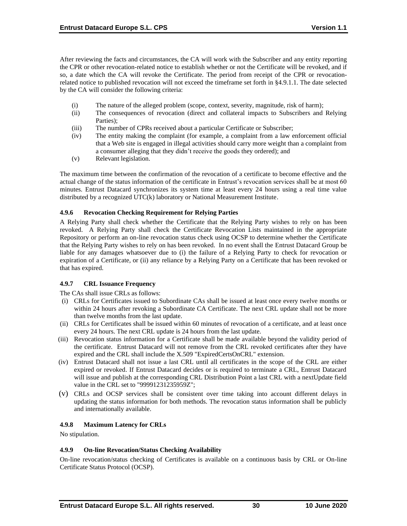After reviewing the facts and circumstances, the CA will work with the Subscriber and any entity reporting the CPR or other revocation-related notice to establish whether or not the Certificate will be revoked, and if so, a date which the CA will revoke the Certificate. The period from receipt of the CPR or revocationrelated notice to published revocation will not exceed the timeframe set forth in §4.9.1.1. The date selected by the CA will consider the following criteria:

- (i) The nature of the alleged problem (scope, context, severity, magnitude, risk of harm);
- (ii) The consequences of revocation (direct and collateral impacts to Subscribers and Relying Parties);
- (iii) The number of CPRs received about a particular Certificate or Subscriber;
- (iv) The entity making the complaint (for example, a complaint from a law enforcement official that a Web site is engaged in illegal activities should carry more weight than a complaint from a consumer alleging that they didn't receive the goods they ordered); and
- (v) Relevant legislation.

The maximum time between the confirmation of the revocation of a certificate to become effective and the actual change of the status information of the certificate in Entrust's revocation services shall be at most 60 minutes. Entrust Datacard synchronizes its system time at least every 24 hours using a real time value distributed by a recognized UTC(k) laboratory or National Measurement Institute.

### **4.9.6 Revocation Checking Requirement for Relying Parties**

A Relying Party shall check whether the Certificate that the Relying Party wishes to rely on has been revoked. A Relying Party shall check the Certificate Revocation Lists maintained in the appropriate Repository or perform an on-line revocation status check using OCSP to determine whether the Certificate that the Relying Party wishes to rely on has been revoked. In no event shall the Entrust Datacard Group be liable for any damages whatsoever due to (i) the failure of a Relying Party to check for revocation or expiration of a Certificate, or (ii) any reliance by a Relying Party on a Certificate that has been revoked or that has expired.

## **4.9.7 CRL Issuance Frequency**

The CAs shall issue CRLs as follows:

- (i) CRLs for Certificates issued to Subordinate CAs shall be issued at least once every twelve months or within 24 hours after revoking a Subordinate CA Certificate. The next CRL update shall not be more than twelve months from the last update.
- (ii) CRLs for Certificates shall be issued within 60 minutes of revocation of a certificate, and at least once every 24 hours. The next CRL update is 24 hours from the last update.
- (iii) Revocation status information for a Certificate shall be made available beyond the validity period of the certificate. Entrust Datacard will not remove from the CRL revoked certificates after they have expired and the CRL shall include the X.509 "ExpiredCertsOnCRL" extension.
- (iv) Entrust Datacard shall not issue a last CRL until all certificates in the scope of the CRL are either expired or revoked. If Entrust Datacard decides or is required to terminate a CRL, Entrust Datacard will issue and publish at the corresponding CRL Distribution Point a last CRL with a nextUpdate field value in the CRL set to "99991231235959Z";
- (v) CRLs and OCSP services shall be consistent over time taking into account different delays in updating the status information for both methods. The revocation status information shall be publicly and internationally available.

## **4.9.8 Maximum Latency for CRLs**

No stipulation.

## **4.9.9 On-line Revocation/Status Checking Availability**

On-line revocation/status checking of Certificates is available on a continuous basis by CRL or On-line Certificate Status Protocol (OCSP).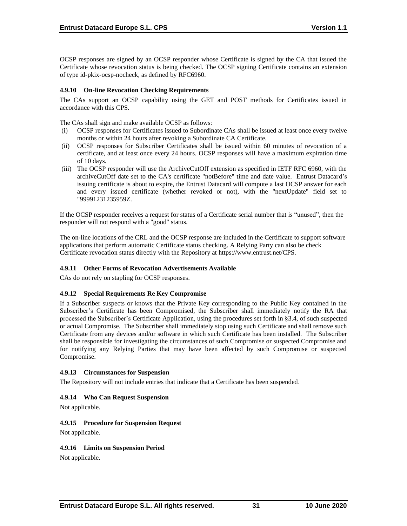OCSP responses are signed by an OCSP responder whose Certificate is signed by the CA that issued the Certificate whose revocation status is being checked. The OCSP signing Certificate contains an extension of type id-pkix-ocsp-nocheck, as defined by RFC6960.

### **4.9.10 On-line Revocation Checking Requirements**

The CAs support an OCSP capability using the GET and POST methods for Certificates issued in accordance with this CPS.

The CAs shall sign and make available OCSP as follows:

- (i) OCSP responses for Certificates issued to Subordinate CAs shall be issued at least once every twelve months or within 24 hours after revoking a Subordinate CA Certificate.
- (ii) OCSP responses for Subscriber Certificates shall be issued within 60 minutes of revocation of a certificate, and at least once every 24 hours. OCSP responses will have a maximum expiration time of 10 days.
- (iii) The OCSP responder will use the ArchiveCutOff extension as specified in IETF RFC 6960, with the archiveCutOff date set to the CA's certificate "notBefore" time and date value. Entrust Datacard's issuing certificate is about to expire, the Entrust Datacard will compute a last OCSP answer for each and every issued certificate (whether revoked or not), with the "nextUpdate" field set to "99991231235959Z.

If the OCSP responder receives a request for status of a Certificate serial number that is "unused", then the responder will not respond with a "good" status.

The on-line locations of the CRL and the OCSP response are included in the Certificate to support software applications that perform automatic Certificate status checking. A Relying Party can also be check Certificate revocation status directly with the Repository at [https://www.entrust.net/CPS.](https://www.entrust.net/CPS) 

#### **4.9.11 Other Forms of Revocation Advertisements Available**

CAs do not rely on stapling for OCSP responses.

#### **4.9.12 Special Requirements Re Key Compromise**

If a Subscriber suspects or knows that the Private Key corresponding to the Public Key contained in the Subscriber's Certificate has been Compromised, the Subscriber shall immediately notify the RA that processed the Subscriber's Certificate Application, using the procedures set forth in §3.4, of such suspected or actual Compromise. The Subscriber shall immediately stop using such Certificate and shall remove such Certificate from any devices and/or software in which such Certificate has been installed. The Subscriber shall be responsible for investigating the circumstances of such Compromise or suspected Compromise and for notifying any Relying Parties that may have been affected by such Compromise or suspected Compromise.

#### **4.9.13 Circumstances for Suspension**

The Repository will not include entries that indicate that a Certificate has been suspended.

#### **4.9.14 Who Can Request Suspension**

Not applicable.

#### **4.9.15 Procedure for Suspension Request**

Not applicable.

#### **4.9.16 Limits on Suspension Period**

Not applicable.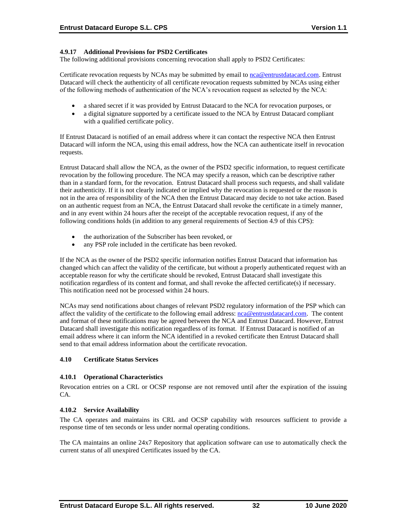### **4.9.17 Additional Provisions for PSD2 Certificates**

The following additional provisions concerning revocation shall apply to PSD2 Certificates:

Certificate revocation requests by NCAs may be submitted by email to [nca@entrustdatacard.com.](mailto:nca@entrustdatacard.com) Entrust Datacard will check the authenticity of all certificate revocation requests submitted by NCAs using either of the following methods of authentication of the NCA's revocation request as selected by the NCA:

- a shared secret if it was provided by Entrust Datacard to the NCA for revocation purposes, or
- a digital signature supported by a certificate issued to the NCA by Entrust Datacard compliant with a qualified certificate policy.

If Entrust Datacard is notified of an email address where it can contact the respective NCA then Entrust Datacard will inform the NCA, using this email address, how the NCA can authenticate itself in revocation requests.

Entrust Datacard shall allow the NCA, as the owner of the PSD2 specific information, to request certificate revocation by the following procedure. The NCA may specify a reason, which can be descriptive rather than in a standard form, for the revocation. Entrust Datacard shall process such requests, and shall validate their authenticity. If it is not clearly indicated or implied why the revocation is requested or the reason is not in the area of responsibility of the NCA then the Entrust Datacard may decide to not take action. Based on an authentic request from an NCA, the Entrust Datacard shall revoke the certificate in a timely manner, and in any event within 24 hours after the receipt of the acceptable revocation request, if any of the following conditions holds (in addition to any general requirements of Section 4.9 of this CPS):

- the authorization of the Subscriber has been revoked, or
- any PSP role included in the certificate has been revoked.

If the NCA as the owner of the PSD2 specific information notifies Entrust Datacard that information has changed which can affect the validity of the certificate, but without a properly authenticated request with an acceptable reason for why the certificate should be revoked, Entrust Datacard shall investigate this notification regardless of its content and format, and shall revoke the affected certificate(s) if necessary. This notification need not be processed within 24 hours.

NCAs may send notifications about changes of relevant PSD2 regulatory information of the PSP which can affect the validity of the certificate to the following email address: [nca@entrustdatacard.com.](mailto:nca@entrustdatacard.com) The content and format of these notifications may be agreed between the NCA and Entrust Datacard. However, Entrust Datacard shall investigate this notification regardless of its format. If Entrust Datacard is notified of an email address where it can inform the NCA identified in a revoked certificate then Entrust Datacard shall send to that email address information about the certificate revocation.

## **4.10 Certificate Status Services**

#### **4.10.1 Operational Characteristics**

Revocation entries on a CRL or OCSP response are not removed until after the expiration of the issuing CA.

#### **4.10.2 Service Availability**

The CA operates and maintains its CRL and OCSP capability with resources sufficient to provide a response time of ten seconds or less under normal operating conditions.

The CA maintains an online 24x7 Repository that application software can use to automatically check the current status of all unexpired Certificates issued by the CA.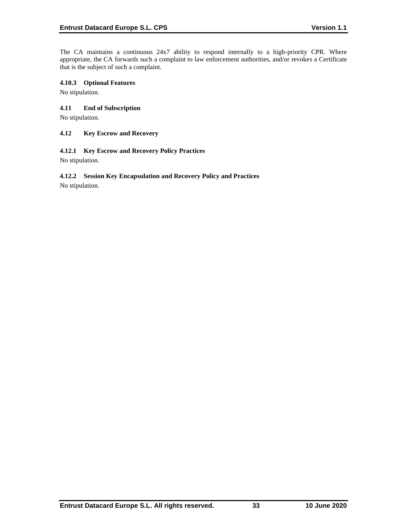The CA maintains a continuous 24x7 ability to respond internally to a high-priority CPR. Where appropriate, the CA forwards such a complaint to law enforcement authorities, and/or revokes a Certificate that is the subject of such a complaint.

### **4.10.3 Optional Features**

No stipulation.

### **4.11 End of Subscription**

No stipulation.

#### **4.12 Key Escrow and Recovery**

### **4.12.1 Key Escrow and Recovery Policy Practices**

No stipulation.

# **4.12.2 Session Key Encapsulation and Recovery Policy and Practices**

No stipulation.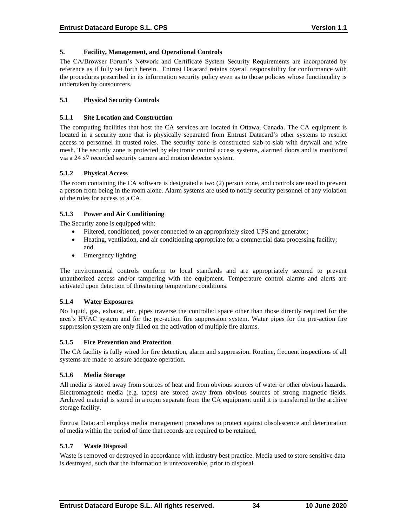### **5. Facility, Management, and Operational Controls**

The CA/Browser Forum's Network and Certificate System Security Requirements are incorporated by reference as if fully set forth herein. Entrust Datacard retains overall responsibility for conformance with the procedures prescribed in its information security policy even as to those policies whose functionality is undertaken by outsourcers.

### **5.1 Physical Security Controls**

#### **5.1.1 Site Location and Construction**

The computing facilities that host the CA services are located in Ottawa, Canada. The CA equipment is located in a security zone that is physically separated from Entrust Datacard's other systems to restrict access to personnel in trusted roles. The security zone is constructed slab-to-slab with drywall and wire mesh. The security zone is protected by electronic control access systems, alarmed doors and is monitored via a 24 x7 recorded security camera and motion detector system.

### **5.1.2 Physical Access**

The room containing the CA software is designated a two (2) person zone, and controls are used to prevent a person from being in the room alone. Alarm systems are used to notify security personnel of any violation of the rules for access to a CA.

### **5.1.3 Power and Air Conditioning**

The Security zone is equipped with:

- Filtered, conditioned, power connected to an appropriately sized UPS and generator;
- Heating, ventilation, and air conditioning appropriate for a commercial data processing facility; and
- Emergency lighting.

The environmental controls conform to local standards and are appropriately secured to prevent unauthorized access and/or tampering with the equipment. Temperature control alarms and alerts are activated upon detection of threatening temperature conditions.

#### **5.1.4 Water Exposures**

No liquid, gas, exhaust, etc. pipes traverse the controlled space other than those directly required for the area's HVAC system and for the pre-action fire suppression system. Water pipes for the pre-action fire suppression system are only filled on the activation of multiple fire alarms.

#### **5.1.5 Fire Prevention and Protection**

The CA facility is fully wired for fire detection, alarm and suppression. Routine, frequent inspections of all systems are made to assure adequate operation.

#### **5.1.6 Media Storage**

All media is stored away from sources of heat and from obvious sources of water or other obvious hazards. Electromagnetic media (e.g. tapes) are stored away from obvious sources of strong magnetic fields. Archived material is stored in a room separate from the CA equipment until it is transferred to the archive storage facility.

Entrust Datacard employs media management procedures to protect against obsolescence and deterioration of media within the period of time that records are required to be retained.

#### **5.1.7 Waste Disposal**

Waste is removed or destroyed in accordance with industry best practice. Media used to store sensitive data is destroyed, such that the information is unrecoverable, prior to disposal.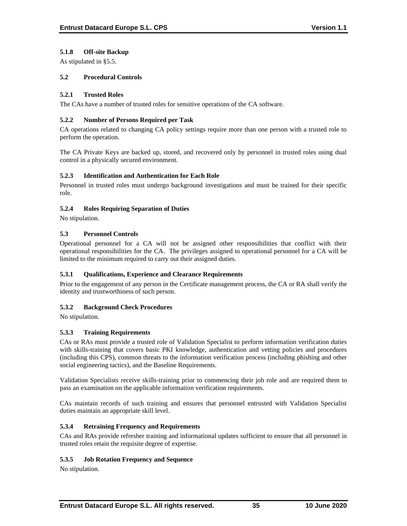## **5.1.8 Off-site Backup**

As stipulated in §5.5.

### **5.2 Procedural Controls**

### **5.2.1 Trusted Roles**

The CAs have a number of trusted roles for sensitive operations of the CA software.

### **5.2.2 Number of Persons Required per Task**

CA operations related to changing CA policy settings require more than one person with a trusted role to perform the operation.

The CA Private Keys are backed up, stored, and recovered only by personnel in trusted roles using dual control in a physically secured environment.

### **5.2.3 Identification and Authentication for Each Role**

Personnel in trusted roles must undergo background investigations and must be trained for their specific role.

### **5.2.4 Roles Requiring Separation of Duties**

No stipulation.

## **5.3 Personnel Controls**

Operational personnel for a CA will not be assigned other responsibilities that conflict with their operational responsibilities for the CA. The privileges assigned to operational personnel for a CA will be limited to the minimum required to carry out their assigned duties.

## **5.3.1 Qualifications, Experience and Clearance Requirements**

Prior to the engagement of any person in the Certificate management process, the CA or RA shall verify the identity and trustworthiness of such person.

## **5.3.2 Background Check Procedures**

No stipulation.

## **5.3.3 Training Requirements**

CAs or RAs must provide a trusted role of Validation Specialist to perform information verification duties with skills-training that covers basic PKI knowledge, authentication and vetting policies and procedures (including this CPS), common threats to the information verification process (including phishing and other social engineering tactics), and the Baseline Requirements.

Validation Specialists receive skills-training prior to commencing their job role and are required them to pass an examination on the applicable information verification requirements.

CAs maintain records of such training and ensures that personnel entrusted with Validation Specialist duties maintain an appropriate skill level.

## **5.3.4 Retraining Frequency and Requirements**

CAs and RAs provide refresher training and informational updates sufficient to ensure that all personnel in trusted roles retain the requisite degree of expertise.

#### **5.3.5 Job Rotation Frequency and Sequence**

No stipulation.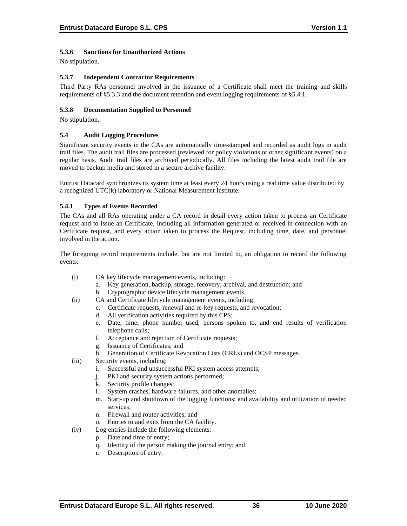# **5.3.6 Sanctions for Unauthorized Actions**

No stipulation.

### **5.3.7 Independent Contractor Requirements**

Third Party RAs personnel involved in the issuance of a Certificate shall meet the training and skills requirements of §5.3.3 and the document retention and event logging requirements of §5.4.1.

### **5.3.8 Documentation Supplied to Personnel**

No stipulation.

### **5.4 Audit Logging Procedures**

Significant security events in the CAs are automatically time-stamped and recorded as audit logs in audit trail files. The audit trail files are processed (reviewed for policy violations or other significant events) on a regular basis. Audit trail files are archived periodically. All files including the latest audit trail file are moved to backup media and stored in a secure archive facility.

Entrust Datacard synchronizes its system time at least every 24 hours using a real time value distributed by a recognized UTC(k) laboratory or National Measurement Institute.

### **5.4.1 Types of Events Recorded**

The CAs and all RAs operating under a CA record in detail every action taken to process an Certificate request and to issue an Certificate, including all information generated or received in connection with an Certificate request, and every action taken to process the Request, including time, date, and personnel involved in the action.

The foregoing record requirements include, but are not limited to, an obligation to record the following events:

- (i) CA key lifecycle management events, including:
	- a. Key generation, backup, storage, recovery, archival, and destruction; and
	- b. Cryptographic device lifecycle management events.
- (ii) CA and Certificate lifecycle management events, including:
	- c. Certificate requests, renewal and re-key requests, and revocation;
	- d. All verification activities required by this CPS;
	- e. Date, time, phone number used, persons spoken to, and end results of verification telephone calls;
	- f. Acceptance and rejection of Certificate requests;
	- g. Issuance of Certificates; and
	- h. Generation of Certificate Revocation Lists (CRLs) and OCSP messages.
- (iii) Security events, including:
	- i. Successful and unsuccessful PKI system access attempts;
	- j. PKI and security system actions performed;
	- k. Security profile changes;
	- l. System crashes, hardware failures, and other anomalies;
	- m. Start-up and shutdown of the logging functions; and availability and utilization of needed services;
	- n. Firewall and router activities; and
	- o. Entries to and exits from the CA facility.
- (iv) Log entries include the following elements:
	- p. Date and time of entry;
	- q. Identity of the person making the journal entry; and
	- r. Description of entry.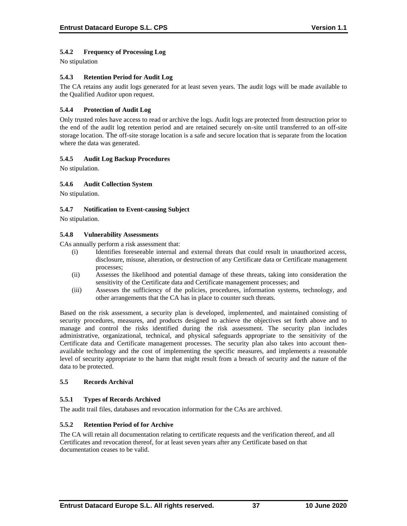# **5.4.2 Frequency of Processing Log**

No stipulation

### **5.4.3 Retention Period for Audit Log**

The CA retains any audit logs generated for at least seven years. The audit logs will be made available to the Qualified Auditor upon request.

### **5.4.4 Protection of Audit Log**

Only trusted roles have access to read or archive the logs. Audit logs are protected from destruction prior to the end of the audit log retention period and are retained securely on-site until transferred to an off-site storage location. The off-site storage location is a safe and secure location that is separate from the location where the data was generated.

### **5.4.5 Audit Log Backup Procedures**

No stipulation.

### **5.4.6 Audit Collection System**

No stipulation.

### **5.4.7 Notification to Event-causing Subject**

No stipulation.

#### **5.4.8 Vulnerability Assessments**

CAs annually perform a risk assessment that:

- (i) Identifies foreseeable internal and external threats that could result in unauthorized access, disclosure, misuse, alteration, or destruction of any Certificate data or Certificate management processes;
- (ii) Assesses the likelihood and potential damage of these threats, taking into consideration the sensitivity of the Certificate data and Certificate management processes; and
- (iii) Assesses the sufficiency of the policies, procedures, information systems, technology, and other arrangements that the CA has in place to counter such threats.

Based on the risk assessment, a security plan is developed, implemented, and maintained consisting of security procedures, measures, and products designed to achieve the objectives set forth above and to manage and control the risks identified during the risk assessment. The security plan includes administrative, organizational, technical, and physical safeguards appropriate to the sensitivity of the Certificate data and Certificate management processes. The security plan also takes into account thenavailable technology and the cost of implementing the specific measures, and implements a reasonable level of security appropriate to the harm that might result from a breach of security and the nature of the data to be protected.

## **5.5 Records Archival**

## **5.5.1 Types of Records Archived**

The audit trail files, databases and revocation information for the CAs are archived.

#### **5.5.2 Retention Period of for Archive**

The CA will retain all documentation relating to certificate requests and the verification thereof, and all Certificates and revocation thereof, for at least seven years after any Certificate based on that documentation ceases to be valid.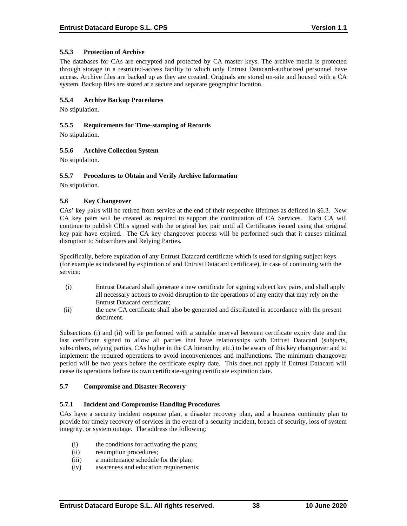### **5.5.3 Protection of Archive**

The databases for CAs are encrypted and protected by CA master keys. The archive media is protected through storage in a restricted-access facility to which only Entrust Datacard-authorized personnel have access. Archive files are backed up as they are created. Originals are stored on-site and housed with a CA system. Backup files are stored at a secure and separate geographic location.

### **5.5.4 Archive Backup Procedures**

No stipulation.

#### **5.5.5 Requirements for Time-stamping of Records**

No stipulation.

### **5.5.6 Archive Collection System**

No stipulation.

### **5.5.7 Procedures to Obtain and Verify Archive Information**

No stipulation.

### **5.6 Key Changeover**

CAs' key pairs will be retired from service at the end of their respective lifetimes as defined in §6.3. New CA key pairs will be created as required to support the continuation of CA Services. Each CA will continue to publish CRLs signed with the original key pair until all Certificates issued using that original key pair have expired. The CA key changeover process will be performed such that it causes minimal disruption to Subscribers and Relying Parties.

Specifically, before expiration of any Entrust Datacard certificate which is used for signing subject keys (for example as indicated by expiration of and Entrust Datacard certificate), in case of continuing with the service:

- (i) Entrust Datacard shall generate a new certificate for signing subject key pairs, and shall apply all necessary actions to avoid disruption to the operations of any entity that may rely on the Entrust Datacard certificate;
- (ii) the new CA certificate shall also be generated and distributed in accordance with the present document.

Subsections (i) and (ii) will be performed with a suitable interval between certificate expiry date and the last certificate signed to allow all parties that have relationships with Entrust Datacard (subjects, subscribers, relying parties, CAs higher in the CA hierarchy, etc.) to be aware of this key changeover and to implement the required operations to avoid inconveniences and malfunctions. The minimum changeover period will be two years before the certificate expiry date. This does not apply if Entrust Datacard will cease its operations before its own certificate-signing certificate expiration date.

#### **5.7 Compromise and Disaster Recovery**

#### **5.7.1 Incident and Compromise Handling Procedures**

CAs have a security incident response plan, a disaster recovery plan, and a business continuity plan to provide for timely recovery of services in the event of a security incident, breach of security, loss of system integrity, or system outage. The address the following:

- (i) the conditions for activating the plans;
- (ii) resumption procedures;
- (iii) a maintenance schedule for the plan;
- (iv) awareness and education requirements;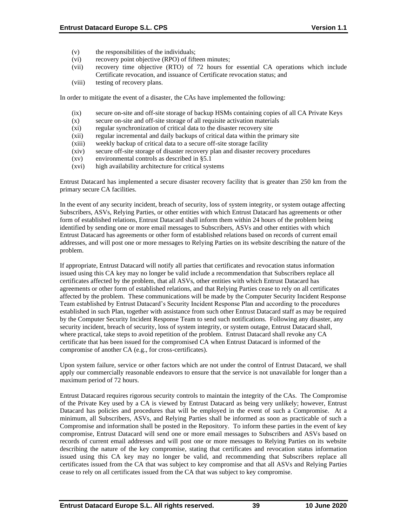- (v) the responsibilities of the individuals;
- (vi) recovery point objective (RPO) of fifteen minutes;
- (vii) recovery time objective (RTO) of 72 hours for essential CA operations which include Certificate revocation, and issuance of Certificate revocation status; and
- (viii) testing of recovery plans.

In order to mitigate the event of a disaster, the CAs have implemented the following:

- (ix) secure on-site and off-site storage of backup HSMs containing copies of all CA Private Keys
- (x) secure on-site and off-site storage of all requisite activation materials
- (xi) regular synchronization of critical data to the disaster recovery site
- (xii) regular incremental and daily backups of critical data within the primary site
- (xiii) weekly backup of critical data to a secure off-site storage facility
- (xiv) secure off-site storage of disaster recovery plan and disaster recovery procedures
- (xv) environmental controls as described in §5.1
- (xvi) high availability architecture for critical systems

Entrust Datacard has implemented a secure disaster recovery facility that is greater than 250 km from the primary secure CA facilities.

In the event of any security incident, breach of security, loss of system integrity, or system outage affecting Subscribers, ASVs, Relying Parties, or other entities with which Entrust Datacard has agreements or other form of established relations, Entrust Datacard shall inform them within 24 hours of the problem being identified by sending one or more email messages to Subscribers, ASVs and other entities with which Entrust Datacard has agreements or other form of established relations based on records of current email addresses, and will post one or more messages to Relying Parties on its website describing the nature of the problem.

If appropriate, Entrust Datacard will notify all parties that certificates and revocation status information issued using this CA key may no longer be valid include a recommendation that Subscribers replace all certificates affected by the problem, that all ASVs, other entities with which Entrust Datacard has agreements or other form of established relations, and that Relying Parties cease to rely on all certificates affected by the problem. These communications will be made by the Computer Security Incident Response Team established by Entrust Datacard's Security Incident Response Plan and according to the procedures established in such Plan, together with assistance from such other Entrust Datacard staff as may be required by the Computer Security Incident Response Team to send such notifications. Following any disaster, any security incident, breach of security, loss of system integrity, or system outage, Entrust Datacard shall, where practical, take steps to avoid repetition of the problem. Entrust Datacard shall revoke any CA certificate that has been issued for the compromised CA when Entrust Datacard is informed of the compromise of another CA (e.g., for cross-certificates).

Upon system failure, service or other factors which are not under the control of Entrust Datacard, we shall apply our commercially reasonable endeavors to ensure that the service is not unavailable for longer than a maximum period of 72 hours.

Entrust Datacard requires rigorous security controls to maintain the integrity of the CAs. The Compromise of the Private Key used by a CA is viewed by Entrust Datacard as being very unlikely; however, Entrust Datacard has policies and procedures that will be employed in the event of such a Compromise. At a minimum, all Subscribers, ASVs, and Relying Parties shall be informed as soon as practicable of such a Compromise and information shall be posted in the Repository. To inform these parties in the event of key compromise, Entrust Datacard will send one or more email messages to Subscribers and ASVs based on records of current email addresses and will post one or more messages to Relying Parties on its website describing the nature of the key compromise, stating that certificates and revocation status information issued using this CA key may no longer be valid, and recommending that Subscribers replace all certificates issued from the CA that was subject to key compromise and that all ASVs and Relying Parties cease to rely on all certificates issued from the CA that was subject to key compromise.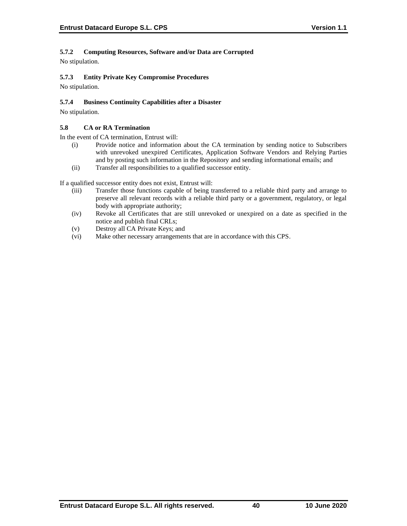# **5.7.2 Computing Resources, Software and/or Data are Corrupted**

No stipulation.

# **5.7.3 Entity Private Key Compromise Procedures**

No stipulation.

## **5.7.4 Business Continuity Capabilities after a Disaster**

No stipulation.

### **5.8 CA or RA Termination**

In the event of CA termination, Entrust will:

- (i) Provide notice and information about the CA termination by sending notice to Subscribers with unrevoked unexpired Certificates, Application Software Vendors and Relying Parties and by posting such information in the Repository and sending informational emails; and
- (ii) Transfer all responsibilities to a qualified successor entity.

If a qualified successor entity does not exist, Entrust will:

- (iii) Transfer those functions capable of being transferred to a reliable third party and arrange to preserve all relevant records with a reliable third party or a government, regulatory, or legal body with appropriate authority;
- (iv) Revoke all Certificates that are still unrevoked or unexpired on a date as specified in the notice and publish final CRLs;
- (v) Destroy all CA Private Keys; and
- (vi) Make other necessary arrangements that are in accordance with this CPS.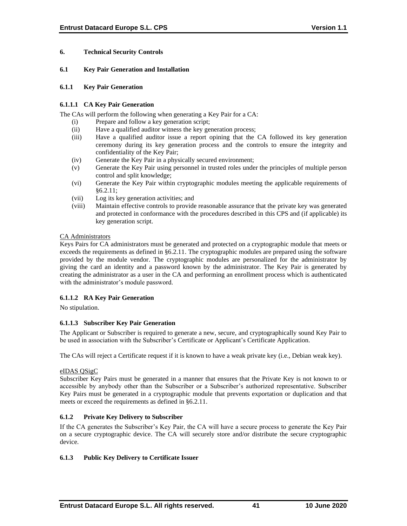## **6. Technical Security Controls**

### **6.1 Key Pair Generation and Installation**

### **6.1.1 Key Pair Generation**

### **6.1.1.1 CA Key Pair Generation**

The CAs will perform the following when generating a Key Pair for a CA:

- (i) Prepare and follow a key generation script;
- (ii) Have a qualified auditor witness the key generation process;
- (iii) Have a qualified auditor issue a report opining that the CA followed its key generation ceremony during its key generation process and the controls to ensure the integrity and confidentiality of the Key Pair;
- (iv) Generate the Key Pair in a physically secured environment;
- (v) Generate the Key Pair using personnel in trusted roles under the principles of multiple person control and split knowledge;
- (vi) Generate the Key Pair within cryptographic modules meeting the applicable requirements of §6.2.11;
- (vii) Log its key generation activities; and
- (viii) Maintain effective controls to provide reasonable assurance that the private key was generated and protected in conformance with the procedures described in this CPS and (if applicable) its key generation script.

### CA Administrators

Keys Pairs for CA administrators must be generated and protected on a cryptographic module that meets or exceeds the requirements as defined in §6.2.11. The cryptographic modules are prepared using the software provided by the module vendor. The cryptographic modules are personalized for the administrator by giving the card an identity and a password known by the administrator. The Key Pair is generated by creating the administrator as a user in the CA and performing an enrollment process which is authenticated with the administrator's module password.

## **6.1.1.2 RA Key Pair Generation**

No stipulation.

## **6.1.1.3 Subscriber Key Pair Generation**

The Applicant or Subscriber is required to generate a new, secure, and cryptographically sound Key Pair to be used in association with the Subscriber's Certificate or Applicant's Certificate Application.

The CAs will reject a Certificate request if it is known to have a weak private key (i.e., Debian weak key).

## eIDAS QSigC

Subscriber Key Pairs must be generated in a manner that ensures that the Private Key is not known to or accessible by anybody other than the Subscriber or a Subscriber's authorized representative. Subscriber Key Pairs must be generated in a cryptographic module that prevents exportation or duplication and that meets or exceed the requirements as defined in §6.2.11.

## **6.1.2 Private Key Delivery to Subscriber**

If the CA generates the Subscriber's Key Pair, the CA will have a secure process to generate the Key Pair on a secure cryptographic device. The CA will securely store and/or distribute the secure cryptographic device.

## **6.1.3 Public Key Delivery to Certificate Issuer**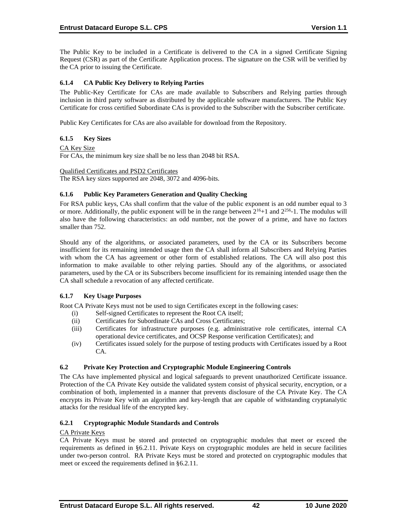The Public Key to be included in a Certificate is delivered to the CA in a signed Certificate Signing Request (CSR) as part of the Certificate Application process. The signature on the CSR will be verified by the CA prior to issuing the Certificate.

# **6.1.4 CA Public Key Delivery to Relying Parties**

The Public-Key Certificate for CAs are made available to Subscribers and Relying parties through inclusion in third party software as distributed by the applicable software manufacturers. The Public Key Certificate for cross certified Subordinate CAs is provided to the Subscriber with the Subscriber certificate.

Public Key Certificates for CAs are also available for download from the Repository.

## **6.1.5 Key Sizes**

### CA Key Size

For CAs, the minimum key size shall be no less than 2048 bit RSA.

Qualified Certificates and PSD2 Certificates

The RSA key sizes supported are 2048, 3072 and 4096-bits.

### **6.1.6 Public Key Parameters Generation and Quality Checking**

For RSA public keys, CAs shall confirm that the value of the public exponent is an odd number equal to 3 or more. Additionally, the public exponent will be in the range between  $2^{16}+1$  and  $2^{256}$ -1. The modulus will also have the following characteristics: an odd number, not the power of a prime, and have no factors smaller than 752.

Should any of the algorithms, or associated parameters, used by the CA or its Subscribers become insufficient for its remaining intended usage then the CA shall inform all Subscribers and Relying Parties with whom the CA has agreement or other form of established relations. The CA will also post this information to make available to other relying parties. Should any of the algorithms, or associated parameters, used by the CA or its Subscribers become insufficient for its remaining intended usage then the CA shall schedule a revocation of any affected certificate.

## **6.1.7 Key Usage Purposes**

Root CA Private Keys must not be used to sign Certificates except in the following cases:

- (i) Self-signed Certificates to represent the Root CA itself;
- (ii) Certificates for Subordinate CAs and Cross Certificates;
- (iii) Certificates for infrastructure purposes (e.g. administrative role certificates, internal CA operational device certificates, and OCSP Response verification Certificates); and
- (iv) Certificates issued solely for the purpose of testing products with Certificates issued by a Root CA.

## **6.2 Private Key Protection and Cryptographic Module Engineering Controls**

The CAs have implemented physical and logical safeguards to prevent unauthorized Certificate issuance. Protection of the CA Private Key outside the validated system consist of physical security, encryption, or a combination of both, implemented in a manner that prevents disclosure of the CA Private Key. The CA encrypts its Private Key with an algorithm and key-length that are capable of withstanding cryptanalytic attacks for the residual life of the encrypted key.

## **6.2.1 Cryptographic Module Standards and Controls**

#### CA Private Keys

CA Private Keys must be stored and protected on cryptographic modules that meet or exceed the requirements as defined in §6.2.11. Private Keys on cryptographic modules are held in secure facilities under two-person control. RA Private Keys must be stored and protected on cryptographic modules that meet or exceed the requirements defined in §6.2.11.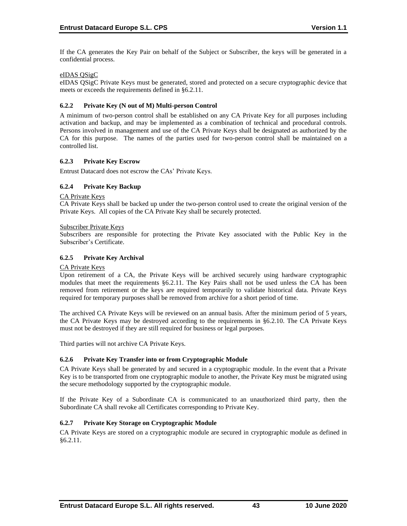If the CA generates the Key Pair on behalf of the Subject or Subscriber, the keys will be generated in a confidential process.

### eIDAS QSigC

eIDAS QSigC Private Keys must be generated, stored and protected on a secure cryptographic device that meets or exceeds the requirements defined in §6.2.11.

### **6.2.2 Private Key (N out of M) Multi-person Control**

A minimum of two-person control shall be established on any CA Private Key for all purposes including activation and backup, and may be implemented as a combination of technical and procedural controls. Persons involved in management and use of the CA Private Keys shall be designated as authorized by the CA for this purpose. The names of the parties used for two-person control shall be maintained on a controlled list.

### **6.2.3 Private Key Escrow**

Entrust Datacard does not escrow the CAs' Private Keys.

## **6.2.4 Private Key Backup**

CA Private Keys

CA Private Keys shall be backed up under the two-person control used to create the original version of the Private Keys. All copies of the CA Private Key shall be securely protected.

#### Subscriber Private Keys

Subscribers are responsible for protecting the Private Key associated with the Public Key in the Subscriber's Certificate.

### **6.2.5 Private Key Archival**

#### CA Private Keys

Upon retirement of a CA, the Private Keys will be archived securely using hardware cryptographic modules that meet the requirements §6.2.11. The Key Pairs shall not be used unless the CA has been removed from retirement or the keys are required temporarily to validate historical data. Private Keys required for temporary purposes shall be removed from archive for a short period of time.

The archived CA Private Keys will be reviewed on an annual basis. After the minimum period of 5 years, the CA Private Keys may be destroyed according to the requirements in §6.2.10. The CA Private Keys must not be destroyed if they are still required for business or legal purposes.

Third parties will not archive CA Private Keys.

#### **6.2.6 Private Key Transfer into or from Cryptographic Module**

CA Private Keys shall be generated by and secured in a cryptographic module. In the event that a Private Key is to be transported from one cryptographic module to another, the Private Key must be migrated using the secure methodology supported by the cryptographic module.

If the Private Key of a Subordinate CA is communicated to an unauthorized third party, then the Subordinate CA shall revoke all Certificates corresponding to Private Key.

#### **6.2.7 Private Key Storage on Cryptographic Module**

CA Private Keys are stored on a cryptographic module are secured in cryptographic module as defined in §6.2.11.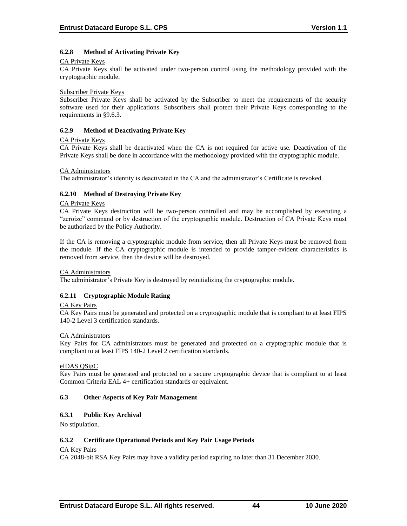## **6.2.8 Method of Activating Private Key**

#### CA Private Keys

CA Private Keys shall be activated under two-person control using the methodology provided with the cryptographic module.

#### Subscriber Private Keys

Subscriber Private Keys shall be activated by the Subscriber to meet the requirements of the security software used for their applications. Subscribers shall protect their Private Keys corresponding to the requirements in §9.6.3.

### **6.2.9 Method of Deactivating Private Key**

### CA Private Keys

CA Private Keys shall be deactivated when the CA is not required for active use. Deactivation of the Private Keys shall be done in accordance with the methodology provided with the cryptographic module.

### CA Administrators

The administrator's identity is deactivated in the CA and the administrator's Certificate is revoked.

## **6.2.10 Method of Destroying Private Key**

### CA Private Keys

CA Private Keys destruction will be two-person controlled and may be accomplished by executing a "zeroize" command or by destruction of the cryptographic module. Destruction of CA Private Keys must be authorized by the Policy Authority.

If the CA is removing a cryptographic module from service, then all Private Keys must be removed from the module. If the CA cryptographic module is intended to provide tamper-evident characteristics is removed from service, then the device will be destroyed.

#### CA Administrators

The administrator's Private Key is destroyed by reinitializing the cryptographic module.

## **6.2.11 Cryptographic Module Rating**

## CA Key Pairs

CA Key Pairs must be generated and protected on a cryptographic module that is compliant to at least FIPS 140-2 Level 3 certification standards.

#### CA Administrators

Key Pairs for CA administrators must be generated and protected on a cryptographic module that is compliant to at least FIPS 140-2 Level 2 certification standards.

#### eIDAS QSigC

Key Pairs must be generated and protected on a secure cryptographic device that is compliant to at least Common Criteria EAL 4+ certification standards or equivalent.

## **6.3 Other Aspects of Key Pair Management**

## **6.3.1 Public Key Archival**

No stipulation.

## **6.3.2 Certificate Operational Periods and Key Pair Usage Periods**

## CA Key Pairs

CA 2048-bit RSA Key Pairs may have a validity period expiring no later than 31 December 2030.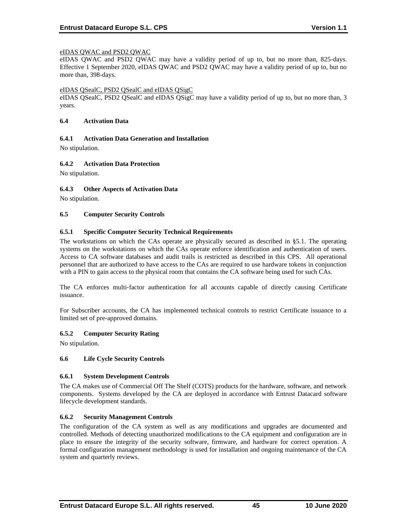### eIDAS QWAC and PSD2 QWAC

eIDAS QWAC and PSD2 QWAC may have a validity period of up to, but no more than, 825-days. Effective 1 September 2020, eIDAS QWAC and PSD2 QWAC may have a validity period of up to, but no more than, 398-days.

#### eIDAS QSealC, PSD2 QSealC and eIDAS QSigC

eIDAS QSealC, PSD2 QSealC and eIDAS QSigC may have a validity period of up to, but no more than, 3 years.

#### **6.4 Activation Data**

### **6.4.1 Activation Data Generation and Installation**

No stipulation.

## **6.4.2 Activation Data Protection**

No stipulation.

### **6.4.3 Other Aspects of Activation Data**

No stipulation.

### **6.5 Computer Security Controls**

### **6.5.1 Specific Computer Security Technical Requirements**

The workstations on which the CAs operate are physically secured as described in §5.1. The operating systems on the workstations on which the CAs operate enforce identification and authentication of users. Access to CA software databases and audit trails is restricted as described in this CPS. All operational personnel that are authorized to have access to the CAs are required to use hardware tokens in conjunction with a PIN to gain access to the physical room that contains the CA software being used for such CAs.

The CA enforces multi‐factor authentication for all accounts capable of directly causing Certificate issuance.

For Subscriber accounts, the CA has implemented technical controls to restrict Certificate issuance to a limited set of pre-approved domains.

## **6.5.2 Computer Security Rating**

No stipulation.

#### **6.6 Life Cycle Security Controls**

#### **6.6.1 System Development Controls**

The CA makes use of Commercial Off The Shelf (COTS) products for the hardware, software, and network components. Systems developed by the CA are deployed in accordance with Entrust Datacard software lifecycle development standards.

#### **6.6.2 Security Management Controls**

The configuration of the CA system as well as any modifications and upgrades are documented and controlled. Methods of detecting unauthorized modifications to the CA equipment and configuration are in place to ensure the integrity of the security software, firmware, and hardware for correct operation. A formal configuration management methodology is used for installation and ongoing maintenance of the CA system and quarterly reviews.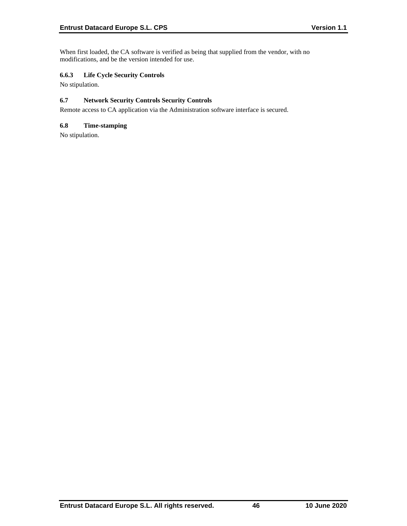When first loaded, the CA software is verified as being that supplied from the vendor, with no modifications, and be the version intended for use.

# **6.6.3 Life Cycle Security Controls**

No stipulation.

# **6.7 Network Security Controls Security Controls**

Remote access to CA application via the Administration software interface is secured.

## **6.8 Time-stamping**

No stipulation.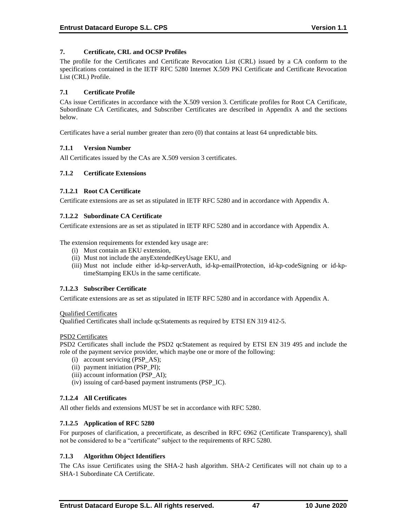## **7. Certificate, CRL and OCSP Profiles**

The profile for the Certificates and Certificate Revocation List (CRL) issued by a CA conform to the specifications contained in the IETF RFC 5280 Internet X.509 PKI Certificate and Certificate Revocation List (CRL) Profile.

### **7.1 Certificate Profile**

CAs issue Certificates in accordance with the X.509 version 3. Certificate profiles for Root CA Certificate, Subordinate CA Certificates, and Subscriber Certificates are described in Appendix A and the sections below.

Certificates have a serial number greater than zero (0) that contains at least 64 unpredictable bits.

### **7.1.1 Version Number**

All Certificates issued by the CAs are X.509 version 3 certificates.

### **7.1.2 Certificate Extensions**

### **7.1.2.1 Root CA Certificate**

Certificate extensions are as set as stipulated in IETF RFC 5280 and in accordance with Appendix A.

### **7.1.2.2 Subordinate CA Certificate**

Certificate extensions are as set as stipulated in IETF RFC 5280 and in accordance with Appendix A.

The extension requirements for extended key usage are:

- (i) Must contain an EKU extension,
- (ii) Must not include the anyExtendedKeyUsage EKU, and
- (iii) Must not include either id-kp-serverAuth, id-kp-emailProtection, id-kp-codeSigning or id-kptimeStamping EKUs in the same certificate.

## **7.1.2.3 Subscriber Certificate**

Certificate extensions are as set as stipulated in IETF RFC 5280 and in accordance with Appendix A.

#### Qualified Certificates

Qualified Certificates shall include qcStatements as required by ETSI EN 319 412-5.

#### PSD2 Certificates

PSD2 Certificates shall include the PSD2 qcStatement as required by ETSI EN 319 495 and include the role of the payment service provider, which maybe one or more of the following:

- (i) account servicing (PSP\_AS);
- (ii) payment initiation (PSP\_PI);
- (iii) account information (PSP\_AI);
- (iv) issuing of card-based payment instruments (PSP\_IC).

## **7.1.2.4 All Certificates**

All other fields and extensions MUST be set in accordance with RFC 5280.

#### **7.1.2.5 Application of RFC 5280**

For purposes of clarification, a precertificate, as described in RFC 6962 (Certificate Transparency), shall not be considered to be a "certificate" subject to the requirements of RFC 5280.

## **7.1.3 Algorithm Object Identifiers**

The CAs issue Certificates using the SHA-2 hash algorithm. SHA‐2 Certificates will not chain up to a SHA‐1 Subordinate CA Certificate.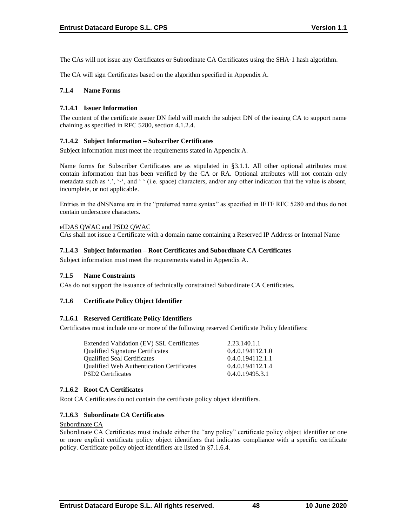The CAs will not issue any Certificates or Subordinate CA Certificates using the SHA-1 hash algorithm.

The CA will sign Certificates based on the algorithm specified in Appendix A.

### **7.1.4 Name Forms**

### **7.1.4.1 Issuer Information**

The content of the certificate issuer DN field will match the subject DN of the issuing CA to support name chaining as specified in RFC 5280, section 4.1.2.4.

### **7.1.4.2 Subject Information – Subscriber Certificates**

Subject information must meet the requirements stated in Appendix A.

Name forms for Subscriber Certificates are as stipulated in §3.1.1. All other optional attributes must contain information that has been verified by the CA or RA. Optional attributes will not contain only metadata such as '.', '-', and ' ' (i.e. space) characters, and/or any other indication that the value is absent, incomplete, or not applicable.

Entries in the dNSName are in the "preferred name syntax" as specified in IETF RFC 5280 and thus do not contain underscore characters.

### eIDAS QWAC and PSD2 QWAC

CAs shall not issue a Certificate with a domain name containing a Reserved IP Address or Internal Name

### **7.1.4.3 Subject Information – Root Certificates and Subordinate CA Certificates**

Subject information must meet the requirements stated in Appendix A.

#### **7.1.5 Name Constraints**

CAs do not support the issuance of technically constrained Subordinate CA Certificates.

#### **7.1.6 Certificate Policy Object Identifier**

#### **7.1.6.1 Reserved Certificate Policy Identifiers**

Certificates must include one or more of the following reserved Certificate Policy Identifiers:

| Extended Validation (EV) SSL Certificates        | 2.23.140.1.1     |
|--------------------------------------------------|------------------|
| <b>Qualified Signature Certificates</b>          | 0.4.0.194112.1.0 |
| <b>Oualified Seal Certificates</b>               | 0.4.0.194112.1.1 |
| <b>Qualified Web Authentication Certificates</b> | 0.4.0.194112.1.4 |
| <b>PSD2</b> Certificates                         | 0.4.0.19495.3.1  |
|                                                  |                  |

#### **7.1.6.2 Root CA Certificates**

Root CA Certificates do not contain the certificate policy object identifiers.

## **7.1.6.3 Subordinate CA Certificates**

Subordinate CA

Subordinate CA Certificates must include either the "any policy" certificate policy object identifier or one or more explicit certificate policy object identifiers that indicates compliance with a specific certificate policy. Certificate policy object identifiers are listed in §7.1.6.4.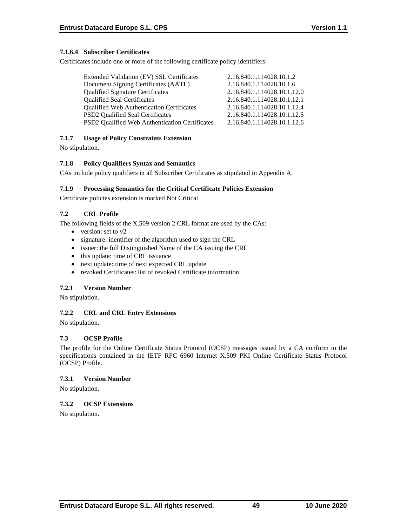## **7.1.6.4 Subscriber Certificates**

Certificates include one or more of the following certificate policy identifiers:

| 2.16.840.1.114028.10.1.2    |
|-----------------------------|
| 2.16.840.1.114028.10.1.6    |
| 2.16.840.1.114028.10.1.12.0 |
| 2.16.840.1.114028.10.1.12.1 |
| 2.16.840.1.114028.10.1.12.4 |
| 2.16.840.1.114028.10.1.12.5 |
| 2.16.840.1.114028.10.1.12.6 |
|                             |

## **7.1.7 Usage of Policy Constraints Extension**

No stipulation.

## **7.1.8 Policy Qualifiers Syntax and Semantics**

CAs include policy qualifiers in all Subscriber Certificates as stipulated in Appendix A.

### **7.1.9 Processing Semantics for the Critical Certificate Policies Extension**

Certificate policies extension is marked Not Critical

# **7.2 CRL Profile**

The following fields of the X.509 version 2 CRL format are used by the CAs:

- version: set to v2
- signature: identifier of the algorithm used to sign the CRL
- issuer: the full Distinguished Name of the CA issuing the CRL
- this update: time of CRL issuance
- next update: time of next expected CRL update
- revoked Certificates: list of revoked Certificate information

## **7.2.1 Version Number**

No stipulation.

## **7.2.2 CRL and CRL Entry Extensions**

No stipulation.

## **7.3 OCSP Profile**

The profile for the Online Certificate Status Protocol (OCSP) messages issued by a CA conform to the specifications contained in the IETF RFC 6960 Internet X.509 PKI Online Certificate Status Protocol (OCSP) Profile.

## **7.3.1 Version Number**

No stipulation.

## **7.3.2 OCSP Extensions**

No stipulation.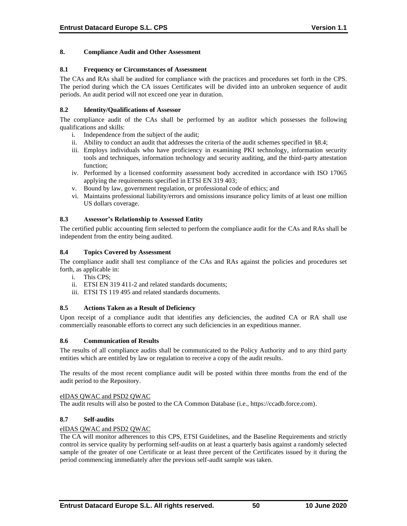### **8. Compliance Audit and Other Assessment**

#### **8.1 Frequency or Circumstances of Assessment**

The CAs and RAs shall be audited for compliance with the practices and procedures set forth in the CPS. The period during which the CA issues Certificates will be divided into an unbroken sequence of audit periods. An audit period will not exceed one year in duration.

### **8.2 Identity/Qualifications of Assessor**

The compliance audit of the CAs shall be performed by an auditor which possesses the following qualifications and skills:

- i. Independence from the subject of the audit;
- ii. Ability to conduct an audit that addresses the criteria of the audit schemes specified in §8.4;
- iii. Employs individuals who have proficiency in examining PKI technology, information security tools and techniques, information technology and security auditing, and the third-party attestation function;
- iv. Performed by a licensed conformity assessment body accredited in accordance with ISO 17065 applying the requirements specified in ETSI EN 319 403;
- v. Bound by law, government regulation, or professional code of ethics; and
- vi. Maintains professional liability/errors and omissions insurance policy limits of at least one million US dollars coverage.

### **8.3 Assessor's Relationship to Assessed Entity**

The certified public accounting firm selected to perform the compliance audit for the CAs and RAs shall be independent from the entity being audited.

### **8.4 Topics Covered by Assessment**

The compliance audit shall test compliance of the CAs and RAs against the policies and procedures set forth, as applicable in:

- i. This CPS;
- ii. ETSI EN 319 411-2 and related standards documents;
- iii. ETSI TS 119 495 and related standards documents.

### **8.5 Actions Taken as a Result of Deficiency**

Upon receipt of a compliance audit that identifies any deficiencies, the audited CA or RA shall use commercially reasonable efforts to correct any such deficiencies in an expeditious manner.

#### **8.6 Communication of Results**

The results of all compliance audits shall be communicated to the Policy Authority and to any third party entities which are entitled by law or regulation to receive a copy of the audit results.

The results of the most recent compliance audit will be posted within three months from the end of the audit period to the Repository.

## eIDAS QWAC and PSD2 QWAC

The audit results will also be posted to the CA Common Database (i.e., https://ccadb.force.com).

## **8.7 Self-audits**

#### eIDAS QWAC and PSD2 QWAC

The CA will monitor adherences to this CPS, ETSI Guidelines, and the Baseline Requirements and strictly control its service quality by performing self-audits on at least a quarterly basis against a randomly selected sample of the greater of one Certificate or at least three percent of the Certificates issued by it during the period commencing immediately after the previous self-audit sample was taken.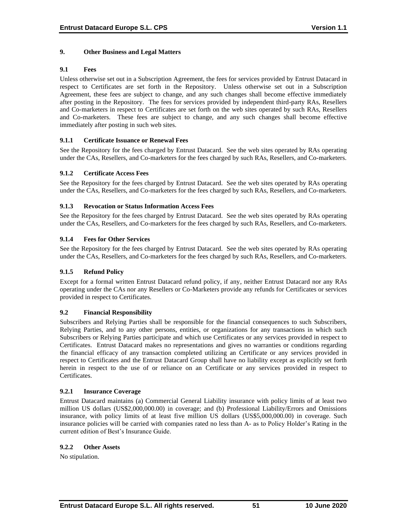## **9. Other Business and Legal Matters**

### **9.1 Fees**

Unless otherwise set out in a Subscription Agreement, the fees for services provided by Entrust Datacard in respect to Certificates are set forth in the Repository. Unless otherwise set out in a Subscription Agreement, these fees are subject to change, and any such changes shall become effective immediately after posting in the Repository. The fees for services provided by independent third-party RAs, Resellers and Co-marketers in respect to Certificates are set forth on the web sites operated by such RAs, Resellers and Co-marketers. These fees are subject to change, and any such changes shall become effective immediately after posting in such web sites.

### **9.1.1 Certificate Issuance or Renewal Fees**

See the Repository for the fees charged by Entrust Datacard. See the web sites operated by RAs operating under the CAs, Resellers, and Co-marketers for the fees charged by such RAs, Resellers, and Co-marketers.

### **9.1.2 Certificate Access Fees**

See the Repository for the fees charged by Entrust Datacard. See the web sites operated by RAs operating under the CAs, Resellers, and Co-marketers for the fees charged by such RAs, Resellers, and Co-marketers.

### **9.1.3 Revocation or Status Information Access Fees**

See the Repository for the fees charged by Entrust Datacard. See the web sites operated by RAs operating under the CAs, Resellers, and Co-marketers for the fees charged by such RAs, Resellers, and Co-marketers.

### **9.1.4 Fees for Other Services**

See the Repository for the fees charged by Entrust Datacard. See the web sites operated by RAs operating under the CAs, Resellers, and Co-marketers for the fees charged by such RAs, Resellers, and Co-marketers.

#### **9.1.5 Refund Policy**

Except for a formal written Entrust Datacard refund policy, if any, neither Entrust Datacard nor any RAs operating under the CAs nor any Resellers or Co-Marketers provide any refunds for Certificates or services provided in respect to Certificates.

#### **9.2 Financial Responsibility**

Subscribers and Relying Parties shall be responsible for the financial consequences to such Subscribers, Relying Parties, and to any other persons, entities, or organizations for any transactions in which such Subscribers or Relying Parties participate and which use Certificates or any services provided in respect to Certificates. Entrust Datacard makes no representations and gives no warranties or conditions regarding the financial efficacy of any transaction completed utilizing an Certificate or any services provided in respect to Certificates and the Entrust Datacard Group shall have no liability except as explicitly set forth herein in respect to the use of or reliance on an Certificate or any services provided in respect to Certificates.

#### **9.2.1 Insurance Coverage**

Entrust Datacard maintains (a) Commercial General Liability insurance with policy limits of at least two million US dollars (US\$2,000,000.00) in coverage; and (b) Professional Liability/Errors and Omissions insurance, with policy limits of at least five million US dollars (US\$5,000,000.00) in coverage. Such insurance policies will be carried with companies rated no less than A- as to Policy Holder's Rating in the current edition of Best's Insurance Guide.

#### **9.2.2 Other Assets**

No stipulation.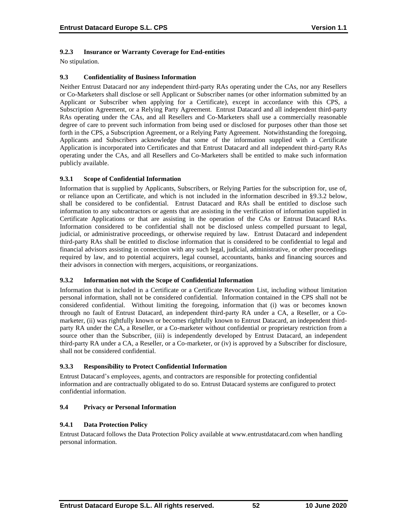# **9.2.3 Insurance or Warranty Coverage for End-entities**

No stipulation.

## **9.3 Confidentiality of Business Information**

Neither Entrust Datacard nor any independent third-party RAs operating under the CAs, nor any Resellers or Co-Marketers shall disclose or sell Applicant or Subscriber names (or other information submitted by an Applicant or Subscriber when applying for a Certificate), except in accordance with this CPS, a Subscription Agreement, or a Relying Party Agreement. Entrust Datacard and all independent third-party RAs operating under the CAs, and all Resellers and Co-Marketers shall use a commercially reasonable degree of care to prevent such information from being used or disclosed for purposes other than those set forth in the CPS, a Subscription Agreement, or a Relying Party Agreement. Notwithstanding the foregoing, Applicants and Subscribers acknowledge that some of the information supplied with a Certificate Application is incorporated into Certificates and that Entrust Datacard and all independent third-party RAs operating under the CAs, and all Resellers and Co-Marketers shall be entitled to make such information publicly available.

## **9.3.1 Scope of Confidential Information**

Information that is supplied by Applicants, Subscribers, or Relying Parties for the subscription for, use of, or reliance upon an Certificate, and which is not included in the information described in §9.3.2 below, shall be considered to be confidential. Entrust Datacard and RAs shall be entitled to disclose such information to any subcontractors or agents that are assisting in the verification of information supplied in Certificate Applications or that are assisting in the operation of the CAs or Entrust Datacard RAs. Information considered to be confidential shall not be disclosed unless compelled pursuant to legal, judicial, or administrative proceedings, or otherwise required by law. Entrust Datacard and independent third-party RAs shall be entitled to disclose information that is considered to be confidential to legal and financial advisors assisting in connection with any such legal, judicial, administrative, or other proceedings required by law, and to potential acquirers, legal counsel, accountants, banks and financing sources and their advisors in connection with mergers, acquisitions, or reorganizations.

## **9.3.2 Information not with the Scope of Confidential Information**

Information that is included in a Certificate or a Certificate Revocation List, including without limitation personal information, shall not be considered confidential. Information contained in the CPS shall not be considered confidential. Without limiting the foregoing, information that (i) was or becomes known through no fault of Entrust Datacard, an independent third-party RA under a CA, a Reseller, or a Comarketer, (ii) was rightfully known or becomes rightfully known to Entrust Datacard, an independent thirdparty RA under the CA, a Reseller, or a Co-marketer without confidential or proprietary restriction from a source other than the Subscriber, (iii) is independently developed by Entrust Datacard, an independent third-party RA under a CA, a Reseller, or a Co-marketer, or (iv) is approved by a Subscriber for disclosure, shall not be considered confidential.

## **9.3.3 Responsibility to Protect Confidential Information**

Entrust Datacard's employees, agents, and contractors are responsible for protecting confidential information and are contractually obligated to do so. Entrust Datacard systems are configured to protect confidential information.

## **9.4 Privacy or Personal Information**

## **9.4.1 Data Protection Policy**

Entrust Datacard follows the Data Protection Policy available at www.entrustdatacard.com when handling personal information.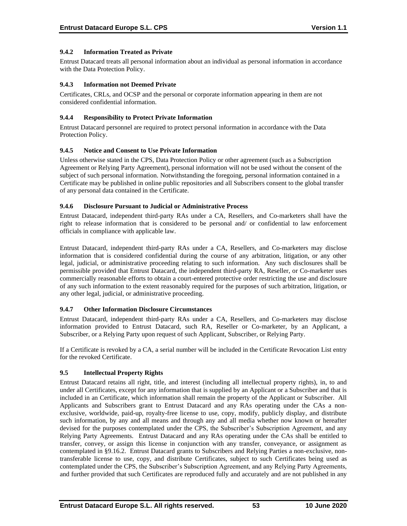## **9.4.2 Information Treated as Private**

Entrust Datacard treats all personal information about an individual as personal information in accordance with the Data Protection Policy.

### **9.4.3 Information not Deemed Private**

Certificates, CRLs, and OCSP and the personal or corporate information appearing in them are not considered confidential information.

#### **9.4.4 Responsibility to Protect Private Information**

Entrust Datacard personnel are required to protect personal information in accordance with the Data Protection Policy.

#### **9.4.5 Notice and Consent to Use Private Information**

Unless otherwise stated in the CPS, Data Protection Policy or other agreement (such as a Subscription Agreement or Relying Party Agreement), personal information will not be used without the consent of the subject of such personal information. Notwithstanding the foregoing, personal information contained in a Certificate may be published in online public repositories and all Subscribers consent to the global transfer of any personal data contained in the Certificate.

### **9.4.6 Disclosure Pursuant to Judicial or Administrative Process**

Entrust Datacard, independent third-party RAs under a CA, Resellers, and Co-marketers shall have the right to release information that is considered to be personal and/ or confidential to law enforcement officials in compliance with applicable law.

Entrust Datacard, independent third-party RAs under a CA, Resellers, and Co-marketers may disclose information that is considered confidential during the course of any arbitration, litigation, or any other legal, judicial, or administrative proceeding relating to such information. Any such disclosures shall be permissible provided that Entrust Datacard, the independent third-party RA, Reseller, or Co-marketer uses commercially reasonable efforts to obtain a court-entered protective order restricting the use and disclosure of any such information to the extent reasonably required for the purposes of such arbitration, litigation, or any other legal, judicial, or administrative proceeding.

#### **9.4.7 Other Information Disclosure Circumstances**

Entrust Datacard, independent third-party RAs under a CA, Resellers, and Co-marketers may disclose information provided to Entrust Datacard, such RA, Reseller or Co-marketer, by an Applicant, a Subscriber, or a Relying Party upon request of such Applicant, Subscriber, or Relying Party.

If a Certificate is revoked by a CA, a serial number will be included in the Certificate Revocation List entry for the revoked Certificate.

## **9.5 Intellectual Property Rights**

Entrust Datacard retains all right, title, and interest (including all intellectual property rights), in, to and under all Certificates, except for any information that is supplied by an Applicant or a Subscriber and that is included in an Certificate, which information shall remain the property of the Applicant or Subscriber. All Applicants and Subscribers grant to Entrust Datacard and any RAs operating under the CAs a nonexclusive, worldwide, paid-up, royalty-free license to use, copy, modify, publicly display, and distribute such information, by any and all means and through any and all media whether now known or hereafter devised for the purposes contemplated under the CPS, the Subscriber's Subscription Agreement, and any Relying Party Agreements. Entrust Datacard and any RAs operating under the CAs shall be entitled to transfer, convey, or assign this license in conjunction with any transfer, conveyance, or assignment as contemplated in §9.16.2. Entrust Datacard grants to Subscribers and Relying Parties a non-exclusive, nontransferable license to use, copy, and distribute Certificates, subject to such Certificates being used as contemplated under the CPS, the Subscriber's Subscription Agreement, and any Relying Party Agreements, and further provided that such Certificates are reproduced fully and accurately and are not published in any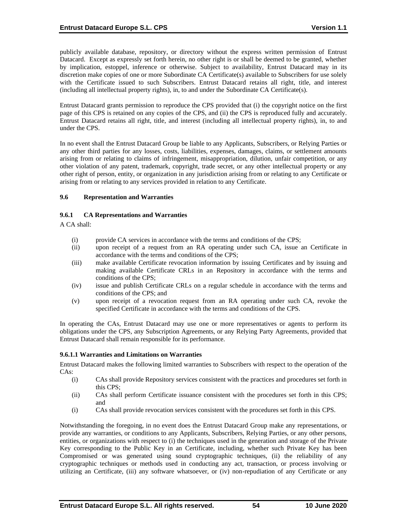publicly available database, repository, or directory without the express written permission of Entrust Datacard. Except as expressly set forth herein, no other right is or shall be deemed to be granted, whether by implication, estoppel, inference or otherwise. Subject to availability, Entrust Datacard may in its discretion make copies of one or more Subordinate CA Certificate(s) available to Subscribers for use solely with the Certificate issued to such Subscribers. Entrust Datacard retains all right, title, and interest (including all intellectual property rights), in, to and under the Subordinate CA Certificate(s).

Entrust Datacard grants permission to reproduce the CPS provided that (i) the copyright notice on the first page of this CPS is retained on any copies of the CPS, and (ii) the CPS is reproduced fully and accurately. Entrust Datacard retains all right, title, and interest (including all intellectual property rights), in, to and under the CPS.

In no event shall the Entrust Datacard Group be liable to any Applicants, Subscribers, or Relying Parties or any other third parties for any losses, costs, liabilities, expenses, damages, claims, or settlement amounts arising from or relating to claims of infringement, misappropriation, dilution, unfair competition, or any other violation of any patent, trademark, copyright, trade secret, or any other intellectual property or any other right of person, entity, or organization in any jurisdiction arising from or relating to any Certificate or arising from or relating to any services provided in relation to any Certificate.

### **9.6 Representation and Warranties**

### **9.6.1 CA Representations and Warranties**

A CA shall:

- (i) provide CA services in accordance with the terms and conditions of the CPS;
- (ii) upon receipt of a request from an RA operating under such CA, issue an Certificate in accordance with the terms and conditions of the CPS;
- (iii) make available Certificate revocation information by issuing Certificates and by issuing and making available Certificate CRLs in an Repository in accordance with the terms and conditions of the CPS;
- (iv) issue and publish Certificate CRLs on a regular schedule in accordance with the terms and conditions of the CPS; and
- (v) upon receipt of a revocation request from an RA operating under such CA, revoke the specified Certificate in accordance with the terms and conditions of the CPS.

In operating the CAs, Entrust Datacard may use one or more representatives or agents to perform its obligations under the CPS, any Subscription Agreements, or any Relying Party Agreements, provided that Entrust Datacard shall remain responsible for its performance.

#### **9.6.1.1 Warranties and Limitations on Warranties**

Entrust Datacard makes the following limited warranties to Subscribers with respect to the operation of the CAs:

- (i) CAs shall provide Repository services consistent with the practices and procedures set forth in this CPS;
- (ii) CAs shall perform Certificate issuance consistent with the procedures set forth in this CPS; and
- (i) CAs shall provide revocation services consistent with the procedures set forth in this CPS.

Notwithstanding the foregoing, in no event does the Entrust Datacard Group make any representations, or provide any warranties, or conditions to any Applicants, Subscribers, Relying Parties, or any other persons, entities, or organizations with respect to (i) the techniques used in the generation and storage of the Private Key corresponding to the Public Key in an Certificate, including, whether such Private Key has been Compromised or was generated using sound cryptographic techniques, (ii) the reliability of any cryptographic techniques or methods used in conducting any act, transaction, or process involving or utilizing an Certificate, (iii) any software whatsoever, or (iv) non-repudiation of any Certificate or any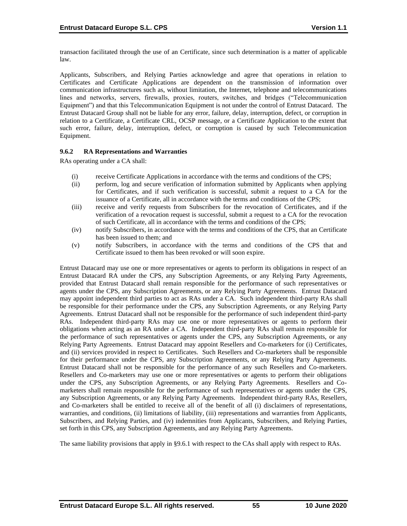transaction facilitated through the use of an Certificate, since such determination is a matter of applicable law.

Applicants, Subscribers, and Relying Parties acknowledge and agree that operations in relation to Certificates and Certificate Applications are dependent on the transmission of information over communication infrastructures such as, without limitation, the Internet, telephone and telecommunications lines and networks, servers, firewalls, proxies, routers, switches, and bridges ("Telecommunication Equipment") and that this Telecommunication Equipment is not under the control of Entrust Datacard. The Entrust Datacard Group shall not be liable for any error, failure, delay, interruption, defect, or corruption in relation to a Certificate, a Certificate CRL, OCSP message, or a Certificate Application to the extent that such error, failure, delay, interruption, defect, or corruption is caused by such Telecommunication Equipment.

### **9.6.2 RA Representations and Warranties**

RAs operating under a CA shall:

- (i) receive Certificate Applications in accordance with the terms and conditions of the CPS;
- (ii) perform, log and secure verification of information submitted by Applicants when applying for Certificates, and if such verification is successful, submit a request to a CA for the issuance of a Certificate, all in accordance with the terms and conditions of the CPS;
- (iii) receive and verify requests from Subscribers for the revocation of Certificates, and if the verification of a revocation request is successful, submit a request to a CA for the revocation of such Certificate, all in accordance with the terms and conditions of the CPS;
- (iv) notify Subscribers, in accordance with the terms and conditions of the CPS, that an Certificate has been issued to them; and
- (v) notify Subscribers, in accordance with the terms and conditions of the CPS that and Certificate issued to them has been revoked or will soon expire.

Entrust Datacard may use one or more representatives or agents to perform its obligations in respect of an Entrust Datacard RA under the CPS, any Subscription Agreements, or any Relying Party Agreements, provided that Entrust Datacard shall remain responsible for the performance of such representatives or agents under the CPS, any Subscription Agreements, or any Relying Party Agreements. Entrust Datacard may appoint independent third parties to act as RAs under a CA. Such independent third-party RAs shall be responsible for their performance under the CPS, any Subscription Agreements, or any Relying Party Agreements. Entrust Datacard shall not be responsible for the performance of such independent third-party RAs. Independent third-party RAs may use one or more representatives or agents to perform their obligations when acting as an RA under a CA. Independent third-party RAs shall remain responsible for the performance of such representatives or agents under the CPS, any Subscription Agreements, or any Relying Party Agreements. Entrust Datacard may appoint Resellers and Co-marketers for (i) Certificates, and (ii) services provided in respect to Certificates. Such Resellers and Co-marketers shall be responsible for their performance under the CPS, any Subscription Agreements, or any Relying Party Agreements. Entrust Datacard shall not be responsible for the performance of any such Resellers and Co-marketers. Resellers and Co-marketers may use one or more representatives or agents to perform their obligations under the CPS, any Subscription Agreements, or any Relying Party Agreements. Resellers and Comarketers shall remain responsible for the performance of such representatives or agents under the CPS, any Subscription Agreements, or any Relying Party Agreements. Independent third-party RAs, Resellers, and Co-marketers shall be entitled to receive all of the benefit of all (i) disclaimers of representations, warranties, and conditions, (ii) limitations of liability, (iii) representations and warranties from Applicants, Subscribers, and Relying Parties, and (iv) indemnities from Applicants, Subscribers, and Relying Parties, set forth in this CPS, any Subscription Agreements, and any Relying Party Agreements.

The same liability provisions that apply in §9.6.1 with respect to the CAs shall apply with respect to RAs.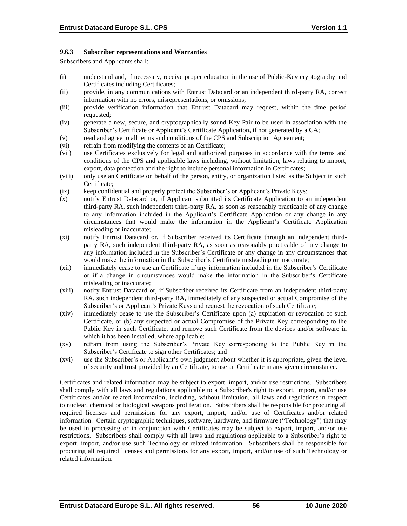### **9.6.3 Subscriber representations and Warranties**

Subscribers and Applicants shall:

- (i) understand and, if necessary, receive proper education in the use of Public-Key cryptography and Certificates including Certificates;
- (ii) provide, in any communications with Entrust Datacard or an independent third-party RA, correct information with no errors, misrepresentations, or omissions;
- (iii) provide verification information that Entrust Datacard may request, within the time period requested;
- (iv) generate a new, secure, and cryptographically sound Key Pair to be used in association with the Subscriber's Certificate or Applicant's Certificate Application, if not generated by a CA;
- (v) read and agree to all terms and conditions of the CPS and Subscription Agreement;
- (vi) refrain from modifying the contents of an Certificate;
- (vii) use Certificates exclusively for legal and authorized purposes in accordance with the terms and conditions of the CPS and applicable laws including, without limitation, laws relating to import, export, data protection and the right to include personal information in Certificates;
- (viii) only use an Certificate on behalf of the person, entity, or organization listed as the Subject in such Certificate;
- (ix) keep confidential and properly protect the Subscriber's or Applicant's Private Keys;
- (x) notify Entrust Datacard or, if Applicant submitted its Certificate Application to an independent third-party RA, such independent third-party RA, as soon as reasonably practicable of any change to any information included in the Applicant's Certificate Application or any change in any circumstances that would make the information in the Applicant's Certificate Application misleading or inaccurate;
- (xi) notify Entrust Datacard or, if Subscriber received its Certificate through an independent thirdparty RA, such independent third-party RA, as soon as reasonably practicable of any change to any information included in the Subscriber's Certificate or any change in any circumstances that would make the information in the Subscriber's Certificate misleading or inaccurate;
- (xii) immediately cease to use an Certificate if any information included in the Subscriber's Certificate or if a change in circumstances would make the information in the Subscriber's Certificate misleading or inaccurate;
- (xiii) notify Entrust Datacard or, if Subscriber received its Certificate from an independent third-party RA, such independent third-party RA, immediately of any suspected or actual Compromise of the Subscriber's or Applicant's Private Keys and request the revocation of such Certificate;
- (xiv) immediately cease to use the Subscriber's Certificate upon (a) expiration or revocation of such Certificate, or (b) any suspected or actual Compromise of the Private Key corresponding to the Public Key in such Certificate, and remove such Certificate from the devices and/or software in which it has been installed, where applicable;
- (xv) refrain from using the Subscriber's Private Key corresponding to the Public Key in the Subscriber's Certificate to sign other Certificates; and
- (xvi) use the Subscriber's or Applicant's own judgment about whether it is appropriate, given the level of security and trust provided by an Certificate, to use an Certificate in any given circumstance.

Certificates and related information may be subject to export, import, and/or use restrictions. Subscribers shall comply with all laws and regulations applicable to a Subscriber's right to export, import, and/or use Certificates and/or related information, including, without limitation, all laws and regulations in respect to nuclear, chemical or biological weapons proliferation. Subscribers shall be responsible for procuring all required licenses and permissions for any export, import, and/or use of Certificates and/or related information. Certain cryptographic techniques, software, hardware, and firmware ("Technology") that may be used in processing or in conjunction with Certificates may be subject to export, import, and/or use restrictions. Subscribers shall comply with all laws and regulations applicable to a Subscriber's right to export, import, and/or use such Technology or related information. Subscribers shall be responsible for procuring all required licenses and permissions for any export, import, and/or use of such Technology or related information.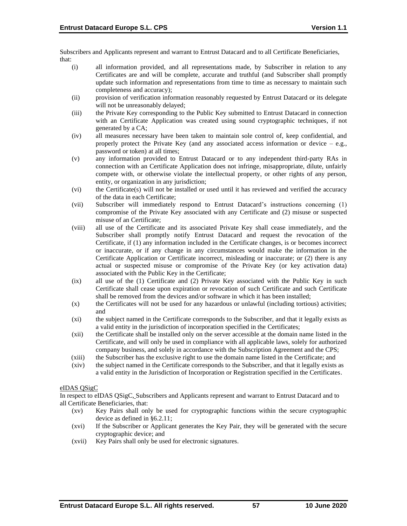Subscribers and Applicants represent and warrant to Entrust Datacard and to all Certificate Beneficiaries, that:

- (i) all information provided, and all representations made, by Subscriber in relation to any Certificates are and will be complete, accurate and truthful (and Subscriber shall promptly update such information and representations from time to time as necessary to maintain such completeness and accuracy);
- (ii) provision of verification information reasonably requested by Entrust Datacard or its delegate will not be unreasonably delayed;
- (iii) the Private Key corresponding to the Public Key submitted to Entrust Datacard in connection with an Certificate Application was created using sound cryptographic techniques, if not generated by a CA;
- (iv) all measures necessary have been taken to maintain sole control of, keep confidential, and properly protect the Private Key (and any associated access information or device – e.g., password or token) at all times;
- (v) any information provided to Entrust Datacard or to any independent third-party RAs in connection with an Certificate Application does not infringe, misappropriate, dilute, unfairly compete with, or otherwise violate the intellectual property, or other rights of any person, entity, or organization in any jurisdiction;
- (vi) the Certificate(s) will not be installed or used until it has reviewed and verified the accuracy of the data in each Certificate;
- (vii) Subscriber will immediately respond to Entrust Datacard's instructions concerning (1) compromise of the Private Key associated with any Certificate and (2) misuse or suspected misuse of an Certificate;
- (viii) all use of the Certificate and its associated Private Key shall cease immediately, and the Subscriber shall promptly notify Entrust Datacard and request the revocation of the Certificate, if (1) any information included in the Certificate changes, is or becomes incorrect or inaccurate, or if any change in any circumstances would make the information in the Certificate Application or Certificate incorrect, misleading or inaccurate; or (2) there is any actual or suspected misuse or compromise of the Private Key (or key activation data) associated with the Public Key in the Certificate;
- (ix) all use of the (1) Certificate and (2) Private Key associated with the Public Key in such Certificate shall cease upon expiration or revocation of such Certificate and such Certificate shall be removed from the devices and/or software in which it has been installed;
- (x) the Certificates will not be used for any hazardous or unlawful (including tortious) activities; and
- (xi) the subject named in the Certificate corresponds to the Subscriber, and that it legally exists as a valid entity in the jurisdiction of incorporation specified in the Certificates;
- (xii) the Certificate shall be installed only on the server accessible at the domain name listed in the Certificate, and will only be used in compliance with all applicable laws, solely for authorized company business, and solely in accordance with the Subscription Agreement and the CPS;
- (xiii) the Subscriber has the exclusive right to use the domain name listed in the Certificate; and
- (xiv) the subject named in the Certificate corresponds to the Subscriber, and that it legally exists as a valid entity in the Jurisdiction of Incorporation or Registration specified in the Certificates.

## eIDAS QSigC

In respect to eIDAS QSigC, Subscribers and Applicants represent and warrant to Entrust Datacard and to all Certificate Beneficiaries, that:

- (xv) Key Pairs shall only be used for cryptographic functions within the secure cryptographic device as defined in §6.2.11;
- (xvi) If the Subscriber or Applicant generates the Key Pair, they will be generated with the secure cryptographic device; and
- (xvii) Key Pairs shall only be used for electronic signatures.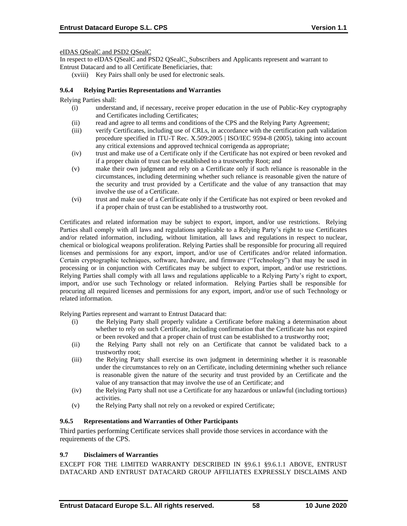eIDAS QSealC and PSD2 QSealC

In respect to eIDAS QSealC and PSD2 QSealC, Subscribers and Applicants represent and warrant to Entrust Datacard and to all Certificate Beneficiaries, that:

(xviii) Key Pairs shall only be used for electronic seals.

### **9.6.4 Relying Parties Representations and Warranties**

Relying Parties shall:

- (i) understand and, if necessary, receive proper education in the use of Public-Key cryptography and Certificates including Certificates;
- (ii) read and agree to all terms and conditions of the CPS and the Relying Party Agreement;
- (iii) verify Certificates, including use of CRLs, in accordance with the certification path validation procedure specified in ITU-T Rec. X.509:2005 | ISO/IEC 9594-8 (2005), taking into account any critical extensions and approved technical corrigenda as appropriate;
- (iv) trust and make use of a Certificate only if the Certificate has not expired or been revoked and if a proper chain of trust can be established to a trustworthy Root; and
- (v) make their own judgment and rely on a Certificate only if such reliance is reasonable in the circumstances, including determining whether such reliance is reasonable given the nature of the security and trust provided by a Certificate and the value of any transaction that may involve the use of a Certificate.
- (vi) trust and make use of a Certificate only if the Certificate has not expired or been revoked and if a proper chain of trust can be established to a trustworthy root.

Certificates and related information may be subject to export, import, and/or use restrictions. Relying Parties shall comply with all laws and regulations applicable to a Relying Party's right to use Certificates and/or related information, including, without limitation, all laws and regulations in respect to nuclear, chemical or biological weapons proliferation. Relying Parties shall be responsible for procuring all required licenses and permissions for any export, import, and/or use of Certificates and/or related information. Certain cryptographic techniques, software, hardware, and firmware ("Technology") that may be used in processing or in conjunction with Certificates may be subject to export, import, and/or use restrictions. Relying Parties shall comply with all laws and regulations applicable to a Relying Party's right to export, import, and/or use such Technology or related information. Relying Parties shall be responsible for procuring all required licenses and permissions for any export, import, and/or use of such Technology or related information.

Relying Parties represent and warrant to Entrust Datacard that:

- (i) the Relying Party shall properly validate a Certificate before making a determination about whether to rely on such Certificate, including confirmation that the Certificate has not expired or been revoked and that a proper chain of trust can be established to a trustworthy root;
- (ii) the Relying Party shall not rely on an Certificate that cannot be validated back to a trustworthy root;
- (iii) the Relying Party shall exercise its own judgment in determining whether it is reasonable under the circumstances to rely on an Certificate, including determining whether such reliance is reasonable given the nature of the security and trust provided by an Certificate and the value of any transaction that may involve the use of an Certificate; and
- (iv) the Relying Party shall not use a Certificate for any hazardous or unlawful (including tortious) activities.
- (v) the Relying Party shall not rely on a revoked or expired Certificate;

### **9.6.5 Representations and Warranties of Other Participants**

Third parties performing Certificate services shall provide those services in accordance with the requirements of the CPS.

#### **9.7 Disclaimers of Warranties**

EXCEPT FOR THE LIMITED WARRANTY DESCRIBED IN §9.6.1 §9.6.1.1 ABOVE, ENTRUST DATACARD AND ENTRUST DATACARD GROUP AFFILIATES EXPRESSLY DISCLAIMS AND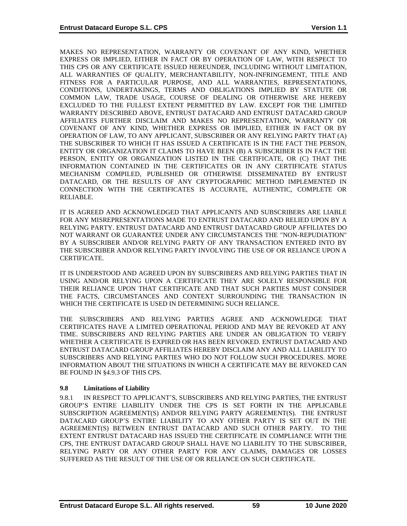MAKES NO REPRESENTATION, WARRANTY OR COVENANT OF ANY KIND, WHETHER EXPRESS OR IMPLIED, EITHER IN FACT OR BY OPERATION OF LAW, WITH RESPECT TO THIS CPS OR ANY CERTIFICATE ISSUED HEREUNDER, INCLUDING WITHOUT LIMITATION, ALL WARRANTIES OF QUALITY, MERCHANTABILITY, NON-INFRINGEMENT, TITLE AND FITNESS FOR A PARTICULAR PURPOSE, AND ALL WARRANTIES, REPRESENTATIONS, CONDITIONS, UNDERTAKINGS, TERMS AND OBLIGATIONS IMPLIED BY STATUTE OR COMMON LAW, TRADE USAGE, COURSE OF DEALING OR OTHERWISE ARE HEREBY EXCLUDED TO THE FULLEST EXTENT PERMITTED BY LAW. EXCEPT FOR THE LIMITED WARRANTY DESCRIBED ABOVE, ENTRUST DATACARD AND ENTRUST DATACARD GROUP AFFILIATES FURTHER DISCLAIM AND MAKES NO REPRESENTATION, WARRANTY OR COVENANT OF ANY KIND, WHETHER EXPRESS OR IMPLIED, EITHER IN FACT OR BY OPERATION OF LAW, TO ANY APPLICANT, SUBSCRIBER OR ANY RELYING PARTY THAT (A) THE SUBSCRIBER TO WHICH IT HAS ISSUED A CERTIFICATE IS IN THE FACT THE PERSON, ENTITY OR ORGANIZATION IT CLAIMS TO HAVE BEEN (B) A SUBSCRIBER IS IN FACT THE PERSON, ENTITY OR ORGANIZATION LISTED IN THE CERTIFICATE, OR (C) THAT THE INFORMATION CONTAINED IN THE CERTIFICATES OR IN ANY CERTIFICATE STATUS MECHANISM COMPILED, PUBLISHED OR OTHERWISE DISSEMINATED BY ENTRUST DATACARD, OR THE RESULTS OF ANY CRYPTOGRAPHIC METHOD IMPLEMENTED IN CONNECTION WITH THE CERTIFICATES IS ACCURATE, AUTHENTIC, COMPLETE OR RELIABLE.

IT IS AGREED AND ACKNOWLEDGED THAT APPLICANTS AND SUBSCRIBERS ARE LIABLE FOR ANY MISREPRESENTATIONS MADE TO ENTRUST DATACARD AND RELIED UPON BY A RELYING PARTY. ENTRUST DATACARD AND ENTRUST DATACARD GROUP AFFILIATES DO NOT WARRANT OR GUARANTEE UNDER ANY CIRCUMSTANCES THE "NON-REPUDIATION" BY A SUBSCRIBER AND/OR RELYING PARTY OF ANY TRANSACTION ENTERED INTO BY THE SUBSCRIBER AND/OR RELYING PARTY INVOLVING THE USE OF OR RELIANCE UPON A CERTIFICATE.

IT IS UNDERSTOOD AND AGREED UPON BY SUBSCRIBERS AND RELYING PARTIES THAT IN USING AND/OR RELYING UPON A CERTIFICATE THEY ARE SOLELY RESPONSIBLE FOR THEIR RELIANCE UPON THAT CERTIFICATE AND THAT SUCH PARTIES MUST CONSIDER THE FACTS, CIRCUMSTANCES AND CONTEXT SURROUNDING THE TRANSACTION IN WHICH THE CERTIFICATE IS USED IN DETERMINING SUCH RELIANCE.

THE SUBSCRIBERS AND RELYING PARTIES AGREE AND ACKNOWLEDGE THAT CERTIFICATES HAVE A LIMITED OPERATIONAL PERIOD AND MAY BE REVOKED AT ANY TIME. SUBSCRIBERS AND RELYING PARTIES ARE UNDER AN OBLIGATION TO VERIFY WHETHER A CERTIFICATE IS EXPIRED OR HAS BEEN REVOKED. ENTRUST DATACARD AND ENTRUST DATACARD GROUP AFFILIATES HEREBY DISCLAIM ANY AND ALL LIABILITY TO SUBSCRIBERS AND RELYING PARTIES WHO DO NOT FOLLOW SUCH PROCEDURES. MORE INFORMATION ABOUT THE SITUATIONS IN WHICH A CERTIFICATE MAY BE REVOKED CAN BE FOUND IN §4.9.3 OF THIS CPS.

## **9.8 Limitations of Liability**

9.8.1 IN RESPECT TO APPLICANT'S, SUBSCRIBERS AND RELYING PARTIES, THE ENTRUST GROUP'S ENTIRE LIABILITY UNDER THE CPS IS SET FORTH IN THE APPLICABLE SUBSCRIPTION AGREEMENT(S) AND/OR RELYING PARTY AGREEMENT(S). THE ENTRUST DATACARD GROUP'S ENTIRE LIABILITY TO ANY OTHER PARTY IS SET OUT IN THE AGREEMENT(S) BETWEEN ENTRUST DATACARD AND SUCH OTHER PARTY. TO THE EXTENT ENTRUST DATACARD HAS ISSUED THE CERTIFICATE IN COMPLIANCE WITH THE CPS, THE ENTRUST DATACARD GROUP SHALL HAVE NO LIABILITY TO THE SUBSCRIBER, RELYING PARTY OR ANY OTHER PARTY FOR ANY CLAIMS, DAMAGES OR LOSSES SUFFERED AS THE RESULT OF THE USE OF OR RELIANCE ON SUCH CERTIFICATE.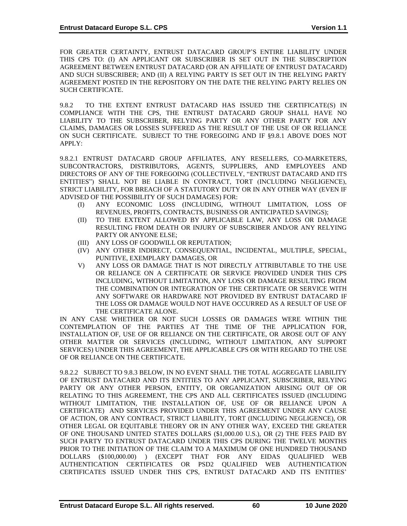FOR GREATER CERTAINTY, ENTRUST DATACARD GROUP'S ENTIRE LIABILITY UNDER THIS CPS TO: (I) AN APPLICANT OR SUBSCRIBER IS SET OUT IN THE SUBSCRIPTION AGREEMENT BETWEEN ENTRUST DATACARD (OR AN AFFILIATE OF ENTRUST DATACARD) AND SUCH SUBSCRIBER; AND (II) A RELYING PARTY IS SET OUT IN THE RELYING PARTY AGREEMENT POSTED IN THE REPOSITORY ON THE DATE THE RELYING PARTY RELIES ON SUCH CERTIFICATE.

9.8.2 TO THE EXTENT ENTRUST DATACARD HAS ISSUED THE CERTIFICATE(S) IN COMPLIANCE WITH THE CPS, THE ENTRUST DATACARD GROUP SHALL HAVE NO LIABILITY TO THE SUBSCRIBER, RELYING PARTY OR ANY OTHER PARTY FOR ANY CLAIMS, DAMAGES OR LOSSES SUFFERED AS THE RESULT OF THE USE OF OR RELIANCE ON SUCH CERTIFICATE. SUBJECT TO THE FOREGOING AND IF §9.8.1 ABOVE DOES NOT APPLY:

9.8.2.1 ENTRUST DATACARD GROUP AFFILIATES, ANY RESELLERS, CO-MARKETERS, SUBCONTRACTORS, DISTRIBUTORS, AGENTS, SUPPLIERS, AND EMPLOYEES AND DIRECTORS OF ANY OF THE FOREGOING (COLLECTIVELY, "ENTRUST DATACARD AND ITS ENTITIES") SHALL NOT BE LIABLE IN CONTRACT, TORT (INCLUDING NEGLIGENCE), STRICT LIABILITY, FOR BREACH OF A STATUTORY DUTY OR IN ANY OTHER WAY (EVEN IF ADVISED OF THE POSSIBILITY OF SUCH DAMAGES) FOR:

- (I) ANY ECONOMIC LOSS (INCLUDING, WITHOUT LIMITATION, LOSS OF REVENUES, PROFITS, CONTRACTS, BUSINESS OR ANTICIPATED SAVINGS);
- (II) TO THE EXTENT ALLOWED BY APPLICABLE LAW, ANY LOSS OR DAMAGE RESULTING FROM DEATH OR INJURY OF SUBSCRIBER AND/OR ANY RELYING PARTY OR ANYONE ELSE;
- (III) ANY LOSS OF GOODWILL OR REPUTATION;
- (IV) ANY OTHER INDIRECT, CONSEQUENTIAL, INCIDENTAL, MULTIPLE, SPECIAL, PUNITIVE, EXEMPLARY DAMAGES, OR
- V) ANY LOSS OR DAMAGE THAT IS NOT DIRECTLY ATTRIBUTABLE TO THE USE OR RELIANCE ON A CERTIFICATE OR SERVICE PROVIDED UNDER THIS CPS INCLUDING, WITHOUT LIMITATION, ANY LOSS OR DAMAGE RESULTING FROM THE COMBINATION OR INTEGRATION OF THE CERTIFICATE OR SERVICE WITH ANY SOFTWARE OR HARDWARE NOT PROVIDED BY ENTRUST DATACARD IF THE LOSS OR DAMAGE WOULD NOT HAVE OCCURRED AS A RESULT OF USE OF THE CERTIFICATE ALONE.

IN ANY CASE WHETHER OR NOT SUCH LOSSES OR DAMAGES WERE WITHIN THE CONTEMPLATION OF THE PARTIES AT THE TIME OF THE APPLICATION FOR, INSTALLATION OF, USE OF OR RELIANCE ON THE CERTIFICATE, OR AROSE OUT OF ANY OTHER MATTER OR SERVICES (INCLUDING, WITHOUT LIMITATION, ANY SUPPORT SERVICES) UNDER THIS AGREEMENT, THE APPLICABLE CPS OR WITH REGARD TO THE USE OF OR RELIANCE ON THE CERTIFICATE.

9.8.2.2 SUBJECT TO 9.8.3 BELOW, IN NO EVENT SHALL THE TOTAL AGGREGATE LIABILITY OF ENTRUST DATACARD AND ITS ENTITIES TO ANY APPLICANT, SUBSCRIBER, RELYING PARTY OR ANY OTHER PERSON, ENTITY, OR ORGANIZATION ARISING OUT OF OR RELATING TO THIS AGREEMENT, THE CPS AND ALL CERTIFICATES ISSUED (INCLUDING WITHOUT LIMITATION, THE INSTALLATION OF, USE OF OR RELIANCE UPON A CERTIFICATE) AND SERVICES PROVIDED UNDER THIS AGREEMENT UNDER ANY CAUSE OF ACTION, OR ANY CONTRACT, STRICT LIABILITY, TORT (INCLUDING NEGLIGENCE), OR OTHER LEGAL OR EQUITABLE THEORY OR IN ANY OTHER WAY, EXCEED THE GREATER OF ONE THOUSAND UNITED STATES DOLLARS (\$1,000.00 U.S.), OR (2) THE FEES PAID BY SUCH PARTY TO ENTRUST DATACARD UNDER THIS CPS DURING THE TWELVE MONTHS PRIOR TO THE INITIATION OF THE CLAIM TO A MAXIMUM OF ONE HUNDRED THOUSAND DOLLARS (\$100,000.00) ) (EXCEPT THAT FOR ANY EIDAS QUALIFIED WEB AUTHENTICATION CERTIFICATES OR PSD2 QUALIFIED WEB AUTHENTICATION CERTIFICATES ISSUED UNDER THIS CPS, ENTRUST DATACARD AND ITS ENTITIES'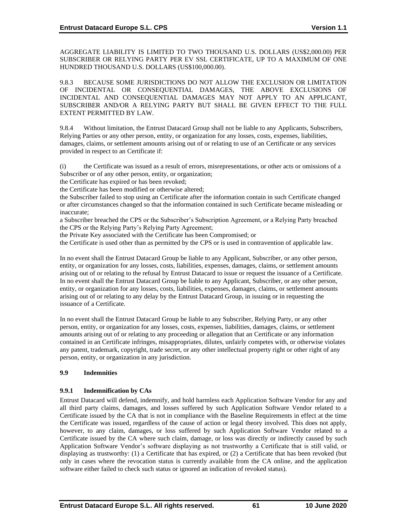AGGREGATE LIABILITY IS LIMITED TO TWO THOUSAND U.S. DOLLARS (US\$2,000.00) PER SUBSCRIBER OR RELYING PARTY PER EV SSL CERTIFICATE, UP TO A MAXIMUM OF ONE HUNDRED THOUSAND U.S. DOLLARS (US\$100,000.00).

9.8.3 BECAUSE SOME JURISDICTIONS DO NOT ALLOW THE EXCLUSION OR LIMITATION OF INCIDENTAL OR CONSEQUENTIAL DAMAGES, THE ABOVE EXCLUSIONS OF INCIDENTAL AND CONSEQUENTIAL DAMAGES MAY NOT APPLY TO AN APPLICANT, SUBSCRIBER AND/OR A RELYING PARTY BUT SHALL BE GIVEN EFFECT TO THE FULL EXTENT PERMITTED BY LAW.

9.8.4 Without limitation, the Entrust Datacard Group shall not be liable to any Applicants, Subscribers, Relying Parties or any other person, entity, or organization for any losses, costs, expenses, liabilities, damages, claims, or settlement amounts arising out of or relating to use of an Certificate or any services provided in respect to an Certificate if:

(i) the Certificate was issued as a result of errors, misrepresentations, or other acts or omissions of a Subscriber or of any other person, entity, or organization;

the Certificate has expired or has been revoked;

the Certificate has been modified or otherwise altered;

the Subscriber failed to stop using an Certificate after the information contain in such Certificate changed or after circumstances changed so that the information contained in such Certificate became misleading or inaccurate;

a Subscriber breached the CPS or the Subscriber's Subscription Agreement, or a Relying Party breached the CPS or the Relying Party's Relying Party Agreement;

the Private Key associated with the Certificate has been Compromised; or

the Certificate is used other than as permitted by the CPS or is used in contravention of applicable law.

In no event shall the Entrust Datacard Group be liable to any Applicant, Subscriber, or any other person, entity, or organization for any losses, costs, liabilities, expenses, damages, claims, or settlement amounts arising out of or relating to the refusal by Entrust Datacard to issue or request the issuance of a Certificate. In no event shall the Entrust Datacard Group be liable to any Applicant, Subscriber, or any other person, entity, or organization for any losses, costs, liabilities, expenses, damages, claims, or settlement amounts arising out of or relating to any delay by the Entrust Datacard Group, in issuing or in requesting the issuance of a Certificate.

In no event shall the Entrust Datacard Group be liable to any Subscriber, Relying Party, or any other person, entity, or organization for any losses, costs, expenses, liabilities, damages, claims, or settlement amounts arising out of or relating to any proceeding or allegation that an Certificate or any information contained in an Certificate infringes, misappropriates, dilutes, unfairly competes with, or otherwise violates any patent, trademark, copyright, trade secret, or any other intellectual property right or other right of any person, entity, or organization in any jurisdiction.

# **9.9 Indemnities**

## **9.9.1 Indemnification by CAs**

Entrust Datacard will defend, indemnify, and hold harmless each Application Software Vendor for any and all third party claims, damages, and losses suffered by such Application Software Vendor related to a Certificate issued by the CA that is not in compliance with the Baseline Requirements in effect at the time the Certificate was issued, regardless of the cause of action or legal theory involved. This does not apply, however, to any claim, damages, or loss suffered by such Application Software Vendor related to a Certificate issued by the CA where such claim, damage, or loss was directly or indirectly caused by such Application Software Vendor's software displaying as not trustworthy a Certificate that is still valid, or displaying as trustworthy: (1) a Certificate that has expired, or (2) a Certificate that has been revoked (but only in cases where the revocation status is currently available from the CA online, and the application software either failed to check such status or ignored an indication of revoked status).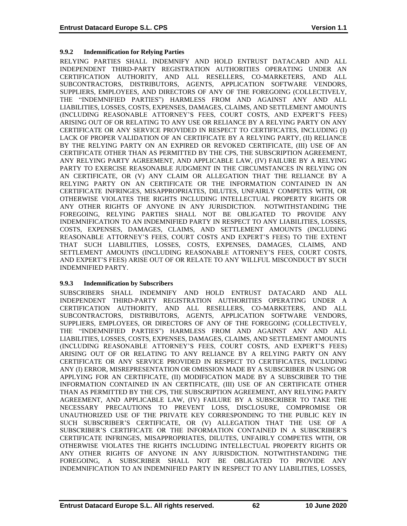### **9.9.2 Indemnification for Relying Parties**

RELYING PARTIES SHALL INDEMNIFY AND HOLD ENTRUST DATACARD AND ALL INDEPENDENT THIRD-PARTY REGISTRATION AUTHORITIES OPERATING UNDER AN CERTIFICATION AUTHORITY, AND ALL RESELLERS, CO-MARKETERS, AND ALL SUBCONTRACTORS, DISTRIBUTORS, AGENTS, APPLICATION SOFTWARE VENDORS, SUPPLIERS, EMPLOYEES, AND DIRECTORS OF ANY OF THE FOREGOING (COLLECTIVELY, THE "INDEMNIFIED PARTIES") HARMLESS FROM AND AGAINST ANY AND ALL LIABILITIES, LOSSES, COSTS, EXPENSES, DAMAGES, CLAIMS, AND SETTLEMENT AMOUNTS (INCLUDING REASONABLE ATTORNEY'S FEES, COURT COSTS, AND EXPERT'S FEES) ARISING OUT OF OR RELATING TO ANY USE OR RELIANCE BY A RELYING PARTY ON ANY CERTIFICATE OR ANY SERVICE PROVIDED IN RESPECT TO CERTIFICATES, INCLUDING (I) LACK OF PROPER VALIDATION OF AN CERTIFICATE BY A RELYING PARTY, (II) RELIANCE BY THE RELYING PARTY ON AN EXPIRED OR REVOKED CERTIFICATE, (III) USE OF AN CERTIFICATE OTHER THAN AS PERMITTED BY THE CPS, THE SUBSCRIPTION AGREEMENT, ANY RELYING PARTY AGREEMENT, AND APPLICABLE LAW, (IV) FAILURE BY A RELYING PARTY TO EXERCISE REASONABLE JUDGMENT IN THE CIRCUMSTANCES IN RELYING ON AN CERTIFICATE, OR (V) ANY CLAIM OR ALLEGATION THAT THE RELIANCE BY A RELYING PARTY ON AN CERTIFICATE OR THE INFORMATION CONTAINED IN AN CERTIFICATE INFRINGES, MISAPPROPRIATES, DILUTES, UNFAIRLY COMPETES WITH, OR OTHERWISE VIOLATES THE RIGHTS INCLUDING INTELLECTUAL PROPERTY RIGHTS OR ANY OTHER RIGHTS OF ANYONE IN ANY JURISDICTION. NOTWITHSTANDING THE FOREGOING, RELYING PARTIES SHALL NOT BE OBLIGATED TO PROVIDE ANY INDEMNIFICATION TO AN INDEMNIFIED PARTY IN RESPECT TO ANY LIABILITIES, LOSSES, COSTS, EXPENSES, DAMAGES, CLAIMS, AND SETTLEMENT AMOUNTS (INCLUDING REASONABLE ATTORNEY'S FEES, COURT COSTS AND EXPERT'S FEES) TO THE EXTENT THAT SUCH LIABILITIES, LOSSES, COSTS, EXPENSES, DAMAGES, CLAIMS, AND SETTLEMENT AMOUNTS (INCLUDING REASONABLE ATTORNEY'S FEES, COURT COSTS, AND EXPERT'S FEES) ARISE OUT OF OR RELATE TO ANY WILLFUL MISCONDUCT BY SUCH INDEMNIFIED PARTY.

#### **9.9.3 Indemnification by Subscribers**

SUBSCRIBERS SHALL INDEMNIFY AND HOLD ENTRUST DATACARD AND ALL INDEPENDENT THIRD-PARTY REGISTRATION AUTHORITIES OPERATING UNDER A CERTIFICATION AUTHORITY, AND ALL RESELLERS, CO-MARKETERS, AND ALL SUBCONTRACTORS, DISTRIBUTORS, AGENTS, APPLICATION SOFTWARE VENDORS, SUPPLIERS, EMPLOYEES, OR DIRECTORS OF ANY OF THE FOREGOING (COLLECTIVELY, THE "INDEMNIFIED PARTIES") HARMLESS FROM AND AGAINST ANY AND ALL LIABILITIES, LOSSES, COSTS, EXPENSES, DAMAGES, CLAIMS, AND SETTLEMENT AMOUNTS (INCLUDING REASONABLE ATTORNEY'S FEES, COURT COSTS, AND EXPERT'S FEES) ARISING OUT OF OR RELATING TO ANY RELIANCE BY A RELYING PARTY ON ANY CERTIFICATE OR ANY SERVICE PROVIDED IN RESPECT TO CERTIFICATES, INCLUDING ANY (I) ERROR, MISREPRESENTATION OR OMISSION MADE BY A SUBSCRIBER IN USING OR APPLYING FOR AN CERTIFICATE, (II) MODIFICATION MADE BY A SUBSCRIBER TO THE INFORMATION CONTAINED IN AN CERTIFICATE, (III) USE OF AN CERTIFICATE OTHER THAN AS PERMITTED BY THE CPS, THE SUBSCRIPTION AGREEMENT, ANY RELYING PARTY AGREEMENT, AND APPLICABLE LAW, (IV) FAILURE BY A SUBSCRIBER TO TAKE THE NECESSARY PRECAUTIONS TO PREVENT LOSS, DISCLOSURE, COMPROMISE OR UNAUTHORIZED USE OF THE PRIVATE KEY CORRESPONDING TO THE PUBLIC KEY IN SUCH SUBSCRIBER'S CERTIFICATE, OR (V) ALLEGATION THAT THE USE OF A SUBSCRIBER'S CERTIFICATE OR THE INFORMATION CONTAINED IN A SUBSCRIBER'S CERTIFICATE INFRINGES, MISAPPROPRIATES, DILUTES, UNFAIRLY COMPETES WITH, OR OTHERWISE VIOLATES THE RIGHTS INCLUDING INTELLECTUAL PROPERTY RIGHTS OR ANY OTHER RIGHTS OF ANYONE IN ANY JURISDICTION. NOTWITHSTANDING THE FOREGOING, A SUBSCRIBER SHALL NOT BE OBLIGATED TO PROVIDE ANY INDEMNIFICATION TO AN INDEMNIFIED PARTY IN RESPECT TO ANY LIABILITIES, LOSSES,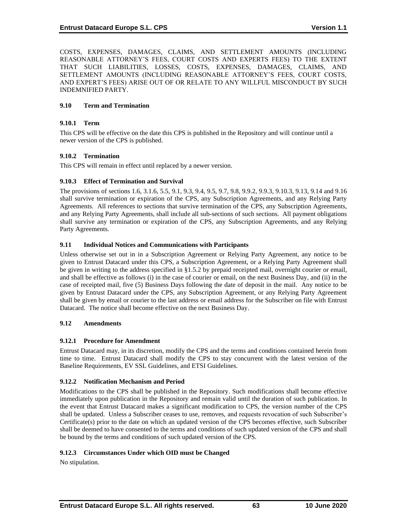COSTS, EXPENSES, DAMAGES, CLAIMS, AND SETTLEMENT AMOUNTS (INCLUDING REASONABLE ATTORNEY'S FEES, COURT COSTS AND EXPERTS FEES) TO THE EXTENT THAT SUCH LIABILITIES, LOSSES, COSTS, EXPENSES, DAMAGES, CLAIMS, AND SETTLEMENT AMOUNTS (INCLUDING REASONABLE ATTORNEY'S FEES, COURT COSTS, AND EXPERT'S FEES) ARISE OUT OF OR RELATE TO ANY WILLFUL MISCONDUCT BY SUCH INDEMNIFIED PARTY.

# **9.10 Term and Termination**

### **9.10.1 Term**

This CPS will be effective on the date this CPS is published in the Repository and will continue until a newer version of the CPS is published.

### **9.10.2 Termination**

This CPS will remain in effect until replaced by a newer version.

### **9.10.3 Effect of Termination and Survival**

The provisions of sections 1.6, 3.1.6, 5.5, 9.1, 9.3, 9.4, 9.5, 9.7, 9.8, 9.9.2, 9.9.3, 9.10.3, 9.13, 9.14 and 9.16 shall survive termination or expiration of the CPS, any Subscription Agreements, and any Relying Party Agreements. All references to sections that survive termination of the CPS, any Subscription Agreements, and any Relying Party Agreements, shall include all sub-sections of such sections. All payment obligations shall survive any termination or expiration of the CPS, any Subscription Agreements, and any Relying Party Agreements.

## **9.11 Individual Notices and Communications with Participants**

Unless otherwise set out in in a Subscription Agreement or Relying Party Agreement, any notice to be given to Entrust Datacard under this CPS, a Subscription Agreement, or a Relying Party Agreement shall be given in writing to the address specified in §1.5.2 by prepaid receipted mail, overnight courier or email, and shall be effective as follows (i) in the case of courier or email, on the next Business Day, and (ii) in the case of receipted mail, five (5) Business Days following the date of deposit in the mail. Any notice to be given by Entrust Datacard under the CPS, any Subscription Agreement, or any Relying Party Agreement shall be given by email or courier to the last address or email address for the Subscriber on file with Entrust Datacard. The notice shall become effective on the next Business Day.

## **9.12 Amendments**

## **9.12.1 Procedure for Amendment**

Entrust Datacard may, in its discretion, modify the CPS and the terms and conditions contained herein from time to time. Entrust Datacard shall modify the CPS to stay concurrent with the latest version of the Baseline Requirements, EV SSL Guidelines, and ETSI Guidelines.

## **9.12.2 Notification Mechanism and Period**

Modifications to the CPS shall be published in the Repository. Such modifications shall become effective immediately upon publication in the Repository and remain valid until the duration of such publication. In the event that Entrust Datacard makes a significant modification to CPS, the version number of the CPS shall be updated. Unless a Subscriber ceases to use, removes, and requests revocation of such Subscriber's Certificate(s) prior to the date on which an updated version of the CPS becomes effective, such Subscriber shall be deemed to have consented to the terms and conditions of such updated version of the CPS and shall be bound by the terms and conditions of such updated version of the CPS.

## **9.12.3 Circumstances Under which OID must be Changed**

No stipulation.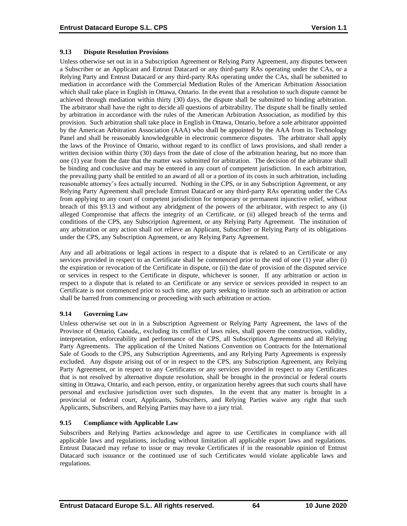### **9.13 Dispute Resolution Provisions**

Unless otherwise set out in in a Subscription Agreement or Relying Party Agreement, any disputes between a Subscriber or an Applicant and Entrust Datacard or any third-party RAs operating under the CAs, or a Relying Party and Entrust Datacard or any third-party RAs operating under the CAs, shall be submitted to mediation in accordance with the Commercial Mediation Rules of the American Arbitration Association which shall take place in English in Ottawa, Ontario. In the event that a resolution to such dispute cannot be achieved through mediation within thirty (30) days, the dispute shall be submitted to binding arbitration. The arbitrator shall have the right to decide all questions of arbitrability. The dispute shall be finally settled by arbitration in accordance with the rules of the American Arbitration Association, as modified by this provision. Such arbitration shall take place in English in Ottawa, Ontario, before a sole arbitrator appointed by the American Arbitration Association (AAA) who shall be appointed by the AAA from its Technology Panel and shall be reasonably knowledgeable in electronic commerce disputes. The arbitrator shall apply the laws of the Province of Ontario, without regard to its conflict of laws provisions, and shall render a written decision within thirty (30) days from the date of close of the arbitration hearing, but no more than one (1) year from the date that the matter was submitted for arbitration. The decision of the arbitrator shall be binding and conclusive and may be entered in any court of competent jurisdiction. In each arbitration, the prevailing party shall be entitled to an award of all or a portion of its costs in such arbitration, including reasonable attorney's fees actually incurred. Nothing in the CPS, or in any Subscription Agreement, or any Relying Party Agreement shall preclude Entrust Datacard or any third-party RAs operating under the CAs from applying to any court of competent jurisdiction for temporary or permanent injunctive relief, without breach of this §9.13 and without any abridgment of the powers of the arbitrator, with respect to any (i) alleged Compromise that affects the integrity of an Certificate, or (ii) alleged breach of the terms and conditions of the CPS, any Subscription Agreement, or any Relying Party Agreement. The institution of any arbitration or any action shall not relieve an Applicant, Subscriber or Relying Party of its obligations under the CPS, any Subscription Agreement, or any Relying Party Agreement.

Any and all arbitrations or legal actions in respect to a dispute that is related to an Certificate or any services provided in respect to an Certificate shall be commenced prior to the end of one (1) year after (i) the expiration or revocation of the Certificate in dispute, or (ii) the date of provision of the disputed service or services in respect to the Certificate in dispute, whichever is sooner. If any arbitration or action in respect to a dispute that is related to an Certificate or any service or services provided in respect to an Certificate is not commenced prior to such time, any party seeking to institute such an arbitration or action shall be barred from commencing or proceeding with such arbitration or action.

## **9.14 Governing Law**

Unless otherwise set out in in a Subscription Agreement or Relying Party Agreement, the laws of the Province of Ontario, Canada,, excluding its conflict of laws rules, shall govern the construction, validity, interpretation, enforceability and performance of the CPS, all Subscription Agreements and all Relying Party Agreements. The application of the United Nations Convention on Contracts for the International Sale of Goods to the CPS, any Subscription Agreements, and any Relying Party Agreements is expressly excluded. Any dispute arising out of or in respect to the CPS, any Subscription Agreement, any Relying Party Agreement, or in respect to any Certificates or any services provided in respect to any Certificates that is not resolved by alternative dispute resolution, shall be brought in the provincial or federal courts sitting in Ottawa, Ontario, and each person, entity, or organization hereby agrees that such courts shall have personal and exclusive jurisdiction over such disputes. In the event that any matter is brought in a provincial or federal court, Applicants, Subscribers, and Relying Parties waive any right that such Applicants, Subscribers, and Relying Parties may have to a jury trial.

## **9.15 Compliance with Applicable Law**

Subscribers and Relying Parties acknowledge and agree to use Certificates in compliance with all applicable laws and regulations, including without limitation all applicable export laws and regulations. Entrust Datacard may refuse to issue or may revoke Certificates if in the reasonable opinion of Entrust Datacard such issuance or the continued use of such Certificates would violate applicable laws and regulations.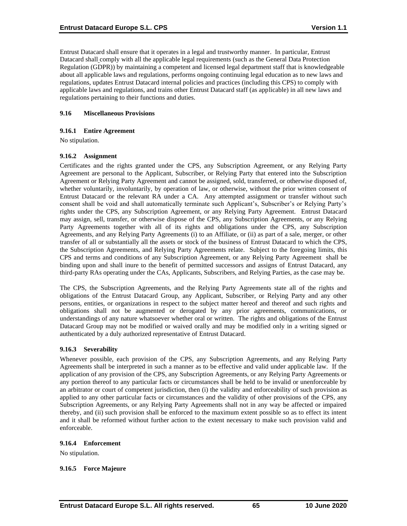Entrust Datacard shall ensure that it operates in a legal and trustworthy manner. In particular, Entrust Datacard shall comply with all the applicable legal requirements (such as the General Data Protection Regulation (GDPR)) by maintaining a competent and licensed legal department staff that is knowledgeable about all applicable laws and regulations, performs ongoing continuing legal education as to new laws and regulations, updates Entrust Datacard internal policies and practices (including this CPS) to comply with applicable laws and regulations, and trains other Entrust Datacard staff (as applicable) in all new laws and regulations pertaining to their functions and duties.

### **9.16 Miscellaneous Provisions**

#### **9.16.1 Entire Agreement**

No stipulation.

#### **9.16.2 Assignment**

Certificates and the rights granted under the CPS, any Subscription Agreement, or any Relying Party Agreement are personal to the Applicant, Subscriber, or Relying Party that entered into the Subscription Agreement or Relying Party Agreement and cannot be assigned, sold, transferred, or otherwise disposed of, whether voluntarily, involuntarily, by operation of law, or otherwise, without the prior written consent of Entrust Datacard or the relevant RA under a CA. Any attempted assignment or transfer without such consent shall be void and shall automatically terminate such Applicant's, Subscriber's or Relying Party's rights under the CPS, any Subscription Agreement, or any Relying Party Agreement. Entrust Datacard may assign, sell, transfer, or otherwise dispose of the CPS, any Subscription Agreements, or any Relying Party Agreements together with all of its rights and obligations under the CPS, any Subscription Agreements, and any Relying Party Agreements (i) to an Affiliate, or (ii) as part of a sale, merger, or other transfer of all or substantially all the assets or stock of the business of Entrust Datacard to which the CPS, the Subscription Agreements, and Relying Party Agreements relate. Subject to the foregoing limits, this CPS and terms and conditions of any Subscription Agreement, or any Relying Party Agreement shall be binding upon and shall inure to the benefit of permitted successors and assigns of Entrust Datacard, any third-party RAs operating under the CAs, Applicants, Subscribers, and Relying Parties, as the case may be.

The CPS, the Subscription Agreements, and the Relying Party Agreements state all of the rights and obligations of the Entrust Datacard Group, any Applicant, Subscriber, or Relying Party and any other persons, entities, or organizations in respect to the subject matter hereof and thereof and such rights and obligations shall not be augmented or derogated by any prior agreements, communications, or understandings of any nature whatsoever whether oral or written. The rights and obligations of the Entrust Datacard Group may not be modified or waived orally and may be modified only in a writing signed or authenticated by a duly authorized representative of Entrust Datacard.

## **9.16.3 Severability**

Whenever possible, each provision of the CPS, any Subscription Agreements, and any Relying Party Agreements shall be interpreted in such a manner as to be effective and valid under applicable law. If the application of any provision of the CPS, any Subscription Agreements, or any Relying Party Agreements or any portion thereof to any particular facts or circumstances shall be held to be invalid or unenforceable by an arbitrator or court of competent jurisdiction, then (i) the validity and enforceability of such provision as applied to any other particular facts or circumstances and the validity of other provisions of the CPS, any Subscription Agreements, or any Relying Party Agreements shall not in any way be affected or impaired thereby, and (ii) such provision shall be enforced to the maximum extent possible so as to effect its intent and it shall be reformed without further action to the extent necessary to make such provision valid and enforceable.

#### **9.16.4 Enforcement**

No stipulation.

#### **9.16.5 Force Majeure**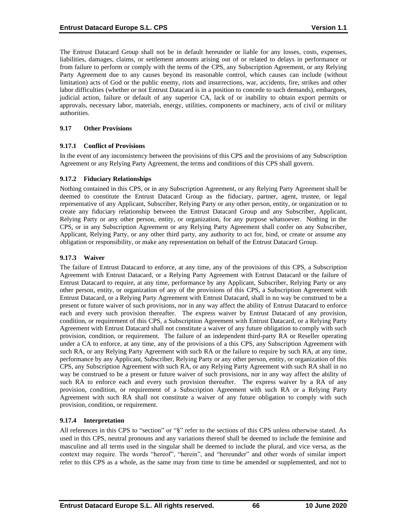The Entrust Datacard Group shall not be in default hereunder or liable for any losses, costs, expenses, liabilities, damages, claims, or settlement amounts arising out of or related to delays in performance or from failure to perform or comply with the terms of the CPS, any Subscription Agreement, or any Relying Party Agreement due to any causes beyond its reasonable control, which causes can include (without limitation) acts of God or the public enemy, riots and insurrections, war, accidents, fire, strikes and other labor difficulties (whether or not Entrust Datacard is in a position to concede to such demands), embargoes, judicial action, failure or default of any superior CA, lack of or inability to obtain export permits or approvals, necessary labor, materials, energy, utilities, components or machinery, acts of civil or military authorities.

#### **9.17 Other Provisions**

#### **9.17.1 Conflict of Provisions**

In the event of any inconsistency between the provisions of this CPS and the provisions of any Subscription Agreement or any Relying Party Agreement, the terms and conditions of this CPS shall govern.

#### **9.17.2 Fiduciary Relationships**

Nothing contained in this CPS, or in any Subscription Agreement, or any Relying Party Agreement shall be deemed to constitute the Entrust Datacard Group as the fiduciary, partner, agent, trustee, or legal representative of any Applicant, Subscriber, Relying Party or any other person, entity, or organization or to create any fiduciary relationship between the Entrust Datacard Group and any Subscriber, Applicant, Relying Party or any other person, entity, or organization, for any purpose whatsoever. Nothing in the CPS, or in any Subscription Agreement or any Relying Party Agreement shall confer on any Subscriber, Applicant, Relying Party, or any other third party, any authority to act for, bind, or create or assume any obligation or responsibility, or make any representation on behalf of the Entrust Datacard Group.

#### **9.17.3 Waiver**

The failure of Entrust Datacard to enforce, at any time, any of the provisions of this CPS, a Subscription Agreement with Entrust Datacard, or a Relying Party Agreement with Entrust Datacard or the failure of Entrust Datacard to require, at any time, performance by any Applicant, Subscriber, Relying Party or any other person, entity, or organization of any of the provisions of this CPS, a Subscription Agreement with Entrust Datacard, or a Relying Party Agreement with Entrust Datacard, shall in no way be construed to be a present or future waiver of such provisions, nor in any way affect the ability of Entrust Datacard to enforce each and every such provision thereafter. The express waiver by Entrust Datacard of any provision, condition, or requirement of this CPS, a Subscription Agreement with Entrust Datacard, or a Relying Party Agreement with Entrust Datacard shall not constitute a waiver of any future obligation to comply with such provision, condition, or requirement. The failure of an independent third-party RA or Reseller operating under a CA to enforce, at any time, any of the provisions of a this CPS, any Subscription Agreement with such RA, or any Relying Party Agreement with such RA or the failure to require by such RA, at any time, performance by any Applicant, Subscriber, Relying Party or any other person, entity, or organization of this CPS, any Subscription Agreement with such RA, or any Relying Party Agreement with such RA shall in no way be construed to be a present or future waiver of such provisions, nor in any way affect the ability of such RA to enforce each and every such provision thereafter. The express waiver by a RA of any provision, condition, or requirement of a Subscription Agreement with such RA or a Relying Party Agreement with such RA shall not constitute a waiver of any future obligation to comply with such provision, condition, or requirement.

#### **9.17.4 Interpretation**

All references in this CPS to "section" or "§" refer to the sections of this CPS unless otherwise stated. As used in this CPS, neutral pronouns and any variations thereof shall be deemed to include the feminine and masculine and all terms used in the singular shall be deemed to include the plural, and vice versa, as the context may require. The words "hereof", "herein", and "hereunder" and other words of similar import refer to this CPS as a whole, as the same may from time to time be amended or supplemented, and not to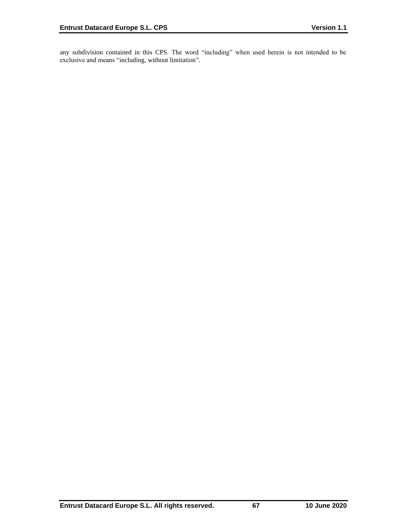any subdivision contained in this CPS. The word "including" when used herein is not intended to be exclusive and means "including, without limitation".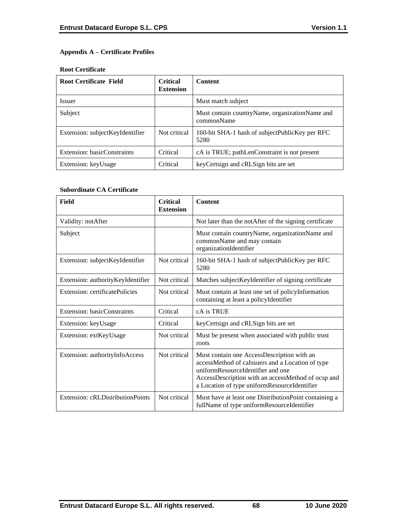# **Appendix A – Certificate Profiles**

#### **Root Certificate**

| <b>Root Certificate Field</b>   | <b>Critical</b><br><b>Extension</b> | <b>Content</b>                                                 |
|---------------------------------|-------------------------------------|----------------------------------------------------------------|
| <i>Issuer</i>                   |                                     | Must match subject                                             |
| Subject                         |                                     | Must contain country Name, organization Name and<br>commonName |
| Extension: subjectKeyIdentifier | Not critical                        | 160-bit SHA-1 hash of subjectPublicKey per RFC<br>5280         |
| Extension: basicConstraints     | Critical                            | cA is TRUE; pathLenConstraint is not present                   |
| Extension: keyUsage             | Critical                            | key Certsign and cRLSign bits are set                          |

### **Subordinate CA Certificate**

| Field                             | <b>Critical</b><br><b>Extension</b> | <b>Content</b>                                                                                                                                                                                                                            |
|-----------------------------------|-------------------------------------|-------------------------------------------------------------------------------------------------------------------------------------------------------------------------------------------------------------------------------------------|
| Validity: notAfter                |                                     | Not later than the notAfter of the signing certificate                                                                                                                                                                                    |
| Subject                           |                                     | Must contain countryName, organizationName and<br>commonName and may contain<br>organizationIdentifier                                                                                                                                    |
| Extension: subjectKeyIdentifier   | Not critical                        | 160-bit SHA-1 hash of subjectPublicKey per RFC<br>5280                                                                                                                                                                                    |
| Extension: authorityKeyIdentifier | Not critical                        | Matches subjectKeyIdentifier of signing certificate                                                                                                                                                                                       |
| Extension: certificatePolicies    | Not critical                        | Must contain at least one set of policyInformation<br>containing at least a policyIdentifier                                                                                                                                              |
| Extension: basicConstraints       | Critical                            | cA is TRUE                                                                                                                                                                                                                                |
| Extension: keyUsage               | Critical                            | keyCertsign and cRLSign bits are set                                                                                                                                                                                                      |
| Extension: extKeyUsage            | Not critical                        | Must be present when associated with public trust<br>roots                                                                                                                                                                                |
| Extension: authorityInfoAccess    | Not critical                        | Must contain one AccessDescription with an<br>accessMethod of caIssuers and a Location of type<br>uniformResourceIdentifier and one<br>AccessDescription with an accessMethod of ocsp and<br>a Location of type uniformResourceIdentifier |
| Extension: cRLDistributionPoints  | Not critical                        | Must have at least one DistributionPoint containing a<br>fullName of type uniformResourceIdentifier                                                                                                                                       |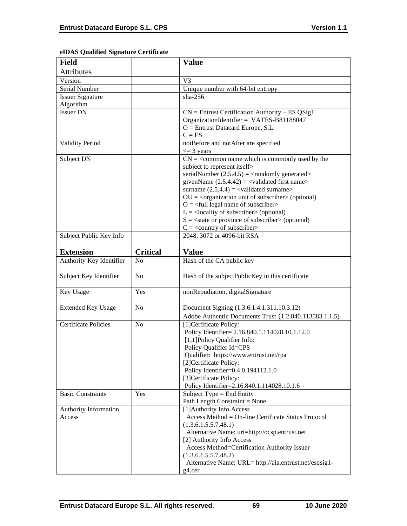| <b>Field</b>                    |                 | <b>Value</b>                                                                                                                                                                                                                                                                                                                                                                                                                                                                                                                                                                                    |
|---------------------------------|-----------------|-------------------------------------------------------------------------------------------------------------------------------------------------------------------------------------------------------------------------------------------------------------------------------------------------------------------------------------------------------------------------------------------------------------------------------------------------------------------------------------------------------------------------------------------------------------------------------------------------|
| Attributes                      |                 |                                                                                                                                                                                                                                                                                                                                                                                                                                                                                                                                                                                                 |
| Version                         |                 | V <sub>3</sub>                                                                                                                                                                                                                                                                                                                                                                                                                                                                                                                                                                                  |
| Serial Number                   |                 | Unique number with 64-bit entropy                                                                                                                                                                                                                                                                                                                                                                                                                                                                                                                                                               |
| <b>Issuer Signature</b>         |                 | $sha-256$                                                                                                                                                                                                                                                                                                                                                                                                                                                                                                                                                                                       |
| Algorithm                       |                 |                                                                                                                                                                                                                                                                                                                                                                                                                                                                                                                                                                                                 |
| <b>Issuer DN</b>                |                 | $CN =$ Entrust Certification Authority – ES QSig1<br>OrganizationIdentifier = VATES-B81188047<br>$O =$ Entrust Datacard Europe, S.L.<br>$C = ES$                                                                                                                                                                                                                                                                                                                                                                                                                                                |
| <b>Validity Period</b>          |                 | notBefore and notAfter are specified<br>$\leq$ 3 years                                                                                                                                                                                                                                                                                                                                                                                                                                                                                                                                          |
| Subject DN                      |                 | $CN =$ < common name which is commonly used by the<br>subject to represent itself><br>serialNumber $(2.5.4.5) = \langle$ randomly generated><br>givenName $(2.5.4.42) = \langle$ validated first name><br>surname $(2.5.4.4) = \text{{{-}zaldated surname}}$<br>$OU = corganization unit of subscripter > (optional)$<br>$O = \left\langle \text{full legal name of subscriber} \right\rangle$<br>$L =$ <locality of="" subscriber=""> (optional)<br/><math>S = \text{state}</math> or province of subscriber &gt; (optional)<br/><math>C = \langle country\ of\ subscript\ c</math></locality> |
| Subject Public Key Info         |                 | 2048, 3072 or 4096-bit RSA                                                                                                                                                                                                                                                                                                                                                                                                                                                                                                                                                                      |
|                                 |                 |                                                                                                                                                                                                                                                                                                                                                                                                                                                                                                                                                                                                 |
| <b>Extension</b>                | <b>Critical</b> | <b>Value</b>                                                                                                                                                                                                                                                                                                                                                                                                                                                                                                                                                                                    |
| Authority Key Identifier        | No              | Hash of the CA public key                                                                                                                                                                                                                                                                                                                                                                                                                                                                                                                                                                       |
| Subject Key Identifier          | N <sub>o</sub>  | Hash of the subjectPublicKey in this certificate                                                                                                                                                                                                                                                                                                                                                                                                                                                                                                                                                |
| Key Usage                       | Yes             | nonRepudiation, digitalSignature                                                                                                                                                                                                                                                                                                                                                                                                                                                                                                                                                                |
| <b>Extended Key Usage</b>       | N <sub>o</sub>  | Document Signing (1.3.6.1.4.1.311.10.3.12)<br>Adobe Authentic Documents Trust (1.2.840.113583.1.1.5)                                                                                                                                                                                                                                                                                                                                                                                                                                                                                            |
| <b>Certificate Policies</b>     | N <sub>o</sub>  | [1] Certificate Policy:<br>Policy Identifier= 2.16.840.1.114028.10.1.12.0<br>[1,1]Policy Qualifier Info:<br>Policy Qualifier Id=CPS<br>Qualifier: https://www.entrust.net/rpa<br>[2]Certificate Policy:<br>Policy Identifier=0.4.0.194112.1.0<br>[3]Certificate Policy:<br>Policy Identifier=2.16.840.1.114028.10.1.6                                                                                                                                                                                                                                                                           |
| <b>Basic Constraints</b>        | Yes             | Subject Type $=$ End Entity<br>Path Length Constraint = None                                                                                                                                                                                                                                                                                                                                                                                                                                                                                                                                    |
| Authority Information<br>Access |                 | [1] Authority Info Access<br>Access Method = On-line Certificate Status Protocol<br>(1.3.6.1.5.5.7.48.1)<br>Alternative Name: uri=http://ocsp.entrust.net<br>[2] Authority Info Access<br>Access Method=Certification Authority Issuer<br>(1.3.6.1.5.5.7.48.2)<br>Alternative Name: URL= http://aia.entrust.net/esqsig1-<br>g4.cer                                                                                                                                                                                                                                                              |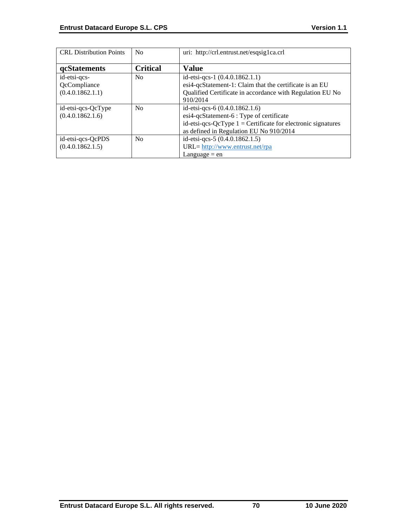| <b>CRL</b> Distribution Points | N <sub>0</sub>  | uri: http://crl.entrust.net/esqsig1ca.crl                      |
|--------------------------------|-----------------|----------------------------------------------------------------|
| <b>qcStatements</b>            | <b>Critical</b> | <b>Value</b>                                                   |
| id-etsi-qcs-                   | No              | id-etsi-qcs-1 (0.4.0.1862.1.1)                                 |
| QcCompliance                   |                 | esi4-qcStatement-1: Claim that the certificate is an EU        |
| (0.4.0.1862.1.1)               |                 | Qualified Certificate in accordance with Regulation EU No      |
|                                |                 | 910/2014                                                       |
| id-etsi-qcs-QcType             | No              | id-etsi-qcs-6 (0.4.0.1862.1.6)                                 |
| (0.4.0.1862.1.6)               |                 | esi4-qcStatement-6 : Type of certificate                       |
|                                |                 | id-etsi-qcs-QcType $1 =$ Certificate for electronic signatures |
|                                |                 | as defined in Regulation EU No 910/2014                        |
| id-etsi-qcs-QcPDS              | No              | id-etsi-qcs-5 (0.4.0.1862.1.5)                                 |
| (0.4.0.1862.1.5)               |                 | URL= http://www.entrust.net/rpa                                |
|                                |                 | Language $=$ en                                                |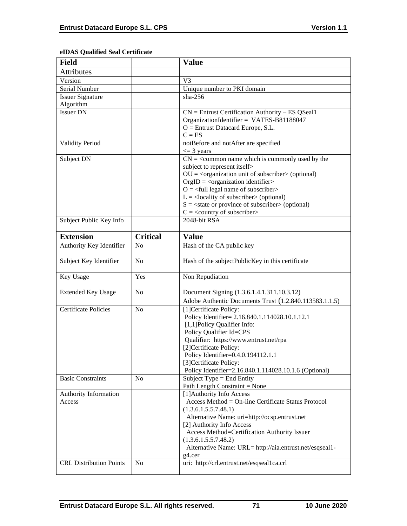# **eIDAS Qualified Seal Certificate**

| <b>Field</b>                                                      |                 | <b>Value</b>                                                                                                                                                                                                                                                                                                                                                                                                                                                  |
|-------------------------------------------------------------------|-----------------|---------------------------------------------------------------------------------------------------------------------------------------------------------------------------------------------------------------------------------------------------------------------------------------------------------------------------------------------------------------------------------------------------------------------------------------------------------------|
| <b>Attributes</b>                                                 |                 |                                                                                                                                                                                                                                                                                                                                                                                                                                                               |
| Version                                                           |                 | V <sub>3</sub>                                                                                                                                                                                                                                                                                                                                                                                                                                                |
| Serial Number                                                     |                 | Unique number to PKI domain                                                                                                                                                                                                                                                                                                                                                                                                                                   |
| <b>Issuer Signature</b>                                           |                 | $sha-256$                                                                                                                                                                                                                                                                                                                                                                                                                                                     |
| Algorithm                                                         |                 |                                                                                                                                                                                                                                                                                                                                                                                                                                                               |
| <b>Issuer DN</b>                                                  |                 | $CN =$ Entrust Certification Authority – ES QSeal1<br>OrganizationIdentifier = VATES-B81188047<br>$O =$ Entrust Datacard Europe, S.L.<br>$C = ES$                                                                                                                                                                                                                                                                                                             |
| <b>Validity Period</b>                                            |                 | notBefore and notAfter are specified<br>$\leq$ 3 years                                                                                                                                                                                                                                                                                                                                                                                                        |
| Subject DN                                                        |                 | $CN = \s<$ common name which is commonly used by the<br>subject to represent itself><br>$OU = corganization unit of subscripter > (optional)$<br>$OrgID = <$ organization identifier><br>$O = \left\langle \text{full legal name of subscripter} \right\rangle$<br>$L =$ <locality of="" subscriber=""> (optional)<br/><math>S = \text{state}</math> or province of subscriber &gt; (optional)<br/><math>C =</math> &lt; country of subscriber&gt;</locality> |
| Subject Public Key Info                                           |                 | 2048-bit RSA                                                                                                                                                                                                                                                                                                                                                                                                                                                  |
| <b>Extension</b>                                                  | <b>Critical</b> | <b>Value</b>                                                                                                                                                                                                                                                                                                                                                                                                                                                  |
| Authority Key Identifier                                          | N <sub>o</sub>  | Hash of the CA public key                                                                                                                                                                                                                                                                                                                                                                                                                                     |
| Subject Key Identifier                                            | N <sub>o</sub>  | Hash of the subjectPublicKey in this certificate                                                                                                                                                                                                                                                                                                                                                                                                              |
| Key Usage                                                         | Yes             | Non Repudiation                                                                                                                                                                                                                                                                                                                                                                                                                                               |
| <b>Extended Key Usage</b>                                         | N <sub>o</sub>  | Document Signing (1.3.6.1.4.1.311.10.3.12)<br>Adobe Authentic Documents Trust (1.2.840.113583.1.1.5)                                                                                                                                                                                                                                                                                                                                                          |
| <b>Certificate Policies</b>                                       | N <sub>o</sub>  | [1] Certificate Policy:<br>Policy Identifier= 2.16.840.1.114028.10.1.12.1                                                                                                                                                                                                                                                                                                                                                                                     |
|                                                                   |                 | [1,1] Policy Qualifier Info:<br>Policy Qualifier Id=CPS<br>Qualifier: https://www.entrust.net/rpa<br>[2]Certificate Policy:<br>Policy Identifier=0.4.0.194112.1.1<br>[3]Certificate Policy:                                                                                                                                                                                                                                                                   |
| <b>Basic Constraints</b>                                          | N <sub>0</sub>  | Policy Identifier=2.16.840.1.114028.10.1.6 (Optional)<br>Subject Type = End Entity                                                                                                                                                                                                                                                                                                                                                                            |
| Authority Information<br>Access<br><b>CRL Distribution Points</b> |                 | Path Length Constraint = None<br>[1] Authority Info Access<br>Access Method = On-line Certificate Status Protocol<br>(1.3.6.1.5.5.7.48.1)<br>Alternative Name: uri=http://ocsp.entrust.net<br>[2] Authority Info Access<br>Access Method=Certification Authority Issuer<br>(1.3.6.1.5.5.7.48.2)<br>Alternative Name: URL= http://aia.entrust.net/esqseal1-<br>g4.cer<br>uri: http://crl.entrust.net/esqseal1ca.crl                                            |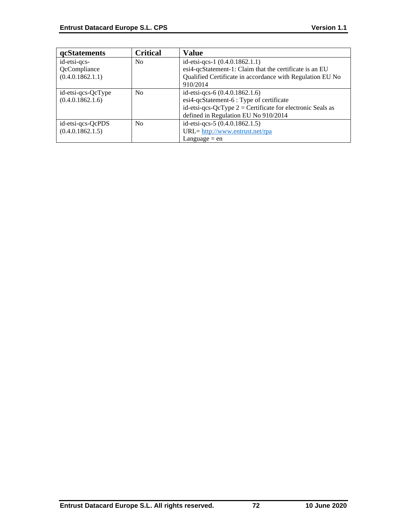| <b>qcStatements</b> | <b>Critical</b> | <b>Value</b>                                                 |
|---------------------|-----------------|--------------------------------------------------------------|
| id-etsi-qcs-        | N <sub>0</sub>  | id-etsi-qcs-1 (0.4.0.1862.1.1)                               |
| QcCompliance        |                 | esi4-qcStatement-1: Claim that the certificate is an EU      |
| (0.4.0.1862.1.1)    |                 | Qualified Certificate in accordance with Regulation EU No    |
|                     |                 | 910/2014                                                     |
| id-etsi-qcs-QcType  | N <sub>0</sub>  | id-etsi-qcs-6 (0.4.0.1862.1.6)                               |
| (0.4.0.1862.1.6)    |                 | esi4-qcStatement-6 : Type of certificate                     |
|                     |                 | id-etsi-qcs-QcType $2$ = Certificate for electronic Seals as |
|                     |                 | defined in Regulation EU No 910/2014                         |
| id-etsi-qcs-QcPDS   | N <sub>0</sub>  | id-etsi-qcs-5 (0.4.0.1862.1.5)                               |
| (0.4.0.1862.1.5)    |                 | URL= http://www.entrust.net/rpa                              |
|                     |                 | Language $=$ en                                              |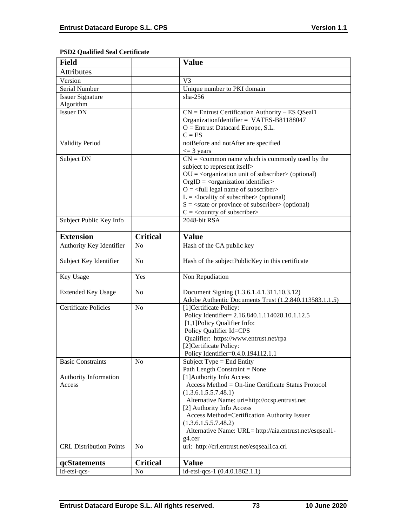# **PSD2 Qualified Seal Certificate**

| <b>Field</b>                    |                 | <b>Value</b>                                                                                                                                                                                                                                                                                                                                                                                                                                                 |
|---------------------------------|-----------------|--------------------------------------------------------------------------------------------------------------------------------------------------------------------------------------------------------------------------------------------------------------------------------------------------------------------------------------------------------------------------------------------------------------------------------------------------------------|
| Attributes                      |                 |                                                                                                                                                                                                                                                                                                                                                                                                                                                              |
| Version                         |                 | V <sub>3</sub>                                                                                                                                                                                                                                                                                                                                                                                                                                               |
| Serial Number                   |                 | Unique number to PKI domain                                                                                                                                                                                                                                                                                                                                                                                                                                  |
| <b>Issuer Signature</b>         |                 | $sha-256$                                                                                                                                                                                                                                                                                                                                                                                                                                                    |
| Algorithm                       |                 |                                                                                                                                                                                                                                                                                                                                                                                                                                                              |
| <b>Issuer DN</b>                |                 | $CN =$ Entrust Certification Authority – ES QSeal1<br>OrganizationIdentifier = VATES-B81188047<br>$O =$ Entrust Datacard Europe, S.L.<br>$C = ES$                                                                                                                                                                                                                                                                                                            |
| <b>Validity Period</b>          |                 | notBefore and notAfter are specified<br>$\leq$ 3 years                                                                                                                                                                                                                                                                                                                                                                                                       |
| Subject DN                      |                 | $CN =$ < common name which is commonly used by the<br>subject to represent itself><br>$OU = organization$ unit of subscriber > (optional)<br>$OrgID = <$ organization identifier><br>$O = \left\langle \text{full legal name of subscripter} \right\rangle$<br>$L =$ <locality of="" subscriber=""> (optional)<br/><math>S = \text{state}</math> or province of subscriber &gt; (optional)<br/><math>C = \langle</math> country of subscriber&gt;</locality> |
| Subject Public Key Info         |                 | 2048-bit RSA                                                                                                                                                                                                                                                                                                                                                                                                                                                 |
| <b>Extension</b>                | <b>Critical</b> | <b>Value</b>                                                                                                                                                                                                                                                                                                                                                                                                                                                 |
| Authority Key Identifier        | No              | Hash of the CA public key                                                                                                                                                                                                                                                                                                                                                                                                                                    |
| Subject Key Identifier          | N <sub>o</sub>  | Hash of the subjectPublicKey in this certificate                                                                                                                                                                                                                                                                                                                                                                                                             |
| Key Usage                       | Yes             | Non Repudiation                                                                                                                                                                                                                                                                                                                                                                                                                                              |
| <b>Extended Key Usage</b>       | N <sub>o</sub>  | Document Signing (1.3.6.1.4.1.311.10.3.12)<br>Adobe Authentic Documents Trust (1.2.840.113583.1.1.5)                                                                                                                                                                                                                                                                                                                                                         |
| <b>Certificate Policies</b>     | N <sub>o</sub>  | [1] Certificate Policy:<br>Policy Identifier= 2.16.840.1.114028.10.1.12.5<br>[1,1] Policy Qualifier Info:<br>Policy Qualifier Id=CPS<br>Qualifier: https://www.entrust.net/rpa<br>[2]Certificate Policy:<br>Policy Identifier=0.4.0.194112.1.1                                                                                                                                                                                                               |
| <b>Basic Constraints</b>        | N <sub>0</sub>  | Subject Type = End Entity<br>Path Length Constraint = None                                                                                                                                                                                                                                                                                                                                                                                                   |
| Authority Information<br>Access |                 | [1] Authority Info Access<br>Access Method = On-line Certificate Status Protocol<br>(1.3.6.1.5.5.7.48.1)<br>Alternative Name: uri=http://ocsp.entrust.net<br>[2] Authority Info Access<br>Access Method=Certification Authority Issuer<br>(1.3.6.1.5.5.7.48.2)<br>Alternative Name: URL= http://aia.entrust.net/esqseal1-<br>g4.cer                                                                                                                          |
| <b>CRL Distribution Points</b>  | N <sub>o</sub>  | uri: http://crl.entrust.net/esqseal1ca.crl                                                                                                                                                                                                                                                                                                                                                                                                                   |
| qcStatements                    | <b>Critical</b> | <b>Value</b>                                                                                                                                                                                                                                                                                                                                                                                                                                                 |
| id-etsi-qcs-                    | N <sub>o</sub>  | id-etsi-qcs-1 (0.4.0.1862.1.1)                                                                                                                                                                                                                                                                                                                                                                                                                               |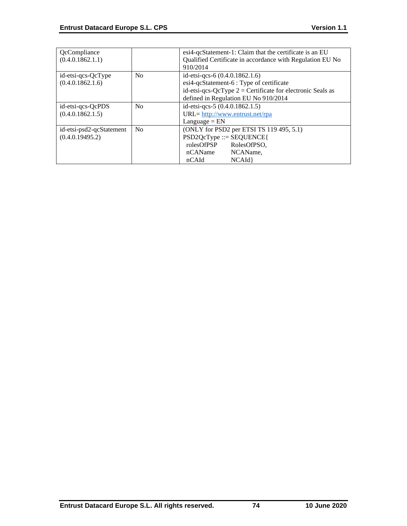| QcCompliance<br>(0.4.0.1862.1.1)            |                | esi4-qcStatement-1: Claim that the certificate is an EU<br>Qualified Certificate in accordance with Regulation EU No<br>910/2014                                                   |
|---------------------------------------------|----------------|------------------------------------------------------------------------------------------------------------------------------------------------------------------------------------|
| id-etsi-qcs-QcType<br>(0.4.0.1862.1.6)      | No             | id-etsi-qcs-6 (0.4.0.1862.1.6)<br>esi4-qcStatement-6 : Type of certificate<br>id-etsi-qcs-QcType $2$ = Certificate for electronic Seals as<br>defined in Regulation EU No 910/2014 |
| id-etsi-qcs-QcPDS<br>(0.4.0.1862.1.5)       | No             | id-etsi-qcs-5 (0.4.0.1862.1.5)<br>$URL = \frac{http://www.entrust.net/rpa}{}$<br>$L$ anguage = $EN$                                                                                |
| id-etsi-psd2-qcStatement<br>(0.4.0.19495.2) | N <sub>0</sub> | (ONLY for PSD2 per ETSI TS 119 495, 5.1)<br>$PSD2QcType ::= SEQUENCE$<br>rolesOfPSP<br>RolesOfPSO,<br>nCAName<br>NCAName,<br>nCAId<br>NCAId                                        |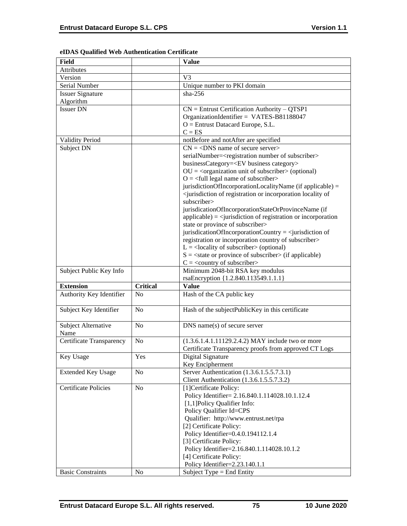| Field                       |                 | <b>Value</b>                                                                                        |
|-----------------------------|-----------------|-----------------------------------------------------------------------------------------------------|
| Attributes                  |                 |                                                                                                     |
| Version                     |                 | V3                                                                                                  |
| Serial Number               |                 | Unique number to PKI domain                                                                         |
| <b>Issuer Signature</b>     |                 | $sha-256$                                                                                           |
| Algorithm                   |                 |                                                                                                     |
| <b>Issuer DN</b>            |                 | $CN =$ Entrust Certification Authority - QTSP1                                                      |
|                             |                 | OrganizationIdentifier = VATES-B81188047                                                            |
|                             |                 | $O =$ Entrust Datacard Europe, S.L.                                                                 |
|                             |                 | $C = ES$                                                                                            |
|                             |                 |                                                                                                     |
| Validity Period             |                 | notBefore and notAfter are specified                                                                |
| Subject DN                  |                 | $CN = <$ DNS name of secure server>                                                                 |
|                             |                 | serialNumber= <registration number="" of="" subscriber=""></registration>                           |
|                             |                 | businessCategory= <ev business="" category=""></ev>                                                 |
|                             |                 | $OU = cor$ ganization unit of subscriber> (optional)                                                |
|                             |                 | $O = \left\langle \text{full legal name of subscripter} \right\rangle$                              |
|                             |                 | jurisdictionOfIncorporationLocalityName (if applicable) =                                           |
|                             |                 | <jurisdiction incorporation="" locality="" of="" of<="" or="" registration="" td=""></jurisdiction> |
|                             |                 | subscriber>                                                                                         |
|                             |                 | jurisdicationOfIncorporationStateOrProvinceName (if                                                 |
|                             |                 | $applicable) =$ invisible $i$ applicable) = $\langle$ square space of registration or incorporation |
|                             |                 | state or province of subscriber>                                                                    |
|                             |                 | jurisdicationOfIncorporationCountry = $\le$ jurisdiction of                                         |
|                             |                 | registration or incorporation country of subscriber>                                                |
|                             |                 | $L =$ <locality of="" subscriber=""> (optional)</locality>                                          |
|                             |                 | $S = \text{state}$ or province of subscriber $\text{in}$ (if applicable)                            |
|                             |                 | $C = \langle$ country of subscriber>                                                                |
| Subject Public Key Info     |                 | Minimum 2048-bit RSA key modulus                                                                    |
|                             |                 | rsaEncryption {1.2.840.113549.1.1.1}                                                                |
| <b>Extension</b>            | <b>Critical</b> | <b>Value</b>                                                                                        |
| Authority Key Identifier    | N <sub>o</sub>  | Hash of the CA public key                                                                           |
|                             |                 |                                                                                                     |
| Subject Key Identifier      | N <sub>o</sub>  | Hash of the subjectPublicKey in this certificate                                                    |
|                             |                 |                                                                                                     |
| Subject Alternative         | N <sub>o</sub>  | $DNS$ name(s) of secure server                                                                      |
| Name                        |                 |                                                                                                     |
| Certificate Transparency    | No              | (1.3.6.1.4.1.11129.2.4.2) MAY include two or more                                                   |
|                             |                 | Certificate Transparency proofs from approved CT Logs                                               |
| Key Usage                   | Yes             | Digital Signature                                                                                   |
|                             |                 | Key Encipherment                                                                                    |
| <b>Extended Key Usage</b>   | N <sub>0</sub>  | Server Authentication (1.3.6.1.5.5.7.3.1)                                                           |
|                             |                 | Client Authentication (1.3.6.1.5.5.7.3.2)                                                           |
| <b>Certificate Policies</b> | N <sub>0</sub>  | [1] Certificate Policy:                                                                             |
|                             |                 | Policy Identifier= 2.16.840.1.114028.10.1.12.4                                                      |
|                             |                 |                                                                                                     |
|                             |                 | [1,1] Policy Qualifier Info:                                                                        |
|                             |                 | Policy Qualifier Id=CPS                                                                             |
|                             |                 | Qualifier: http://www.entrust.net/rpa                                                               |
|                             |                 | [2] Certificate Policy:                                                                             |
|                             |                 | Policy Identifier=0.4.0.194112.1.4                                                                  |
|                             |                 | [3] Certificate Policy:                                                                             |
|                             |                 | Policy Identifier=2.16.840.1.114028.10.1.2                                                          |
|                             |                 | [4] Certificate Policy:                                                                             |
|                             |                 | Policy Identifier=2.23.140.1.1                                                                      |
| <b>Basic Constraints</b>    | N <sub>0</sub>  | Subject Type $=$ End Entity                                                                         |

## **eIDAS Qualified Web Authentication Certificate**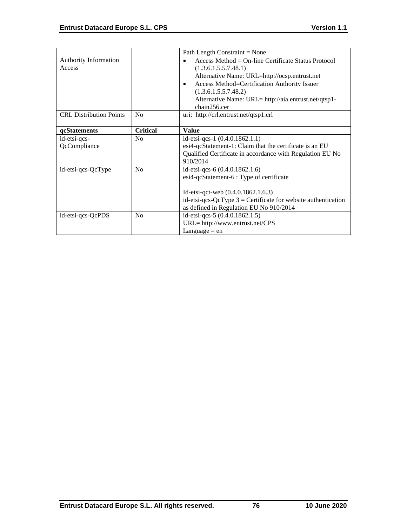|                                        |                 | Path Length Constraint = None                                                                                                                                                                                                                                                                |
|----------------------------------------|-----------------|----------------------------------------------------------------------------------------------------------------------------------------------------------------------------------------------------------------------------------------------------------------------------------------------|
| <b>Authority Information</b><br>Access |                 | Access Method = $On$ -line Certificate Status Protocol<br>(1.3.6.1.5.5.7.48.1)<br>Alternative Name: URL=http://ocsp.entrust.net<br>Access Method=Certification Authority Issuer<br>$\bullet$<br>(1.3.6.1.5.5.7.48.2)<br>Alternative Name: URL= http://aia.entrust.net/qtsp1-<br>chain256.cer |
| <b>CRL Distribution Points</b>         | No              | uri: http://crl.entrust.net/qtsp1.crl                                                                                                                                                                                                                                                        |
| qcStatements                           | <b>Critical</b> | <b>Value</b>                                                                                                                                                                                                                                                                                 |
| id-etsi-qcs-<br>QcCompliance           | N <sub>o</sub>  | id-etsi-qcs-1 $(0.4.0.1862.1.1)$<br>esi4-qcStatement-1: Claim that the certificate is an EU<br>Qualified Certificate in accordance with Regulation EU No<br>910/2014                                                                                                                         |
| id-etsi-qcs-QcType                     | No              | id-etsi-qcs-6 (0.4.0.1862.1.6)<br>esi4-qcStatement-6 : Type of certificate<br>Id-etsi-qct-web (0.4.0.1862.1.6.3)<br>id-etsi-qcs-QcType $3$ = Certificate for website authentication<br>as defined in Regulation EU No 910/2014                                                               |
| id-etsi-qcs-QcPDS                      | N <sub>0</sub>  | id-etsi-qcs-5 (0.4.0.1862.1.5)<br>$URL = http://www.entrust.net/CPS$<br>Language $=$ en                                                                                                                                                                                                      |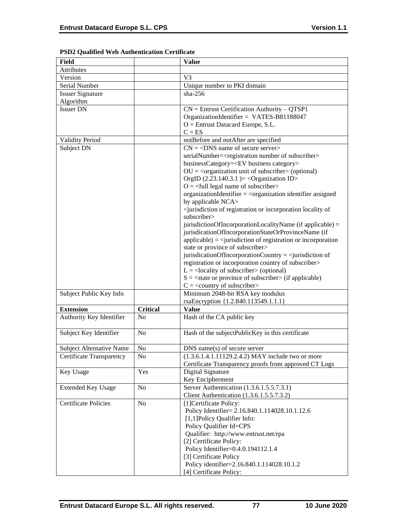| <b>Field</b>                    |                 | <b>Value</b>                                                                                        |
|---------------------------------|-----------------|-----------------------------------------------------------------------------------------------------|
| <b>Attributes</b>               |                 |                                                                                                     |
| Version                         |                 | V <sub>3</sub>                                                                                      |
| Serial Number                   |                 | Unique number to PKI domain                                                                         |
| <b>Issuer Signature</b>         |                 | $sha-256$                                                                                           |
| Algorithm                       |                 |                                                                                                     |
| <b>Issuer DN</b>                |                 | $CN =$ Entrust Certification Authority – QTSP1                                                      |
|                                 |                 | OrganizationIdentifier = VATES-B81188047                                                            |
|                                 |                 | $O =$ Entrust Datacard Europe, S.L.                                                                 |
|                                 |                 | $C = ES$                                                                                            |
| Validity Period                 |                 | notBefore and notAfter are specified                                                                |
| Subject DN                      |                 | $CN = <$ DNS name of secure server>                                                                 |
|                                 |                 | serialNumber= <registration number="" of="" subscriber=""></registration>                           |
|                                 |                 | businessCategory= <ev business="" category=""></ev>                                                 |
|                                 |                 | $OU = corganization unit of subscripter > (optional)$                                               |
|                                 |                 | OrgID $(2.23.140.3.1)$ = < Organization ID>                                                         |
|                                 |                 | $O = \frac{1}{2}$ legal name of subscriber                                                          |
|                                 |                 | organizationIdentifier = <organization assigned<="" identifier="" td=""></organization>             |
|                                 |                 | by applicable NCA>                                                                                  |
|                                 |                 | <jurisdiction incorporation="" locality="" of="" of<="" or="" registration="" td=""></jurisdiction> |
|                                 |                 | subscriber>                                                                                         |
|                                 |                 | jurisdictionOfIncorporationLocalityName (if applicable) =                                           |
|                                 |                 | jurisdicationOfIncorporationStateOrProvinceName (if                                                 |
|                                 |                 | $applicable) = \langle$ invisible in of registration or incorporation                               |
|                                 |                 | state or province of subscriber>                                                                    |
|                                 |                 | jurisdicationOfIncorporationCountry = $\le$ jurisdiction of                                         |
|                                 |                 | registration or incorporation country of subscriber>                                                |
|                                 |                 | $L =$ <locality of="" subscriber=""> (optional)</locality>                                          |
|                                 |                 | $S = \text{state}$ or province of subscriber $\text{in}$ (if applicable)                            |
|                                 |                 | $C = \langle$ country of subscriber>                                                                |
| Subject Public Key Info         |                 | Minimum 2048-bit RSA key modulus                                                                    |
|                                 |                 | rsaEncryption {1.2.840.113549.1.1.1}                                                                |
| <b>Extension</b>                | <b>Critical</b> | <b>Value</b>                                                                                        |
| Authority Key Identifier        | No              | Hash of the CA public key                                                                           |
|                                 |                 |                                                                                                     |
| Subject Key Identifier          | No              | Hash of the subjectPublicKey in this certificate                                                    |
|                                 |                 |                                                                                                     |
| <b>Subject Alternative Name</b> | No              | $DNS$ name $(s)$ of secure server                                                                   |
| Certificate Transparency        | No              | $(1.3.6.1.4.1.11129.2.4.2)$ MAY include two or more                                                 |
|                                 |                 | Certificate Transparency proofs from approved CT Logs                                               |
| Key Usage                       | Yes             | Digital Signature                                                                                   |
|                                 |                 | Key Encipherment                                                                                    |
| <b>Extended Key Usage</b>       | N <sub>0</sub>  | Server Authentication (1.3.6.1.5.5.7.3.1)                                                           |
|                                 |                 | Client Authentication (1.3.6.1.5.5.7.3.2)                                                           |
| <b>Certificate Policies</b>     |                 |                                                                                                     |
|                                 | No              | [1] Certificate Policy:                                                                             |
|                                 |                 | Policy Identifier= 2.16.840.1.114028.10.1.12.6                                                      |
|                                 |                 | [1,1] Policy Qualifier Info:                                                                        |
|                                 |                 | Policy Qualifier Id=CPS                                                                             |
|                                 |                 | Qualifier: http://www.entrust.net/rpa                                                               |
|                                 |                 | [2] Certificate Policy:                                                                             |
|                                 |                 | Policy Identifier=0.4.0.194112.1.4                                                                  |
|                                 |                 | [3] Certificate Policy                                                                              |
|                                 |                 | Policy identifier=2.16.840.1.114028.10.1.2                                                          |
|                                 |                 | [4] Certificate Policy:                                                                             |

## **PSD2 Qualified Web Authentication Certificate**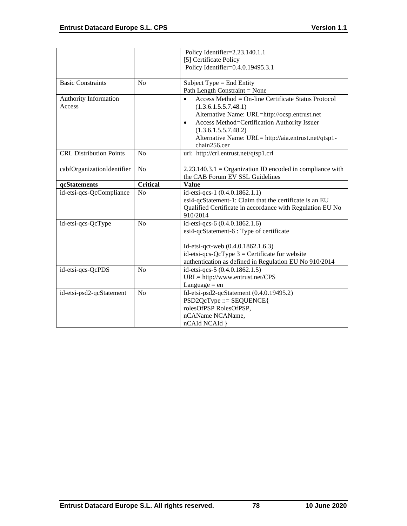|                                 |                 | Policy Identifier=2.23.140.1.1                                                                                                                                                                                                    |
|---------------------------------|-----------------|-----------------------------------------------------------------------------------------------------------------------------------------------------------------------------------------------------------------------------------|
|                                 |                 | [5] Certificate Policy<br>Policy Identifier=0.4.0.19495.3.1                                                                                                                                                                       |
|                                 |                 |                                                                                                                                                                                                                                   |
| <b>Basic Constraints</b>        | No              | Subject Type = End Entity<br>Path Length Constraint = None                                                                                                                                                                        |
| Authority Information<br>Access |                 | Access Method = $On$ -line Certificate Status Protocol<br>$\bullet$<br>(1.3.6.1.5.5.7.48.1)<br>Alternative Name: URL=http://ocsp.entrust.net<br>Access Method=Certification Authority Issuer<br>$\bullet$<br>(1.3.6.1.5.5.7.48.2) |
|                                 |                 | Alternative Name: URL= http://aia.entrust.net/qtsp1-<br>chain256.cer                                                                                                                                                              |
| <b>CRL</b> Distribution Points  | No              | uri: http://crl.entrust.net/qtsp1.crl                                                                                                                                                                                             |
| cabfOrganizationIdentifier      | N <sub>o</sub>  | $2.23.140.3.1 =$ Organization ID encoded in compliance with<br>the CAB Forum EV SSL Guidelines                                                                                                                                    |
| qcStatements                    | <b>Critical</b> | <b>Value</b>                                                                                                                                                                                                                      |
| id-etsi-qcs-QcCompliance        | No              | id-etsi-qcs-1 (0.4.0.1862.1.1)<br>esi4-qcStatement-1: Claim that the certificate is an EU<br>Qualified Certificate in accordance with Regulation EU No<br>910/2014                                                                |
| id-etsi-qcs-QcType              | No              | id-etsi-qcs-6 (0.4.0.1862.1.6)<br>esi4-qcStatement-6 : Type of certificate                                                                                                                                                        |
|                                 |                 | Id-etsi-qct-web (0.4.0.1862.1.6.3)<br>id-etsi-qcs-QcType $3$ = Certificate for website<br>authentication as defined in Regulation EU No 910/2014                                                                                  |
| id-etsi-qcs-QcPDS               | N <sub>0</sub>  | id-etsi-qcs-5 (0.4.0.1862.1.5)<br>URL= http://www.entrust.net/CPS<br>Language $=$ en                                                                                                                                              |
| id-etsi-psd2-qcStatement        | N <sub>0</sub>  | Id-etsi-psd2-qcStatement (0.4.0.19495.2)<br>$PSD2QcType ::= SEQUENCE$<br>rolesOfPSP RolesOfPSP,<br>nCAName NCAName,<br>nCAId NCAId }                                                                                              |